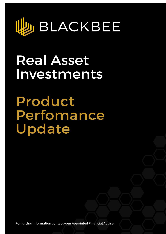

# **Real Asset** Investments

Product Perfomance Update

For further information contact your Appointed Financial Adviser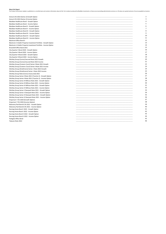About this Report<br>The Product Performance Update is published on a monthly basis and contains information about all the 'live' products produced by BlackBee Investments or those we are providing administrative services on.

| Arena 6.5% 2022 (Series 2) Growth Option                          |  |
|-------------------------------------------------------------------|--|
| Arena 6.5% 2022 (Series 2) Income Option                          |  |
| Blackbee Healthcare Bond - Growth Option                          |  |
| Blackbee Healthcare Bond - Income Option                          |  |
| Blackbee Healthcare Bond II - Growth Option                       |  |
| Blackbee Healthcare Bond II - Income Option                       |  |
| Blackbee Healthcare Bond III - Growth Option                      |  |
| Blackbee Healthcare Bond III - Income Option                      |  |
| Blackbee Healthcare Bond IV - Growth Option                       |  |
| Blackbee Healthcare Bond IV - Income Option                       |  |
| Blackrock Office Bond II                                          |  |
| Blackrock: A Dublin Property Investment Portfolio - Growth Option |  |
| Blackrock: A Dublin Property Investment Portfolio - Income Option |  |
| Broomhill Office Bond 2021                                        |  |
| City Quarter II Bond 2020 - Growth Option                         |  |
| City Quarter II Bond 2020 - Income Option                         |  |
| City Quarter III Bond 2020 - Growth Option                        |  |
| City Quarter III Bond 2020 - Income Option                        |  |
| Ditchley Group (Conna) Secured Note 2022 Growth                   |  |
| Ditchley Group (Conna) Secured Note 2022 Income                   |  |
| Ditchley Group (Cramers Court) Series II Note 2021 Growth         |  |
| Ditchley Group (Cramers Court) Series II Note 2021 Income         |  |
| Ditchley Group (Strathmore) Series 1 Note 2022 Growth             |  |
| Ditchley Group (Strathmore) Series 1 Note 2022 Income             |  |
| Ditchley Group Note (Conna Unsecured) 2022                        |  |
| Ditchley Group Series II Note 2021 (Tranche 2) - Growth Option    |  |
| Ditchley Group Series II Note 2021 (Tranche 2) - Income Option    |  |
| Ditchley Group Series III Millrace Note 2021 - Growth Option      |  |
| Ditchley Group Series III Millrace Note 2021 - Income Option      |  |
|                                                                   |  |
| Ditchley Group Series IV Millrace Note 2021 - Growth Option       |  |
| Ditchley Group Series IV Millrace Note 2021 - Income Option       |  |
| Ditchley Group Series V Deerpark Note 2021 - Growth Option        |  |
| Ditchley Group Series V Deerpark Note 2021 - Income Option        |  |
| Ditchley Group Series VI Deerpark Note 2021 - Growth Option       |  |
| Ditchley Group Series VI Deerpark Note 2021 - Income Option       |  |
| Emporium 7.5% 2020 (Growth Option)                                |  |
| Emporium 7.5% 2020 (Income Option)                                |  |
| Mulranny Park Bond 6.5% 2021 - Growth Option                      |  |
| Mulranny Park Bond 6.5% 2021 - Income Option                      |  |
| Nursing Home Bond I 2022 - Growth Option                          |  |
| Nursing Home Bond I 2022 - Income Option                          |  |
| Nursing Home Bond II 2022 - Growth Option                         |  |
| Nursing Home Bond II 2022 - Income Option                         |  |
| Parkgate Office Bond                                              |  |
| Talacare Note 2022                                                |  |
|                                                                   |  |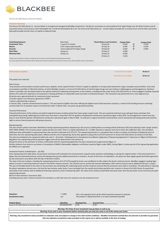

#### **Arena 6.5% 2022 (Series 2) Income Option**

#### **Product Overview**

The Arena 6.5% 2022 (Series 2) - Income Option is arranged and managed by BlackBee Investments. The Bond is secured by an unencumbered First Legal Charge over the Wind Turbines and all associated Leases and Contracts of Ash Renewables No 5 Ltd & Ash Renewables No 6 Ltd. The Arena 6.5% 2022 (Series 2) - Income Option provides for an annual return of 6.5% after each Event Date paid annually and full return of capital on Maturity Date.

| <b>Underlying Exposure:</b><br><b>Investment Term:</b> | <b>Real Asset</b><br>5 years & 3 months | *Event Dates as per brochure:<br>29-Sep-18 | <b>Coupon Rate:</b><br>6.50% |    | <b>Coupon Paid:</b><br>6.50% |
|--------------------------------------------------------|-----------------------------------------|--------------------------------------------|------------------------------|----|------------------------------|
| Return:                                                | 6.5% coupon paid annually               | 29-Sep-19                                  | 6.50%                        | и  | 6.50%                        |
| Security:                                              | Unencumbered first legal charge         | 29-Sep-20                                  | 6.50%                        | им | 6.50%                        |
| <b>Start Date:</b>                                     | 29-Sep-17                               | 29-Sep-21                                  | 6.50%                        |    |                              |
| <b>Maturity Date:</b>                                  | 29-Dec-22                               | 29-Sep-22                                  | 6.50%                        |    |                              |
|                                                        |                                         | 29-Dec-22                                  | 3.25%                        |    |                              |

## \*\*Please note Event dates are subject to change due to the execution of the final legal and associated documentation.

me payments & the maturity date will be effective from the dates outlined in the contract note issued at close, which may differ to those on the broc

| <b>Performance Update</b> | <b>Last Performance Update:</b> | 30-Sep-21 |
|---------------------------|---------------------------------|-----------|
|                           | <b>Next Performance Update:</b> | 29-Dec-22 |
| This product has matured. |                                 |           |

#### ales Process

 As previously communicated in product performance updates, Arena Capital Partners ("Arena") sought to capitalise on strong market demand for large renewable asset portfolios. Arena had accumulated a portfolio of 109 wind turbines, of which BlackBee investors in Arena 6.5% 2022 (Series 2) had first legal charge over two turbines in Ballymagerny and Gortagammon, Northern Ireland. A portfolio sale was determined as the optimal method of redeeming existing loans on the turbines, including the two under Arena 6.5% 2022 (Series 2). Arena engaged a leading corporate advisory firm with prior experience of transactions involving portfolios of comparable assets and sales to institutional buyers. The transaction was performed over a two-stage process. 40 parties were approached with an investment teaser document

21 parties signed a non-disclosure agreement ("NDA")

#### 7 parties submitted bids at phase 1

In January 2021, 3 parties moved forward to phase 2. This was based on bidders that were offering the highest level of deal execution certainty, a review of the funding structure and being commercially firm of valuation inputs to the financial model. In March 2021, one party was granted exclusivity.

## Financial Performance

Financial performance of the turbines was behind original forecasts resulting mainly from lower power output levels. This was caused by technical issues with gear boxes and lower than anticipated wind energy. Ballymagerney turbine was shut down in December 2017 for gearbox refurbishment and became operational again in May 2018. The Gortagammon turbine was shut down in June 2019 for gearbox refurbishment and became operational again in March 2020. As outlined in original investment memorandum, Arena maintained and subsequently exercised the right to service interest payments with group resources.

#### Repowering Sites

The sites of both turbines have been identified as having repowering potential. Repowering is the process of taking down an existing turbine (Endurance X35) and replacing it with a larger turbine (EWT DW54 250kW). This increases power output and also site value. There is a capital expenditure of c. £1.08m required to repower each site to attain this additional value. The estimated additional value attributable to repowering these sites has been estimated at £1,273,571. The repowering premium is a calculation that contains a number of estimates including the price of electricity, the time repowering takes place, inflation and the cost of repowering. Arena have agreed to prepay this £1,273,571 premium to Arena 6.5% 2022 (Series 2) investors in Q3 2021. The sites are scheduled to be repowered within the next 9 - 18 months. Following Arena's Amendment Accreditation Application ("Repowering Application") submission to Ofgem (UK Electricity Regulator), the repowering premium payment trigger event will be determined as the earliest of;

Receipt by Arena or the purchaser of written confirmation that the repowering application has been reviewed and reapproved by Ofgem or;

Written evidence from Arena or purchaser of resumption of NIROCs (Renewables obligation certificates issued by Ofgem under NIRO). During Ofgem's review period of the repowering application, the NIROCs are suspended.

#### Investment Position at Redemption – Q3 2021

Once repowering event takes place, the purchaser and Arena will recalculate the actual premium using the same valuation methodology as valuing the original turbine. If the actual premium is higher than the estimated premium, Arena will subsequently pay this additional premium to Investors. As part of the terms of redemption, the above has been legally agreed and will be governed by and construed in accordance with the laws of Northern Ireland.

The value of the two turbines, including the repowering premium of £1,273,270 prepaid by Arena, was insufficient to fully redeem the bond's notional amount. BlackBee engaged a leading legal advisor to assist in extracting maximum value for the bond's maturity amount. The intention was to receive full notional redemption, 2021 interest amount and an additional full year's coupon. This was not feasible based on the value on the purchaser was attributing the Underlying Assets and the maximum amount that the promoters were able to contribute. The alternative to rejecting the above redemption amount was a risk that the two turbines under Series 2 were excluded from the overall wind turbine portfolio sale. Investors in Arena 6.5% 2022 (Series 2) would have ownership of two turbines with an additional financing required to avail of repowering uplift. The value of the turbines would likely have been lower than the purchaser's price and Arena pre-paid repowering premium.

86.5% of total notional is returned in 2021.

Including previous years' interest received, this translates to a 6% total return for investors over the investment term.

| <b>Valuation:</b><br>Encashment value:                                                                                                                                                                                                                                                                   | $\Rightarrow$ 100%<br>n/a  |                               | This is the expected return of the initial investment amount at maturity.<br>This product is illiquid and there is no early encashment possible |  |  |  |
|----------------------------------------------------------------------------------------------------------------------------------------------------------------------------------------------------------------------------------------------------------------------------------------------------------|----------------------------|-------------------------------|-------------------------------------------------------------------------------------------------------------------------------------------------|--|--|--|
| <b>Product Name</b><br>Arena 6.5% 2022 (Series 2) Income Option                                                                                                                                                                                                                                          | Identifier<br>XS1662401402 | <b>Starting Price</b><br>1.00 | <b>Current Price</b><br>1.00                                                                                                                    |  |  |  |
| Warning: The Value of your investment may go down as well as up.                                                                                                                                                                                                                                         |                            |                               |                                                                                                                                                 |  |  |  |
|                                                                                                                                                                                                                                                                                                          |                            |                               | Warning: If you cash in your investment before maturity date you may lose some or all of the money you invest.                                  |  |  |  |
| Warning: Any encashment values provided are indicative only and subject to change in line with market conditions. BlackBee Investments Limited does not warrant or provides no guarantee<br>that any indicative encashment value provided on this report are or will be available at the time of trading |                            |                               |                                                                                                                                                 |  |  |  |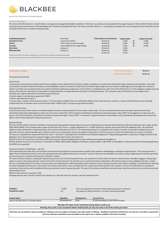

**Arena 6.5% 2022 (Series 2) Growth Option**

# **Product Overview**

The Arena 6.5% 2022 (Series 2) - Growth Option is arranged and managed by BlackBee Investments. The Bond is secured by an unencumbered First Legal Charge over the two Wind Turbines and all associated Leases and Contracts of Ash Renewables No 5 Ltd & Ash Renewables No 6 Ltd. The Arena 6.5% 2022 (Series 2) - Growth Option provides for a once off payment of 35.75% (6.5% accrued annually) and full return of capital on Maturity Date.

| <b>Underlying Exposure:</b><br><b>Investment Term:</b> | <b>Real Asset</b><br>5 years & 3 months | *Event Dates as Per Brochure:<br>29-Sep-18 | <b>Coupon Rate:</b><br>6.50% | им | <b>Coupon Accrued:</b><br>6.50% |
|--------------------------------------------------------|-----------------------------------------|--------------------------------------------|------------------------------|----|---------------------------------|
| Return:                                                | 6.5% coupon accrued annually            | 29-Sep-19                                  | 6.50%                        | ИΝ | 6.50%                           |
| Security:                                              | Unencumbered First Legal Charge         | 29-Sep-20                                  | 6.50%                        | ИΝ | 6.50%                           |
| <b>Start Date:</b>                                     | 29-Sep-17                               | 29-Sep-21                                  | 6.50%                        |    |                                 |
| <b>Maturity Date:</b>                                  | 29-Dec-22                               | 29-Sep-22                                  | 6.50%                        |    |                                 |
|                                                        |                                         | 29-Dec-22                                  | 3.25%                        |    |                                 |

\*Please note Event dates are subject to change due to the execution of the final legal and associated documentation.

ants & the maturity date will be effective from the dates outlined in the contract note issued at close, which may differ to those on the broch

| <b>Performance Update</b> | <b>Last Performance Update:</b> | 30-Sep-21 |
|---------------------------|---------------------------------|-----------|
|                           | <b>Next Performance Update:</b> | 29-Dec-22 |
| This product has matured. |                                 |           |

## Sales Process

 As previously communicated in product performance updates, Arena Capital Partners ("Arena") sought to capitalise on strong market demand for large renewable asset portfolios. Arena had accumulated a portfolio of 109 wind turbines, of which BlackBee investors in Arena 6.5% 2022 (Series 2) had first legal charge over two turbines in Ballymagerny and Gortagammon, Northern Ireland. A portfolio sale was determined as the optimal method of redeeming existing loans on the turbines, including the two under Arena 6.5% 2022 (Series 2). Arena engaged a leading corporate advisory firm with prior experience of transactions involving portfolios of comparable assets and sales to institutional buyers. The transaction was performed over a two-stage process. 40 parties were approached with an investment teaser document

21 parties signed a non-disclosure agreement ("NDA")

7 parties submitted bids at phase 1

In January 2021, 3 parties moved forward to phase 2. This was based on bidders that were offering the highest level of deal execution certainty, a review of the funding structure and being commercially firm of valuation inputs to the financial model. In March 2021, one party was granted exclusivity.

### Financial Performance

Financial performance of the turbines was behind original forecasts resulting mainly from lower power output levels. This was caused by technical issues with gear boxes and lower than anticipated wind energy. Ballymagerney turbine was shut down in December 2017 for gearbox refurbishment and became operational again in May 2018. The Gortagammon turbine was shut down in June 2019 for gearbox refurbishment and became operational again in March 2020. As outlined in original investment memorandum, Arena maintained and subsequently exercised the right to service interest payments with group resources.

#### Repowering Sites

The sites of both turbines have been identified as having repowering potential. Repowering is the process of taking down an existing turbine (Endurance X35) and replacing it with a larger turbine (EWT DW54 250kW). This increases power output and also site value. There is a capital expenditure of c. £1.08m required to repower each site to attain this additional value. The estimated additional value attributable to repowering these sites has been estimated at £1,273,571. The repowering premium is a calculation that contains a number of estimates including the price of electricity, the time repowering takes place, inflation and the cost of repowering. Arena have agreed to prepay this £1,273,571 premium to Arena 6.5% 2022 (Series 2) investors in Q3 2021. The sites are scheduled to be repowered within the next 9 - 18 months. Following Arena's Amendment Accreditation Application ("Repowering Application") submission to Ofgem (UK Electricity Regulator), the repowering premium payment trigger event will be determined as the earliest of;

Receipt by Arena or the purchaser of written confirmation that the repowering application has been reviewed and reapproved by Ofgem or;

Written evidence from Arena or purchaser of resumption of NIROCs (Renewables obligation certificates issued by Ofgem under NIRO). During Ofgem's review period of the repowering application, the NIROCs are suspended.

#### Investment Position at Redemption – Q3 2021

Once repowering event takes place, the purchaser and Arena will recalculate the actual premium using the same valuation methodology as valuing the original turbine. If the actual premium is higher than the estimated premium, Arena will subsequently pay this additional premium to Investors. As part of the terms of redemption, the above has been legally agreed and will be governed by and construed in accordance with the laws of Northern Ireland.

The value of the two turbines, including the repowering premium of £1,273,270 prepaid by Arena, was insufficient to fully redeem the bond's notional amount. BlackBee engaged a leading legal advisor to assist in extracting maximum value for the bond's maturity amount. The intention was to receive full notional redemption, 2021 interest amount and an additional full year's coupon. This was not feasible based on the value on the purchaser was attributing the Underlying Assets and the maximum amount that the promoters were able to contribute. The alternative to rejecting the above redemption amount was a risk that the two turbines under Series 2 were excluded from the overall wind turbine portfolio sale. Investors in Arena 6.5% 2022 (Series 2) would have ownership of two turbines with an additional financing required to avail of repowering uplift. The value of the turbines would likely have been lower than the purchaser's price and Arena pre-paid repowering premium.

86.5% of total notional is returned in 2021.

Including previous years' interest received, this translates to a 6% total return for investors over the investment term.

| <b>Valuation:</b><br><b>Encashment value:</b>                                                                  | $\Rightarrow$ 100%<br>n/a |                       | This is the expected return of the initial investment amount at maturity.<br>This product is illiquid and there is no early encashment possible |  |  |
|----------------------------------------------------------------------------------------------------------------|---------------------------|-----------------------|-------------------------------------------------------------------------------------------------------------------------------------------------|--|--|
| <b>Product Name</b>                                                                                            | Identifier                | <b>Starting Price</b> | <b>Current Price</b>                                                                                                                            |  |  |
| Arena 6.5% 2022 (Series 2) Growth Option                                                                       | XS1662401741              | 1.00                  | 1.195 (Including accrued income to date)                                                                                                        |  |  |
|                                                                                                                |                           |                       |                                                                                                                                                 |  |  |
| Warning: The Value of your investment may go down as well as up.                                               |                           |                       |                                                                                                                                                 |  |  |
| Warning: If you cash in your investment before maturity date you may lose some or all of the money you invest. |                           |                       |                                                                                                                                                 |  |  |
|                                                                                                                |                           |                       |                                                                                                                                                 |  |  |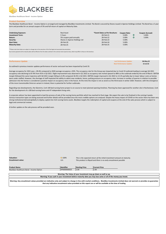

**Blackbee Healthcare Bond - Income Option**

# **Product Overview**

The Blackbee Healthcare Bond - Income Option is arranged and managed by BlackBee Investments Limited. The Bond is secured by Shares issued in Aperee Holdings Limited. The Bond has a 5 year term and provides for an annual coupon of 5% and full return of capital on Maturity Date.

| <b>Underlying Exposure:</b><br><b>Investment Term:</b><br>Return:<br>Security:<br><b>Start Date:</b> | <b>Real Asset</b><br>5 Years<br>5% coupon paid annually<br>Shares in Aperee Holdings Ltd<br>28-Feb-20 | *Event Dates as Per Brochure:<br>28-Feb-21<br>28-Feb-22<br>28-Feb-23<br>28-Feb-24 | <b>Coupon Rate:</b><br>5.00%<br>5.00%<br>5.00%<br>5.00% | Coupon Accrued:<br>5.00%<br>5.00% |
|------------------------------------------------------------------------------------------------------|-------------------------------------------------------------------------------------------------------|-----------------------------------------------------------------------------------|---------------------------------------------------------|-----------------------------------|
| <b>Maturity Date:</b>                                                                                | 28-Feb-25                                                                                             | 28-Feb-25                                                                         | 5.00%                                                   |                                   |

\*\*Please note Event dates are subject to change due to the execution of the final legal and associated documentation.

Any income payments & the maturity date will be effective from the dates outlined in the contract note issued at close, which may differ to those on the brochure.

| <b>Performance Update</b>                                                                               | <b>Last Performance Update:</b> | 06-May-22 |
|---------------------------------------------------------------------------------------------------------|---------------------------------|-----------|
|                                                                                                         | <b>Next Performance Update:</b> | 15-Jul-22 |
| As outlined in previous investor updates performance of sector and asset has been impacted by Covid 19. |                                 |           |

Average occupancy for 2021 was c. 89.4% compared to 2020 average occupancy c.92%. The occupancy rate for the Group was impacted due to Covid 19 outbreak leading to average Q4 2021 occupancy rate declining to 87.9% from 91% in Q3 2021. Slight improvement was observed in Q1 2022 as occupancy rate inched upward to 88% as the outbreak ended by the end of March. EBITDA margin followed the same trajectory with Q4 2021 margin falling to 6.4% compared 18.3% in Q3 2021. EBITDA margin improved in Q1 2022 to 13.1% partially due to lower labour costs as homes were under staffed. However, the shortage of staff impacted the ability to admit new residents, hence, putting pressure on occupancy rates. Increase in number of queries in relation to possible admission into the homes is considered a positive impact on occupancy rates in the future. At this time the impact is not as severe as the third wave in winter 2020. However, with the emergence of the more transmissible Omicron variant in Ireland, there is potential for further outbreaks.

Regarding new developments, the Glanmire, Cork 100 bed nursing home project is on course to meet planned opening timelines. Planning has been approved for another site in Rochestown, Cork for the development of a 100 bed nursing home and 47 independent living units.

A corporate advisor has been appointed to lead the process of sale of the nursing home portfolio which has reached its final stage. We expect the sale to be finalised in the coming 4 weeks. Various transaction types are being assessed and further details will be provided once the most credible options are analysed. Despite the heavy impact of COVID on the sector there has been very strong institutional demand globally to deploy capital into Irish nursing home assets. Blackbee targets the redemption of capital and coupons at the end of the sales process which is subject to legal and commercial reviews.

A further update on the sale process will be provided soon.

| <b>Valuation:</b>                                                                                                                                                                  | $\Rightarrow$ 100% | This is the expected return of the initial investment amount at maturity. |                      |  |  |
|------------------------------------------------------------------------------------------------------------------------------------------------------------------------------------|--------------------|---------------------------------------------------------------------------|----------------------|--|--|
| <b>Encashment value:</b>                                                                                                                                                           | n/a                | This product is illiquid and there is no early encashment possible        |                      |  |  |
| <b>Product Name</b>                                                                                                                                                                | Identifier         | <b>Starting Price</b>                                                     | <b>Current Price</b> |  |  |
| Blackbee Healthcare Bond - Income Option                                                                                                                                           | AP0000000025       | 1.00                                                                      | 1.00                 |  |  |
| Warning: The Value of your investment may go down as well as up.<br>Warning: If you cash in your investment before maturity date you may lose some or all of the money you invest. |                    |                                                                           |                      |  |  |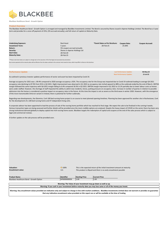

**Blackbee Healthcare Bond - Growth Option**

# **Product Overview**

The Blackbee Healthcare Bond - Growth Option is arranged and managed by BlackBee Investments Limited. The Bond is secured by Shares issued in Aperee Holdings Limited. The Bond has a 5 year term and provides for a once off payment of 25%, (5% accrued annually), and full return of capital on Maturity Date.

| <b>Underlying Exposure:</b>                                                                                                                                        | Real Asset                    | *Event Dates as Per Brochure: | <b>Coupon Rate:</b> | <b>Coupon Accrued:</b> |
|--------------------------------------------------------------------------------------------------------------------------------------------------------------------|-------------------------------|-------------------------------|---------------------|------------------------|
| <b>Investment Term:</b>                                                                                                                                            | 5 years                       | 28-Feb-25                     | 25.00%              |                        |
| Return:                                                                                                                                                            | 5% coupon accrued annually    |                               |                     |                        |
| Security:                                                                                                                                                          | Shares in Aperee Holdings Ltd |                               |                     |                        |
| <b>Start Date:</b>                                                                                                                                                 | 28-Feb-20                     |                               |                     |                        |
| <b>Maturity Date:</b>                                                                                                                                              | 28-Feb-25                     |                               |                     |                        |
|                                                                                                                                                                    |                               |                               |                     |                        |
| ** Please note Event dates are subject to change due to the execution of the final legal and associated documentation.                                             |                               |                               |                     |                        |
| Any income payments & the maturity date will be effective from the dates outlined in the contract note issued at close, which may differ to those on the brochure. |                               |                               |                     |                        |
|                                                                                                                                                                    |                               |                               |                     |                        |

| <b>Performance Update</b>                                                                               | <b>Last Performance Update:</b> | 06-May-22 |
|---------------------------------------------------------------------------------------------------------|---------------------------------|-----------|
|                                                                                                         | <b>Next Performance Update:</b> | 15-Jul-22 |
| As outlined in previous investor updates performance of sector and asset has been impacted by Covid 19. |                                 |           |

Average occupancy for 2021 was c. 89.4% compared to 2020 average occupancy c.92%. The occupancy rate for the Group was impacted due to Covid 19 outbreak leading to average Q4 2021 occupancy rate declining to 87.9% from 91% in Q3 2021. Slight improvement was observed in Q1 2022 as occupancy rate inched upward to 88% as the outbreak ended by the end of March. EBITDA margin followed the same trajectory with Q4 2021 margin falling to 6.4% compared 18.3% in Q3 2021. EBITDA margin improved in Q1 2022 to 13.1% partially due to lower labour costs as homes were under staffed. However, the shortage of staff impacted the ability to admit new residents, hence, putting pressure on occupancy rates. Increase in number of queries in relation to possible admission into the homes is considered a positive impact on occupancy rates in the future. At this time the impact is not as severe as the third wave in winter 2020. However, with the emergence of the more transmissible Omicron variant in Ireland, there is potential for further outbreaks.

Regarding new developments, the Glanmire, Cork 100 bed nursing home project is on course to meet planned opening timelines. Planning has been approved for another site in Rochestown, Cork for the development of a 100 bed nursing home and 47 independent living units.

A corporate advisor has been appointed to lead the process of sale of the nursing home portfolio which has reached its final stage. We expect the sale to be finalised in the coming 4 weeks. Various transaction types are being assessed and further details will be provided once the most credible options are analysed. Despite the heavy impact of COVID on the sector there has been very strong institutional demand globally to deploy capital into Irish nursing home assets. Blackbee targets the redemption of capital and coupons at the end of the sales process which is subject to legal and commercial reviews.

A further update on the sale process will be provided soon.

| <b>Valuation:</b><br>Encashment value:                                                                                                                                                                                                                                                                   | $\Rightarrow$ 100%<br>n/a | This is the expected return of the initial investment amount at maturity.<br>This product is illiquid and there is no early encashment possible |                      |  |  |  |
|----------------------------------------------------------------------------------------------------------------------------------------------------------------------------------------------------------------------------------------------------------------------------------------------------------|---------------------------|-------------------------------------------------------------------------------------------------------------------------------------------------|----------------------|--|--|--|
| <b>Product Name</b>                                                                                                                                                                                                                                                                                      | Identifier                | <b>Starting Price</b>                                                                                                                           | <b>Current Price</b> |  |  |  |
| Blackbee Healthcare Bond - Growth Option                                                                                                                                                                                                                                                                 | AP0000000026              | 1.00                                                                                                                                            | 1.00                 |  |  |  |
| Warning: The Value of your investment may go down as well as up.                                                                                                                                                                                                                                         |                           |                                                                                                                                                 |                      |  |  |  |
| Warning: If you cash in your investment before maturity date you may lose some or all of the money you invest.                                                                                                                                                                                           |                           |                                                                                                                                                 |                      |  |  |  |
| Warning: Any encashment values provided are indicative only and subject to change in line with market conditions. BlackBee Investments Limited does not warrant or provides no guarantee<br>that any indicative encashment value provided on this report are or will be available at the time of trading |                           |                                                                                                                                                 |                      |  |  |  |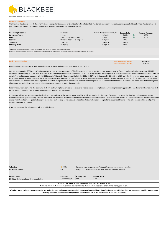

**Blackbee Healthcare Bond II - Income Option**

# **Product Overview**

The Blackbee Healthcare Bond II - Income Option is arranged and managed by BlackBee Investments Limited. The Bond is secured by Shares issued in Aperee Holdings Limited. The Bond has a 5 year term and provides for an annual coupon of 5% and full return of capital on Maturity Date.

| <b>Underlying Exposure:</b><br><b>Investment Term:</b><br>Return:<br>Security: | Real Asset<br>5 Years<br>5% coupon paid annually<br>Shares in Aperee Holdings Ltd | *Event Dates as Per Brochure:<br>28-Apr-21<br>28-Apr-22<br>28-Apr-23 | <b>Coupon Rate:</b><br>5.00%<br>5.00%<br>5.00% | им | <b>Coupon Accrued:</b><br>5.00%<br>5.00% |
|--------------------------------------------------------------------------------|-----------------------------------------------------------------------------------|----------------------------------------------------------------------|------------------------------------------------|----|------------------------------------------|
| <b>Start Date:</b><br><b>Maturity Date:</b>                                    | 27-Apr-20<br>28-Apr-25                                                            | 28-Apr-24<br>28-Apr-25                                               | 5.00%<br>5.00%                                 |    |                                          |

\*\*Please note Event dates are subject to change due to the execution of the final legal and associated documentation.

Any income payments & the maturity date will be effective from the dates outlined in the contract note issued at close, which may differ to those on the brochure.

| <b>Performance Update</b>                                                                               | <b>Last Performance Update:</b> | 06-May-22 |
|---------------------------------------------------------------------------------------------------------|---------------------------------|-----------|
|                                                                                                         | <b>Next Performance Update:</b> | 15-Jul-22 |
| As outlined in previous investor updates performance of sector and asset has been impacted by Covid 19. |                                 |           |

Average occupancy for 2021 was c. 89.4% compared to 2020 average occupancy c.92%. The occupancy rate for the Group was impacted due to Covid 19 outbreak leading to average Q4 2021 occupancy rate declining to 87.9% from 91% in Q3 2021. Slight improvement was observed in Q1 2022 as occupancy rate inched upward to 88% as the outbreak ended by the end of March. EBITDA margin followed the same trajectory with Q4 2021 margin falling to 6.4% compared 18.3% in Q3 2021. EBITDA margin improved in Q1 2022 to 13.1% partially due to lower labour costs as homes were under staffed. However, the shortage of staff impacted the ability to admit new residents, hence, putting pressure on occupancy rates. Increase in number of queries in relation to possible admission into the homes is considered a positive impact on occupancy rates in the future. At this time the impact is not as severe as the third wave in winter 2020. However, with the emergence of the more transmissible Omicron variant in Ireland, there is potential for further outbreaks.

Regarding new developments, the Glanmire, Cork 100 bed nursing home project is on course to meet planned opening timelines. Planning has been approved for another site in Rochestown, Cork for the development of a 100 bed nursing home and 47 independent living units.

A corporate advisor has been appointed to lead the process of sale of the nursing home portfolio which has reached its final stage. We expect the sale to be finalised in the coming 4 weeks. Various transaction types are being assessed and further details will be provided once the most credible options are analysed. Despite the heavy impact of COVID on the sector there has been very strong institutional demand globally to deploy capital into Irish nursing home assets. Blackbee targets the redemption of capital and coupons at the end of the sales process which is subject to legal and commercial reviews.

A further update on the sale process will be provided soon.

| <b>Valuation:</b>                                                                                                                                                                        | $\Rightarrow$ 100% | This is the expected return of the initial investment amount at maturity. |                                                                  |  |  |
|------------------------------------------------------------------------------------------------------------------------------------------------------------------------------------------|--------------------|---------------------------------------------------------------------------|------------------------------------------------------------------|--|--|
| <b>Encashment value:</b>                                                                                                                                                                 | n/a                | This product is illiquid and there is no early encashment possible        |                                                                  |  |  |
|                                                                                                                                                                                          |                    |                                                                           |                                                                  |  |  |
|                                                                                                                                                                                          |                    |                                                                           |                                                                  |  |  |
| <b>Product Name</b>                                                                                                                                                                      | Identifier         | <b>Starting Price</b>                                                     | <b>Current Price</b>                                             |  |  |
| Blackbee Healthcare Bond II - Income Option                                                                                                                                              | AP0000000031       | 1.00                                                                      | 1.00                                                             |  |  |
|                                                                                                                                                                                          |                    |                                                                           |                                                                  |  |  |
|                                                                                                                                                                                          |                    |                                                                           | Warning: The Value of your investment may go down as well as up. |  |  |
| Warning: If you cash in your investment before maturity date you may lose some or all of the money you invest.                                                                           |                    |                                                                           |                                                                  |  |  |
|                                                                                                                                                                                          |                    |                                                                           |                                                                  |  |  |
| Warning: Any encashment values provided are indicative only and subject to change in line with market conditions. BlackBee Investments Limited does not warrant or provides no guarantee |                    |                                                                           |                                                                  |  |  |
| that any indicative encashment value provided on this report are or will be available at the time of trading                                                                             |                    |                                                                           |                                                                  |  |  |

*This is the expected return of the initial investment amount at maturity.*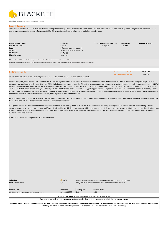

**Blackbee Healthcare Bond II - Growth Option**

# **Product Overview**

The Blackbee Healthcare Bond II - Growth Option is arranged and managed by BlackBee Investments Limited. The Bond is secured by Shares issued in Aperee Holdings Limited. The Bond has a 5 year term and provides for a once off payment of 25%, (5% accrued annually), and full return of capital on Maturity Date.

| <b>Underlying Exposure:</b>                                                                                                                                        | Real Asset                    | *Event Dates as Per Brochure: | <b>Coupon Rate:</b> | <b>Coupon Accrued:</b> |  |  |
|--------------------------------------------------------------------------------------------------------------------------------------------------------------------|-------------------------------|-------------------------------|---------------------|------------------------|--|--|
| <b>Investment Term:</b>                                                                                                                                            | 5 years                       | 28-Apr-25                     | 25.00%              |                        |  |  |
| Return:                                                                                                                                                            | 5% coupon accrued annually    |                               |                     |                        |  |  |
| Security:                                                                                                                                                          | Shares in Aperee Holdings Ltd |                               |                     |                        |  |  |
| <b>Start Date:</b>                                                                                                                                                 | 27-Apr-20                     |                               |                     |                        |  |  |
| <b>Maturity Date:</b>                                                                                                                                              | 28-Apr-25                     |                               |                     |                        |  |  |
|                                                                                                                                                                    |                               |                               |                     |                        |  |  |
| ** Please note Event dates are subject to change due to the execution of the final legal and associated documentation.                                             |                               |                               |                     |                        |  |  |
| Any income payments & the maturity date will be effective from the dates outlined in the contract note issued at close, which may differ to those on the brochure. |                               |                               |                     |                        |  |  |

| <b>Performance Update</b>                                                                               | <b>Last Performance Update:</b> | 06-May-22 |
|---------------------------------------------------------------------------------------------------------|---------------------------------|-----------|
|                                                                                                         | <b>Next Performance Update:</b> | 15-Jul-22 |
| As outlined in previous investor updates performance of sector and asset has been impacted by Covid 19. |                                 |           |

Average occupancy for 2021 was c. 89.4% compared to 2020 average occupancy c.92%. The occupancy rate for the Group was impacted due to Covid 19 outbreak leading to average Q4 2021 occupancy rate declining to 87.9% from 91% in Q3 2021. Slight improvement was observed in Q1 2022 as occupancy rate inched upward to 88% as the outbreak ended by the end of March. EBITDA margin followed the same trajectory with Q4 2021 margin falling to 6.4% compared 18.3% in Q3 2021. EBITDA margin improved in Q1 2022 to 13.1% partially due to lower labour costs as homes were under staffed. However, the shortage of staff impacted the ability to admit new residents, hence, putting pressure on occupancy rates. Increase in number of queries in relation to possible admission into the homes is considered a positive impact on occupancy rates in the future. At this time the impact is not as severe as the third wave in winter 2020. However, with the emergence of the more transmissible Omicron variant in Ireland, there is potential for further outbreaks.

Regarding new developments, the Glanmire, Cork 100 bed nursing home project is on course to meet planned opening timelines. Planning has been approved for another site in Rochestown, Cork for the development of a 100 bed nursing home and 47 independent living units.

A corporate advisor has been appointed to lead the process of sale of the nursing home portfolio which has reached its final stage. We expect the sale to be finalised in the coming 4 weeks. Various transaction types are being assessed and further details will be provided once the most credible options are analysed. Despite the heavy impact of COVID on the sector there has been very strong institutional demand globally to deploy capital into Irish nursing home assets. Blackbee targets the redemption of capital and coupons at the end of the sales process which is subject to legal and commercial reviews.

A further update on the sale process will be provided soon.

| <b>Valuation:</b>                                                                                                                                                                        | $\rightarrow$ 100% | This is the expected return of the initial investment amount at maturity. |                                                                  |  |  |
|------------------------------------------------------------------------------------------------------------------------------------------------------------------------------------------|--------------------|---------------------------------------------------------------------------|------------------------------------------------------------------|--|--|
| <b>Encashment value:</b>                                                                                                                                                                 | n/a                | This product is illiquid and there is no early encashment possible        |                                                                  |  |  |
|                                                                                                                                                                                          |                    |                                                                           |                                                                  |  |  |
|                                                                                                                                                                                          |                    |                                                                           |                                                                  |  |  |
| <b>Product Name</b>                                                                                                                                                                      | Identifier         | <b>Starting Price</b>                                                     | <b>Current Price</b>                                             |  |  |
| Blackbee Healthcare Bond II - Growth Option                                                                                                                                              | AP0000000030       | 1.00                                                                      | 1.00                                                             |  |  |
|                                                                                                                                                                                          |                    |                                                                           |                                                                  |  |  |
|                                                                                                                                                                                          |                    |                                                                           | Warning: The Value of your investment may go down as well as up. |  |  |
| Warning: If you cash in your investment before maturity date you may lose some or all of the money you invest.                                                                           |                    |                                                                           |                                                                  |  |  |
|                                                                                                                                                                                          |                    |                                                                           |                                                                  |  |  |
| Warning: Any encashment values provided are indicative only and subject to change in line with market conditions. BlackBee Investments Limited does not warrant or provides no guarantee |                    |                                                                           |                                                                  |  |  |

**that any indicative encashment value provided on this report are or will be available at the time of trading**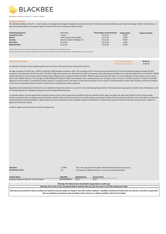

**Blackbee Healthcare Bond III - Income Option**

# **Product Overview**

The Blackbee Healthcare Bond III - Income Option is arranged and managed by BlackBee Investments Limited. The Bond is secured by Shares issued in Aperee Holdings Limited. The Bond has a 5 year term and provides for an annual coupon of 4.5% and full return of capital on Maturity Date.

| <b>Underlying Exposure:</b><br><b>Investment Term:</b> | Real Asset<br>5 Years         | *Event Dates as Per Brochure:<br>$01$ -Jul-21 | <b>Coupon Rate:</b><br>4.50% | <b>Coupon Accrued:</b> |
|--------------------------------------------------------|-------------------------------|-----------------------------------------------|------------------------------|------------------------|
|                                                        |                               |                                               | 4.50%                        |                        |
| Return:                                                | 4.5% coupon paid annually     | $01$ -Jul-22                                  |                              |                        |
| Security:                                              | Shares in Aperee Holdings Ltd | $01$ -Jul-23                                  | 4.50%                        |                        |
| <b>Start Date:</b>                                     | 01-Jul-20                     | $01$ -Jul-24                                  | 4.50%                        |                        |
| <b>Maturity Date:</b>                                  | $01$ -Jul-25                  | $01$ -Jul-25                                  | 4.50%                        |                        |

\*\*Please note Event dates are subject to change due to the execution of the final legal and associated documentation.

Any income payments & the maturity date will be effective from the dates outlined in the contract note issued at close, which may differ to those on the brochure.

| <b>Performance Update</b>                                                                               | <b>Last Performance Update:</b> | 06-May-22 |
|---------------------------------------------------------------------------------------------------------|---------------------------------|-----------|
|                                                                                                         | <b>Next Performance Update:</b> | 15-Jul-22 |
| As outlined in previous investor updates performance of sector and asset has been impacted by Covid 19. |                                 |           |

Average occupancy for 2021 was c. 89.4% compared to 2020 average occupancy c.92%. The occupancy rate for the Group was impacted due to Covid 19 outbreak leading to average Q4 2021 occupancy rate declining to 87.9% from 91% in Q3 2021. Slight improvement was observed in Q1 2022 as occupancy rate inched upward to 88% as the outbreak ended by the end of March. EBITDA margin followed the same trajectory with Q4 2021 margin falling to 6.4% compared 18.3% in Q3 2021. EBITDA margin improved in Q1 2022 to 13.1% partially due to lower labour costs as homes were under staffed. However, the shortage of staff impacted the ability to admit new residents, hence, putting pressure on occupancy rates. Increase in number of queries in relation to possible admission into the homes is considered a positive impact on occupancy rates in the future. At this time the impact is not as severe as the third wave in winter 2020. However, with the emergence of the more transmissible Omicron variant in Ireland, there is potential for further outbreaks.

Regarding new developments, the Glanmire, Cork 100 bed nursing home project is on course to meet planned opening timelines. Planning has been approved for another site in Rochestown, Cork for the development of a 100 bed nursing home and 47 independent living units.

A corporate advisor has been appointed to lead the process of sale of the nursing home portfolio which has reached its final stage. We expect the sale to be finalised in the coming 4 weeks. Various transaction types are being assessed and further details will be provided once the most credible options are analysed. Despite the heavy impact of COVID on the sector there has been very strong institutional demand globally to deploy capital into Irish nursing home assets. Blackbee targets the redemption of capital and coupons at the end of the sales process which is subject to legal and commercial reviews.

A further update on the sale process will be provided soon.

| <b>Valuation:</b><br>Encashment value:                                                                                                                                                                                                                                                                   | $\Rightarrow$ 100%<br>n/a | This is the expected return of the initial investment amount at maturity.<br>This product is illiquid and there is no early encashment possible |                      |  |  |
|----------------------------------------------------------------------------------------------------------------------------------------------------------------------------------------------------------------------------------------------------------------------------------------------------------|---------------------------|-------------------------------------------------------------------------------------------------------------------------------------------------|----------------------|--|--|
| <b>Product Name</b>                                                                                                                                                                                                                                                                                      | Identifier                | <b>Starting Price</b>                                                                                                                           | <b>Current Price</b> |  |  |
| Blackbee Healthcare Bond III - Income Option                                                                                                                                                                                                                                                             | AP0000000033              | 1.00                                                                                                                                            | 1.00                 |  |  |
| Warning: The Value of your investment may go down as well as up.                                                                                                                                                                                                                                         |                           |                                                                                                                                                 |                      |  |  |
| Warning: If you cash in your investment before maturity date you may lose some or all of the money you invest.                                                                                                                                                                                           |                           |                                                                                                                                                 |                      |  |  |
| Warning: Any encashment values provided are indicative only and subject to change in line with market conditions. BlackBee Investments Limited does not warrant or provides no guarantee<br>that any indicative encashment value provided on this report are or will be available at the time of trading |                           |                                                                                                                                                 |                      |  |  |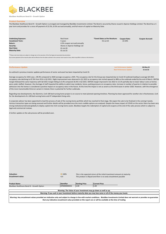

**Blackbee Healthcare Bond III - Growth Option**

# **Product Overview**

The Blackbee Healthcare Bond III - Growth Option is arranged and managed by BlackBee Investments Limited. The Bond is secured by Shares issued in Aperee Holdings Limited. The Bond has a 5 year term and provides for a once off payment of 22.5%, (4.5% accrued annually), and full return of capital on Maturity Date.

| <b>Underlying Exposure:</b>                                                                                                                                        | Real Asset                    | *Event Dates as Per Brochure: | <b>Coupon Rate:</b>             | <b>Coupon Accrued:</b> |
|--------------------------------------------------------------------------------------------------------------------------------------------------------------------|-------------------------------|-------------------------------|---------------------------------|------------------------|
| <b>Investment Term:</b>                                                                                                                                            | 5 years                       | $01$ -Jul-25                  | 22.50%                          |                        |
| Return:                                                                                                                                                            | 4.5% coupon accrued annually  |                               |                                 |                        |
| Security:                                                                                                                                                          | Shares in Aperee Holdings Ltd |                               |                                 |                        |
| <b>Start Date:</b>                                                                                                                                                 | $01$ -Jul-20                  |                               |                                 |                        |
| <b>Maturity Date:</b>                                                                                                                                              | $01$ -Jul-25                  |                               |                                 |                        |
|                                                                                                                                                                    |                               |                               |                                 |                        |
| ** Please note Event dates are subject to change due to the execution of the final legal and associated documentation.                                             |                               |                               |                                 |                        |
| Any income payments & the maturity date will be effective from the dates outlined in the contract note issued at close, which may differ to those on the brochure. |                               |                               |                                 |                        |
|                                                                                                                                                                    |                               |                               |                                 |                        |
|                                                                                                                                                                    |                               |                               |                                 |                        |
|                                                                                                                                                                    |                               |                               |                                 |                        |
| <b>Performance Update</b>                                                                                                                                          |                               |                               | <b>Last Performance Update:</b> | 06-May-22              |
|                                                                                                                                                                    |                               |                               | <b>Next Performance Update:</b> | 15-Jul-22              |

As outlined in previous investor updates performance of sector and asset has been impacted by Covid 19.

Average occupancy for 2021 was c. 89.4% compared to 2020 average occupancy c.92%. The occupancy rate for the Group was impacted due to Covid 19 outbreak leading to average Q4 2021 occupancy rate declining to 87.9% from 91% in Q3 2021. Slight improvement was observed in Q1 2022 as occupancy rate inched upward to 88% as the outbreak ended by the end of March. EBITDA margin followed the same trajectory with Q4 2021 margin falling to 6.4% compared 18.3% in Q3 2021. EBITDA margin improved in Q1 2022 to 13.1% partially due to lower labour costs as homes were under staffed. However, the shortage of staff impacted the ability to admit new residents, hence, putting pressure on occupancy rates. Increase in number of queries in relation to possible admission into the homes is considered a positive impact on occupancy rates in the future. At this time the impact is not as severe as the third wave in winter 2020. However, with the emergence of the more transmissible Omicron variant in Ireland, there is potential for further outbreaks.

Regarding new developments, the Glanmire, Cork 100 bed nursing home project is on course to meet planned opening timelines. Planning has been approved for another site in Rochestown, Cork for the development of a 100 bed nursing home and 47 independent living units.

A corporate advisor has been appointed to lead the process of sale of the nursing home portfolio which has reached its final stage. We expect the sale to be finalised in the coming 4 weeks. Various transaction types are being assessed and further details will be provided once the most credible options are analysed. Despite the heavy impact of COVID on the sector there has been very strong institutional demand globally to deploy capital into Irish nursing home assets. Blackbee targets the redemption of capital and coupons at the end of the sales process which is subject to legal and commercial reviews.

A further update on the sale process will be provided soon.

**Valuation:** 100%

| <b>Encashment value:</b>                                                                                                                                                                 | n/a          | This product is illiquid and there is no early encashment possible |                                                                                                              |  |  |
|------------------------------------------------------------------------------------------------------------------------------------------------------------------------------------------|--------------|--------------------------------------------------------------------|--------------------------------------------------------------------------------------------------------------|--|--|
|                                                                                                                                                                                          |              |                                                                    |                                                                                                              |  |  |
|                                                                                                                                                                                          |              |                                                                    |                                                                                                              |  |  |
| <b>Product Name</b>                                                                                                                                                                      | Identifier   | <b>Starting Price</b>                                              | <b>Current Price</b>                                                                                         |  |  |
| Blackbee Healthcare Bond III - Growth Option                                                                                                                                             | AP0000000032 | 1.00                                                               | 1.00                                                                                                         |  |  |
|                                                                                                                                                                                          |              |                                                                    |                                                                                                              |  |  |
| Warning: The Value of your investment may go down as well as up.                                                                                                                         |              |                                                                    |                                                                                                              |  |  |
| Warning: If you cash in your investment before maturity date you may lose some or all of the money you invest.                                                                           |              |                                                                    |                                                                                                              |  |  |
|                                                                                                                                                                                          |              |                                                                    |                                                                                                              |  |  |
| Warning: Any encashment values provided are indicative only and subject to change in line with market conditions. BlackBee Investments Limited does not warrant or provides no guarantee |              |                                                                    |                                                                                                              |  |  |
|                                                                                                                                                                                          |              |                                                                    | that any indicative encashment value provided on this report are or will be available at the time of trading |  |  |

*This is the expected return of the initial investment amount at maturity.*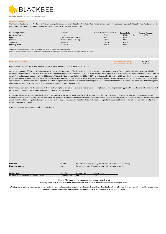

**Blackbee Healthcare Bond IV - Income Option**

# **Product Overview**

The Blackbee Healthcare Bond IV - Income Option is arranged and managed by BlackBee Investments Limited. The Bond is secured by Shares issued in Aperee Holdings Limited. The Bond has a 5 year term and provides for an annual coupon of 4.5% and full return of capital on Maturity Date.

| <b>Underlying Exposure:</b><br><b>Investment Term:</b><br>Return:<br>Security: | Real Asset<br>5 Years<br>4.5% coupon paid annually<br>Shares in Aperee Holdings Ltd | *Event Dates as Per Brochure:<br>15-Sep-21<br>15-Sep-22<br>15-Sep-23 | <b>Coupon Rate:</b><br>4.50%<br>4.50%<br>4.50% | ив | <b>Coupon Accrued:</b><br>4.50% |
|--------------------------------------------------------------------------------|-------------------------------------------------------------------------------------|----------------------------------------------------------------------|------------------------------------------------|----|---------------------------------|
| <b>Start Date:</b>                                                             | 14-Sep-20                                                                           | 15-Sep-24                                                            | 4.50%                                          |    |                                 |
| <b>Maturity Date:</b>                                                          | 15-Sep-25                                                                           | 15-Sep-25                                                            | 4.50%                                          |    |                                 |

\*\*Please note Event dates are subject to change due to the execution of the final legal and associated documentation.

Any income payments & the maturity date will be effective from the dates outlined in the contract note issued at close, which may differ to those on the brochure.

| <b>Performance Update</b>                                                                               | <b>Last Performance Update:</b> | 06-May-22 |
|---------------------------------------------------------------------------------------------------------|---------------------------------|-----------|
|                                                                                                         | <b>Next Performance Update:</b> | 15-Jul-22 |
| As outlined in previous investor updates performance of sector and asset has been impacted by Covid 19. |                                 |           |

Average occupancy for 2021 was c. 89.4% compared to 2020 average occupancy c.92%. The occupancy rate for the Group was impacted due to Covid 19 outbreak leading to average Q4 2021 occupancy rate declining to 87.9% from 91% in Q3 2021. Slight improvement was observed in Q1 2022 as occupancy rate inched upward to 88% as the outbreak ended by the end of March. EBITDA margin followed the same trajectory with Q4 2021 margin falling to 6.4% compared 18.3% in Q3 2021. EBITDA margin improved in Q1 2022 to 13.1% partially due to lower labour costs as homes were under staffed. However, the shortage of staff impacted the ability to admit new residents, hence, putting pressure on occupancy rates. Increase in number of queries in relation to possible admission into the homes is considered a positive impact on occupancy rates in the future. At this time the impact is not as severe as the third wave in winter 2020. However, with the emergence of the more transmissible Omicron variant in Ireland, there is potential for further outbreaks.

Regarding new developments, the Glanmire, Cork 100 bed nursing home project is on course to meet planned opening timelines. Planning has been approved for another site in Rochestown, Cork for the development of a 100 bed nursing home and 47 independent living units.

A corporate advisor has been appointed to lead the process of sale of the nursing home portfolio which has reached its final stage. We expect the sale to be finalised in the coming 4 weeks. Various transaction types are being assessed and further details will be provided once the most credible options are analysed. Despite the heavy impact of COVID on the sector there has been very strong institutional demand globally to deploy capital into Irish nursing home assets. Blackbee targets the redemption of capital and coupons at the end of the sales process which is subject to legal and commercial reviews.

A further update on the sale process will be provided soon.

| <b>Valuation:</b>                                                                                                                                                                                                                                                                                             | $\Rightarrow$ 100% | This is the expected return of the initial investment amount at maturity. |                      |  |  |  |
|---------------------------------------------------------------------------------------------------------------------------------------------------------------------------------------------------------------------------------------------------------------------------------------------------------------|--------------------|---------------------------------------------------------------------------|----------------------|--|--|--|
| <b>Encashment value:</b>                                                                                                                                                                                                                                                                                      | n/a                | This product is illiquid and there is no early encashment possible        |                      |  |  |  |
| <b>Product Name</b>                                                                                                                                                                                                                                                                                           | Identifier         | <b>Starting Price</b>                                                     | <b>Current Price</b> |  |  |  |
| Blackbee Healthcare Bond IV - Income Option                                                                                                                                                                                                                                                                   | AP0000000035       | 1.00                                                                      | 1.00                 |  |  |  |
| Warning: The Value of your investment may go down as well as up.                                                                                                                                                                                                                                              |                    |                                                                           |                      |  |  |  |
| Warning: If you cash in your investment before maturity date you may lose some or all of the money you invest.<br>Warning: Any ancochromate values provided are indicative only and subject to change in line with market conditions. BlackBee Investments Limited does not warrant or provides no guarantee. |                    |                                                                           |                      |  |  |  |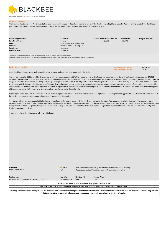

**Blackbee Healthcare Bond IV - Growth Option**

# **Product Overview**

The Blackbee Healthcare Bond IV - Growth Option is arranged and managed by BlackBee Investments Limited. The Bond is secured by Shares issued in Aperee Holdings Limited. The Bond has a 5 year term and provides for a once off payment of 22.5%, (4.5% accrued annually), and full return of capital on Maturity Date.

| <b>Underlying Exposure:</b>                                                                                                                                        | Real Asset                    | *Event Dates as Per Brochure: | <b>Coupon Rate:</b>             | <b>Coupon Accrued:</b> |
|--------------------------------------------------------------------------------------------------------------------------------------------------------------------|-------------------------------|-------------------------------|---------------------------------|------------------------|
| <b>Investment Term:</b>                                                                                                                                            | 5 years                       | 15-Sep-25                     | 22.50%                          |                        |
| Return:                                                                                                                                                            | 4.5% coupon accrued annually  |                               |                                 |                        |
| Security:                                                                                                                                                          | Shares in Aperee Holdings Ltd |                               |                                 |                        |
| <b>Start Date:</b>                                                                                                                                                 | 14-Sep-20                     |                               |                                 |                        |
| <b>Maturity Date:</b>                                                                                                                                              | 15-Sep-25                     |                               |                                 |                        |
|                                                                                                                                                                    |                               |                               |                                 |                        |
| ** Please note Event dates are subject to change due to the execution of the final legal and associated documentation.                                             |                               |                               |                                 |                        |
| Any income payments & the maturity date will be effective from the dates outlined in the contract note issued at close, which may differ to those on the brochure. |                               |                               |                                 |                        |
|                                                                                                                                                                    |                               |                               |                                 |                        |
|                                                                                                                                                                    |                               |                               |                                 |                        |
|                                                                                                                                                                    |                               |                               |                                 |                        |
| <b>Performance Update</b>                                                                                                                                          |                               |                               | <b>Last Performance Update:</b> | 06-May-22              |
|                                                                                                                                                                    |                               |                               | <b>Next Performance Update:</b> | 15-Jul-22              |

As outlined in previous investor updates performance of sector and asset has been impacted by Covid 19.

Average occupancy for 2021 was c. 89.4% compared to 2020 average occupancy c.92%. The occupancy rate for the Group was impacted due to Covid 19 outbreak leading to average Q4 2021 occupancy rate declining to 87.9% from 91% in Q3 2021. Slight improvement was observed in Q1 2022 as occupancy rate inched upward to 88% as the outbreak ended by the end of March. EBITDA margin followed the same trajectory with Q4 2021 margin falling to 6.4% compared 18.3% in Q3 2021. EBITDA margin improved in Q1 2022 to 13.1% partially due to lower labour costs as homes were under staffed. However, the shortage of staff impacted the ability to admit new residents, hence, putting pressure on occupancy rates. Increase in number of queries in relation to possible admission into the homes is considered a positive impact on occupancy rates in the future. At this time the impact is not as severe as the third wave in winter 2020. However, with the emergence of the more transmissible Omicron variant in Ireland, there is potential for further outbreaks.

Regarding new developments, the Glanmire, Cork 100 bed nursing home project is on course to meet planned opening timelines. Planning has been approved for another site in Rochestown, Cork for the development of a 100 bed nursing home and 47 independent living units.

A corporate advisor has been appointed to lead the process of sale of the nursing home portfolio which has reached its final stage. We expect the sale to be finalised in the coming 4 weeks. Various transaction types are being assessed and further details will be provided once the most credible options are analysed. Despite the heavy impact of COVID on the sector there has been very strong institutional demand globally to deploy capital into Irish nursing home assets. Blackbee targets the redemption of capital and coupons at the end of the sales process which is subject to legal and commercial reviews.

A further update on the sale process will be provided soon.

| <b>Valuation:</b><br><b>Encashment value:</b>                                                                                                                                                                                                                                                            | $\Rightarrow$ 100%<br>n/a | This is the expected return of the initial investment amount at maturity.<br>This product is illiquid and there is no early encashment possible |                                                                                                                |  |  |  |
|----------------------------------------------------------------------------------------------------------------------------------------------------------------------------------------------------------------------------------------------------------------------------------------------------------|---------------------------|-------------------------------------------------------------------------------------------------------------------------------------------------|----------------------------------------------------------------------------------------------------------------|--|--|--|
| <b>Product Name</b>                                                                                                                                                                                                                                                                                      | Identifier                | <b>Starting Price</b>                                                                                                                           | <b>Current Price</b>                                                                                           |  |  |  |
| Blackbee Healthcare Bond IV - Growth Option                                                                                                                                                                                                                                                              | AP0000000034              | 1.00                                                                                                                                            | 1.00                                                                                                           |  |  |  |
| Warning: The Value of your investment may go down as well as up.                                                                                                                                                                                                                                         |                           |                                                                                                                                                 |                                                                                                                |  |  |  |
|                                                                                                                                                                                                                                                                                                          |                           |                                                                                                                                                 | Warning: If you cash in your investment before maturity date you may lose some or all of the money you invest. |  |  |  |
| Warning: Any encashment values provided are indicative only and subject to change in line with market conditions. BlackBee Investments Limited does not warrant or provides no guarantee<br>that any indicative encashment value provided on this report are or will be available at the time of trading |                           |                                                                                                                                                 |                                                                                                                |  |  |  |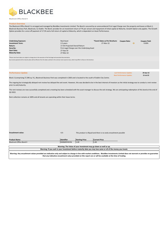

**Blackrock Office Bond II**

#### **Product Overview**

The Blackrock Office Bond II is arranged and managed by BlackBee Investments Limited. The Bond is secured by an unencumbered First Legal Charge over the property and leases at Block 2, Blackrock Business Park, Blackrock, Co Dublin. The Bond provides for an investment return of 7% per annum and repayment of initial capital at Maturity. Growth Option only applies. The Growth Option provides for a once off payment of 17.5% and a full return of capital at Maturity, which is dependent on Asset Performance.

| <b>Underlying Exposure:</b><br><b>Investment Term:</b>                                                               | Real Asset<br>2.5 years                      | *Event Dates as Per Brochure:<br>27-Mar-22 | <b>Coupon Rate:</b> | <b>Coupon Paid:</b><br>0.00% |
|----------------------------------------------------------------------------------------------------------------------|----------------------------------------------|--------------------------------------------|---------------------|------------------------------|
| Return:                                                                                                              | 17.5% Projected Overall Return               |                                            |                     |                              |
| Security:                                                                                                            | First Legal Charge over the Underlying Asset |                                            |                     |                              |
| <b>Start Date:</b>                                                                                                   | 27-Sep-19                                    |                                            |                     |                              |
| <b>Maturity Date:</b>                                                                                                | 27-Mar-22                                    |                                            |                     |                              |
|                                                                                                                      |                                              |                                            |                     |                              |
| *Please note Event dates are subject to change due to the execution of the final legal and associated documentation. |                                              |                                            |                     |                              |

Any income payments & the maturity date will be effective from the dates outlined in the contract note issued at close, which may differ to those on the brochure.

| <b>Performance Update</b>                                                                                                            | <b>Last Performance Update:</b> | 29-Apr-22 |
|--------------------------------------------------------------------------------------------------------------------------------------|---------------------------------|-----------|
|                                                                                                                                      | <b>Next Performance Update:</b> | 15-Jul-22 |
| Diede 3 (commission 37,300 ca. 4k.), Diedemole Deutsche Deutschen gemeintend in 3003 and in Jonated to the constitution City, Contra |                                 |           |

Block 2 (comprising 27,396 sq. ft.), Blackrock Business Park was completed in 2003 and is located to the south of Dublin City Centre.

The ongoing but strategically delayed rent review has delayed the exit event. However, this was decided to be in the best interest of investors as the initial strategy was to conduct a rent review prior to exit/maturity.

The rent reviews are now succesfully completed and a meeting has been scheduled with the asset manager to discuss the exit strategy. We are anticipating redemption of this bond at the end of Q3 2022.

Rent collection remains at 100% and all tenants are operating within their lease terms.

**Encashment value:** n/a

*This product is illiquid and there is no early encashment possible*

| <b>Product Name</b>      | Identifier   | <b>rting Price</b> | <b>Current Price</b> |
|--------------------------|--------------|--------------------|----------------------|
| Blackrock Office Bond II | IE00BJRFWV56 | 1.00               | 1.00                 |
|                          |              |                    |                      |

**Warning: The Value of your investment may go down as well as up. Warning: If you cash in your investment before maturity date you may lose some or all of the money you invest.**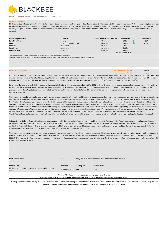

**Blackrock: A Dublin Property Investment Portfolio - Income Option**

# **Product Overview**

Blackrock: A Dublin Property Investment Portfolio - Income Option is arranged and managed by BlackBee Investments. Blackrock: A Dublin Property Investment Portfolio - Income Option provides for an investment return of 5% per annum (subject to availability). Investors are forecast to receive a further payment at Maturity from Net Proceeds of disposal of assets/liquidation of SPV returning a larger IRR of 14%. Capital will be returned from sale of assets / SPV with partial redemption targeted for 2022 from disposal of Zurich Building and full redemption thereafter at maturity.

| <b>Underlying Exposure:</b><br><b>Investment Term:</b><br>Return: | <b>Real Asset</b><br>5 years<br>5% coupon paid annually | *Event Dates as Per Brochure:<br>08-Mar-20<br>08-Mar-21 | <b>Coupon Rate:</b><br>5.00%<br>5.00% | ИΝ<br>И١ | <b>Coupon Paid:</b><br>5.00%<br>5.00% |
|-------------------------------------------------------------------|---------------------------------------------------------|---------------------------------------------------------|---------------------------------------|----------|---------------------------------------|
| Security:<br><b>Start Date:</b>                                   | Unsecured<br>08-Mar-19                                  | 08-Mar-22<br>08-Mar-23                                  | 5.00%<br>5.00%                        |          |                                       |
| <b>Maturity Date:</b>                                             | 08-Mar-24                                               | 08-Mar-24                                               | 5.00%<br>Not Procoods Roturn:         |          |                                       |

note Event dates are subject to change due to the execution of the final legal and associated doc

ants & the maturity date will be effective from the dates outlined in the contract note issued at close, which may differ to those on the broch

| <b>Performance Update</b>                                                                                                                                                                         | <b>Last Performance Update:</b> | 31-Mar-22 |
|---------------------------------------------------------------------------------------------------------------------------------------------------------------------------------------------------|---------------------------------|-----------|
|                                                                                                                                                                                                   | <b>Next Performance Update:</b> | 30-Jun-22 |
| Zurich House & Blackrock Hall: Original strategy remains in place for the Zurich House & Blackrock Hall buildings. It was confirmed on 24th February 2021 that Dun Laoghaire Rathdown Council had |                                 |           |

granted planning permission to extend the buildings to more than 66,000 sqft and refurbish the interiors and exteriors. The final date for any appeals to An Bord Pleanala (ABP) was 23rd March 2021 and ABP confirmed on 26th March 2021 that no appeals had been received and the architects are awaiting receipt of the full planning grant. Planning ref: D20A/0557

Zurich were the tenants in both Zurich House and Blackrock Hall. The Zurich House lease expired on 1st May 2021, with Zurich implementing a three month rolling break on one month's notice in Blackrock Hall up to lease expiry on 1st May 2021. Initial projections had assumed Zurich will remain in both buildings until 1st May 2021 and Zurich have now vacated both buildings at the projected leaving date. Negotiations were ongoing between tenant and landlord in relation to tenant dilapidations and a fee has been agreed which will used to maintain the upkeep of the building while vacant.

The operator had conducted initial discussions with agents to secure a pre-let of the entire building prior to redevelopment, however, these negotiations were unsuccessful. Now that planning has been granted, the operator and Blackbee have been assessing the optimal strategy for the premises in line with current market conditions and it has been decided to follow the initial strategy from the investment prospectus which was to put the Zurich House and Blackrock Hall buildings on the market. Sales agents have been appointed. A full marketing brochure is available on the sales agents website. The initial strategy was to allow for a 3-month sales process and to then invite interested parties to make bids. A number of viewings took place with strong interest from a number of interested parties. However, due to the uncertainty around inflating construction costs, many bidders were unable to commit to bidding at the guide price or above. The operator and sales agent felt that none of the bids received were satisfactory and would have not have generated a satisfactory return for investors. As a result, no bid was accepted. The bids received were below the sale agent and operators thoughts on the value and the guide price. The intention now will be to reposition the building with a view to offering the property for lease. The strategy will now be to ensure that St Johns House is fully occupied and then sold. A tenant is pricing up the fit out of a unit in St Johns House so would be hopeful that this will proceed.

St John's House, Tallaght: Covid-19 has impacted on the timing of achieving new lettings. Vacancy rate at acquisition was 21%. Following advice from letting agents timing of proposed capital expenditure on vacant space was brought forward to make the space more attractive to prospective tenants. Whilst there was positive interest from prospective tenants pre-Covid 19, decisions on Heads of Terms with 2 prospective tenants have been deferred further until businesses are able to gain further clarity on the return to work and their future office requirements. In Q4, two smaller tenants exercised break options totalling 6,000 square feet. The vacancy rate now stands at 29%.

The operator along with the agent are committed to promoting the vacant space to ensure it is well positioned post-Covid to attract new tenants. The agent has been actively seeking tenants and several interested parties have conducted viewings to occupy the entire third floor which is vacant. We are hopeful to proceed with one potential tenant in Q1 2022. A rent review achieved in 2020 at €14.50 per sq. ft. sets an important precedent for the smaller office space which is also vacant. A tenant is pricing up the fit out of a unit in St Johns House so we would be hopeful that this will proceed to a lease agreement.

| <b>Encashment value:</b>                                                                                                                                                           | n/a          |                       | This product is illiquid and there is no early encashment possible |  |  |  |
|------------------------------------------------------------------------------------------------------------------------------------------------------------------------------------|--------------|-----------------------|--------------------------------------------------------------------|--|--|--|
| <b>Product Name</b>                                                                                                                                                                | Identifier   | <b>Starting Price</b> | <b>Current Price</b>                                               |  |  |  |
| Blackrock: A Dublin Property Investment Portfolio - Income<br>Option                                                                                                               | AP0000000018 | 1.00                  | 1.00                                                               |  |  |  |
| Warning: The Value of your investment may go down as well as up.<br>Warning: If you cash in your investment before maturity date you may lose some or all of the money you invest. |              |                       |                                                                    |  |  |  |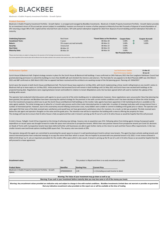

**Blackrock: A Dublin Property Investment Portfolio - Growth Option**

# **Product Overview**

Blackrock: A Dublin Property Investment Portfolio - Growth Option is arranged and managed by BlackBee Investments. Blackrock: A Dublin Property Investment Portfolio - Growth Option provides for an investment return of 5% accrued per annum (subject to availability). Investors are forecast to receive a further payment at Maturity from Net Proceeds of disposal of assets/liquidation of SPV returning a larger IRR of 14%. Capital will be returned from sale of assets / SPV with partial redemption targeted for 2022 from disposal of Zurich Building and full redemption thereafter at maturity.

| <b>Underlying Exposure:</b><br><b>Investment Term:</b> | <b>Real Asset</b><br>5 years | *Event Dates as Per Brochure:<br>08-Mar-20 | <b>Coupon Rate:</b><br>5.00% | <b>Coupon Accrued:</b><br>5.00% |
|--------------------------------------------------------|------------------------------|--------------------------------------------|------------------------------|---------------------------------|
| Return:                                                | 5% coupon accrued annually   | 08-Mar-21                                  | 5.00%                        | 5.00%                           |
| Security:                                              | Unsecured                    | 08-Mar-22                                  | 5.00%                        |                                 |
| <b>Start Date:</b>                                     | 08-Mar-19                    | 08-Mar-23                                  | 5.00%                        |                                 |
| <b>Maturity Date:</b>                                  | 08-Mar-24                    | 08-Mar-24                                  | 5.00%                        |                                 |
|                                                        |                              |                                            | Not Procoods Roturn:         |                                 |

note Event dates are subject to change due to the execution of the final legal and associated doc

ants & the maturity date will be effective from the dates outlined in the contract note issued at close, which may differ to those on the broch

| <b>Performance Update</b>                                                                                                                                                                         | <b>Last Performance Update:</b> | 31-Mar-22 |
|---------------------------------------------------------------------------------------------------------------------------------------------------------------------------------------------------|---------------------------------|-----------|
|                                                                                                                                                                                                   | <b>Next Performance Update:</b> | 30-Jun-22 |
| Zurich House & Blackrock Hall: Original stratogy remains in place for the Zurich House & Blackrock Hall buildings. It was confirmed on 24th Eebruary 2021 that Dun Laegphire Rathdown Council bas |                                 |           |

Zurich House & Blackrock Hall: Original strategy remains in place for the Zurich House & Blackrock Hall buildings. It was confirmed on 24th February 2021 that Dun Laoghaire Rathdown Council had granted planning permission to extend the buildings to more than 66,000 sqft and refurbish the interiors and exteriors. The final date for any appeals to An Bord Pleanala (ABP) was 23rd March 2021 and ABP confirmed on 26th March 2021 that no appeals had been received and the architects are awaiting receipt of the full planning grant. Planning ref: D20A/0557

Zurich were the tenants in both Zurich House and Blackrock Hall. The Zurich House lease expired on 1st May 2021, with Zurich implementing a three month rolling break on one month's notice in Blackrock Hall up to lease expiry on 1st May 2021. Initial projections had assumed Zurich will remain in both buildings until 1st May 2021 and Zurich have now vacated both buildings at the projected leaving date. Negotiations were ongoing between tenant and landlord in relation to tenant dilapidations and a fee has been agreed which will used to maintain the upkeep of the building while vacant.

The operator had conducted initial discussions with agents to secure a pre-let of the entire building prior to redevelopment, however, these negotiations were unsuccessful. Now that planning has been granted, the operator and Blackbee have been assessing the optimal strategy for the premises in line with current market conditions and it has been decided to follow the initial strategy from the investment prospectus which was to put the Zurich House and Blackrock Hall buildings on the market. Sales agents have been appointed. A full marketing brochure is available on the sales agents website. The initial strategy was to allow for a 3-month sales process and to then invite interested parties to make bids. A number of viewings took place with strong interest from a number of interested parties. However, due to the uncertainty around inflating construction costs, many bidders were unable to commit to bidding at the guide price or above. The operator and sales agent felt that none of the bids received were satisfactory and would have not have generated a satisfactory return for investors. As a result, no bid was accepted. The bids received were below the sale agent and operators thoughts on the value and the guide price. The intention now will be to reposition the building with a view to offering the property for lease. The strategy will now be to ensure that St Johns House is fully occupied and then sold. A tenant is pricing up the fit out of a unit in St Johns House so would be hopeful that this will proceed.

St John's House, Tallaght: Covid-19 has impacted on the timing of achieving new lettings. Vacancy rate at acquisition was 21%. Following advice from letting agents timing of proposed capital expenditure on vacant space was brought forward to make the space more attractive to prospective tenants. Whilst there was positive interest from prospective tenants pre-Covid 19, decisions on Heads of Terms with 2 prospective tenants have been deferred further until businesses are able to gain further clarity on the return to work and their future office requirements. In Q4, two smaller tenants exercised break options totalling 6,000 square feet. The vacancy rate now stands at 29%.

The operator along with the agent are committed to promoting the vacant space to ensure it is well positioned post-Covid to attract new tenants. The agent has been actively seeking tenants and several interested parties have conducted viewings to occupy the entire third floor which is vacant. We are hopeful to proceed with one potential tenant in Q1 2022. A rent review achieved in 2020 at €14.50 per sq. ft. sets an important precedent for the smaller office space which is also vacant. A tenant is pricing up the fit out of a unit in St Johns House so we would be hopeful that this will proceed to a lease agreement.

| Encashment value:                                                                                                                                                                                                                                                                                        | n/a          | This product is illiquid and there is no early encashment possible |                                                                                                                |  |  |
|----------------------------------------------------------------------------------------------------------------------------------------------------------------------------------------------------------------------------------------------------------------------------------------------------------|--------------|--------------------------------------------------------------------|----------------------------------------------------------------------------------------------------------------|--|--|
| <b>Product Name</b>                                                                                                                                                                                                                                                                                      | Identifier   | <b>Starting Price</b>                                              | <b>Current Price</b>                                                                                           |  |  |
| Blackrock: A Dublin Property Investment Portfolio - Growth                                                                                                                                                                                                                                               | AP0000000019 | 1.00                                                               | 1.1 (Including accrued income to date)                                                                         |  |  |
| Option                                                                                                                                                                                                                                                                                                   |              |                                                                    |                                                                                                                |  |  |
| Warning: The Value of your investment may go down as well as up.                                                                                                                                                                                                                                         |              |                                                                    |                                                                                                                |  |  |
|                                                                                                                                                                                                                                                                                                          |              |                                                                    | Warning: If you cash in your investment before maturity date you may lose some or all of the money you invest. |  |  |
| Warning: Any encashment values provided are indicative only and subject to change in line with market conditions. BlackBee Investments Limited does not warrant or provides no guarantee<br>that any indicative encashment value provided on this report are or will be available at the time of trading |              |                                                                    |                                                                                                                |  |  |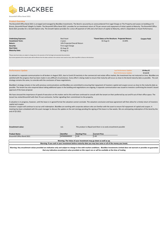

**Broomhill Office Bond 2021**

# **Product Overview**

The Broomhill Office Bond 2021 is arranged and managed by BlackBee Investments. The Bond is secured by an unencumbered First Legal Charge on The Property and Leases on building at 52 Broom, Broomhill Road Tallaght Co Dublin. The Broomhill Office Bond 2021 provides for an investment return of 7% per annum and repayment of initial capital at Maturity. The Broomhill Office Bond 2021 provides for a Growth Option only. The Growth Option provides for a once off payment of 14% and a full return of capital at Maturity, which is dependent on Asset Performance.

**Investment Term: Return:** 14% Projected Overall Return **Security:** First Legal Charge **Start Date:** 02-Aug-19 **Maturity Date:** 02-Aug-21

**Underlying Exposure: Coupon Paid:** Real Asset **\*Event Dates as Per Brochure: Projected Return: <b>Coupon Paid:**<br>
2 11.00% 14.00% 14.00% 14.00% 15.00% 15.00% 15.00% 15.00% 15.00% 15.00% 15.00% 15.00% 15.00% 15.00% 15.00% 1

\*Please note Event dates are subject to change due to the execution of the final legal and associated documentation. Any income payments & the maturity date will be effective from the dates outlined in the contract note issued at close, which may differ to those on the brochure.

| <b>Performance Update</b> | <b>Last Performance Update:</b> | 03-May-22 |
|---------------------------|---------------------------------|-----------|
|                           | <b>Next Performance Update:</b> | 15-Jul-22 |

As advised in a separate communication to all brokers in August 2021, due to Covid-19 inactivity in the commercial real estate office market, the investment has not matured on time. BlackBee are satisfied with the progress that has been made in very difficult circumstances. Every effort is being made to ensure that maturity will occur as close to the bond maturity date as possible. The exit strategy remains the same, to coincide with the conclusion of lease negotiations.

BlackBee's strategy remains in line with previous communications and BlackBee are committed to ensuring that repayment of investors capital and coupon occurs as close to the maturity date as possible. The tenant has also enquired about taking additional space in the building and negotiations are ongoing. A separate communication was issued to investors confirming the tenant's board approval of the lease proposal.

We have stressed the importance of speed of execution on this matter and to this end have continued to consult with the tenant on their preferred lay out and fit out of their office space. The tenant has visited Broomhill with their fit-out contractor, further signalling their commitment to the property.

A valuation is in progress, however, until the lease is in agreed format the valuation cannot conclude. The valuation conclusion and lease agreement will then allow for a timely return of investors capital and coupon.

Investors' coupon will continue to accrue until redemption. BlackBee are working with corporate advisors who are familiar with the asset to ensure full repayment of capital and coupon. A meeting has been scheduled with the asset manager to discuss the update on the exit startegy pending the signing of the lease in a few weeks. We are anitcipating redemption of this bond by the end of Q3 2022.

| <b>Encashment value:</b>                                                                                       | n/a                                                              | This product is illiquid and there is no early encashment possible |                      |  |  |
|----------------------------------------------------------------------------------------------------------------|------------------------------------------------------------------|--------------------------------------------------------------------|----------------------|--|--|
|                                                                                                                |                                                                  |                                                                    |                      |  |  |
| <b>Product Name</b>                                                                                            | <b>Identifier</b>                                                | <b>Starting Price</b>                                              | <b>Current Price</b> |  |  |
| Broomhill Office Bond 2021                                                                                     | AP0000000020                                                     | 1.00                                                               | 1.00                 |  |  |
|                                                                                                                |                                                                  |                                                                    |                      |  |  |
|                                                                                                                | Warning: The Value of your investment may go down as well as up. |                                                                    |                      |  |  |
| Warning: If you cash in your investment before maturity date you may lose some or all of the money you invest. |                                                                  |                                                                    |                      |  |  |
|                                                                                                                |                                                                  |                                                                    |                      |  |  |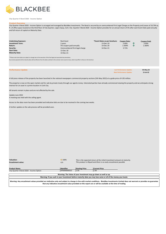

**City Quarter II Bond 2020 - Income Option**

## **Product Overvie**

City Quarter II Bond 2020 - Income Option is arranged and managed by BlackBee Investments. The Bond is secured by an unencumbered First Legal Charge on the Property and Leases of 16,794 sq. ft. of office space located on the third floor of City Quarter, Lapp's Quay, Cork. City Quarter II Bond 2020 - Income Option provides for an annual return of 5% after each Event Date paid annually and full return of capital on Maturity Date.

| <b>Underlying Exposure:</b> | Real Asset                      | *Event Dates as per brochure: | Coupon Rate: |    | <b>Coupon Paid:</b> |
|-----------------------------|---------------------------------|-------------------------------|--------------|----|---------------------|
| <b>Investment Term:</b>     | 2 years                         | 13-Dec-19                     | 5.00%        | ив | 5.00%               |
| Return:                     | 5% coupon paid annually         | 14-Dec-20                     | 2.369%       |    | 2.369%              |
| Security:                   | Unencumbered first legal charge | 14-Dec-21                     | 3.71%        |    |                     |
| <b>Start Date:</b>          | 13-Dec-18                       |                               |              |    |                     |
| <b>Maturity Date:</b>       | 14-Dec-21                       |                               |              |    |                     |

\*\*Please note Event dates are subject to change due to the execution of the final legal and associated documentation. Any income payments & the maturity date will be effective from the dates outlined in the contract note issued at close, which may differ to those on the brochure.

| <b>Performance Update</b> | <b>Last Performance Update:</b> | 05-May-22 |
|---------------------------|---------------------------------|-----------|
|                           | Next Performance Update:        | 15-Jul-22 |

A full press release of the property has been launched in the national newspapers commercial property sections (5th May 2022) at a guide price of 4.95 million.

The property is now on the open market and for sale by private treaty through our agents Lisney. Interested parties have already commenced viewing the property and we anticipate strong interest for an asset in a prime location in Cork City.

All tenants remain in place and are not affected by the sale.

Update June 2022 A meeting was held with the selling agent.

Access to the data room has been provided and indicative bids are due to be received in the coming two weeks.

A further update on the sale process will be provided soon.

| <b>Valuation:</b><br><b>Encashment value:</b>                                                                                                                                                                                                                                                                                 | $\Rightarrow$ 100%<br>n/a  | This is the expected return of the initial investment amount at maturity.<br>This product is illiquid and there is no early encashment possible |                                                                  |  |  |  |
|-------------------------------------------------------------------------------------------------------------------------------------------------------------------------------------------------------------------------------------------------------------------------------------------------------------------------------|----------------------------|-------------------------------------------------------------------------------------------------------------------------------------------------|------------------------------------------------------------------|--|--|--|
| <b>Product Name</b><br>City Quarter II Bond 2020 - Income Option                                                                                                                                                                                                                                                              | Identifier<br>AP0000000010 | <b>Starting Price</b><br><b>Current Price</b><br>1.00<br>1.00                                                                                   |                                                                  |  |  |  |
|                                                                                                                                                                                                                                                                                                                               |                            |                                                                                                                                                 | Warning: The Value of your investment may go down as well as up. |  |  |  |
| Warning: If you cash in your investment before maturity date you may lose some or all of the money you invest.                                                                                                                                                                                                                |                            |                                                                                                                                                 |                                                                  |  |  |  |
| Warning: Any encashment values provided are indicative only and subject to change in line with market conditions. BlackBee Investments Limited does not warrant or provides no guarantee<br>about one to discalled concerted coated by possible draw abits occupations on collecting the big and above the state of any disco |                            |                                                                                                                                                 |                                                                  |  |  |  |

**that any indicative encashment value provided on this report are or will be available at the time of trading**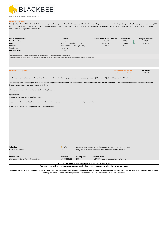

**City Quarter II Bond 2020 - Growth Option**

# **Product Overview**

City Quarter II Bond 2020 - Growth Option is arranged and managed by BlackBee Investments. The Bond is secured by an unencumbered First Legal Charge on The Property and Leases on 16,794 sq. ft. of office space located on the third floor of City Quarter, Lapp's Quay, Cork City. City Quarter II Bond 2020 - Growth Option provides for a once off payment of 10%, (5% accrued annually), and full return of capital on Maturity Date.

| <b>Underlying Exposure:</b><br><b>Investment Term:</b><br>Return:<br>Security:<br><b>Start Date:</b><br><b>Maturity Date:</b><br>*Please note Event dates are subject to change due to the execution of the final legal and associated documentation.<br>Any income payments & the maturity date will be effective from the dates outlined in the contract note issued at close, which may differ to those on the brochure. | <b>Real Asset</b><br>2 years<br>10% coupon paid at maturity<br>Unencumbered First Legal Charge<br>13-Dec-18<br>14-Dec-21 |                                                                  | *Event Dates as Per Brochure: Coupon Rate:<br>13-Dec-19<br>14-Dec-20<br>14-Dec-21                                                               | 5.00%<br>2.369%<br>3.71%                                           | <b>Coupon Accrued:</b><br>个<br>5.00%<br>个<br>2.369% |
|-----------------------------------------------------------------------------------------------------------------------------------------------------------------------------------------------------------------------------------------------------------------------------------------------------------------------------------------------------------------------------------------------------------------------------|--------------------------------------------------------------------------------------------------------------------------|------------------------------------------------------------------|-------------------------------------------------------------------------------------------------------------------------------------------------|--------------------------------------------------------------------|-----------------------------------------------------|
| <b>Performance Update</b>                                                                                                                                                                                                                                                                                                                                                                                                   |                                                                                                                          |                                                                  |                                                                                                                                                 | <b>Last Performance Update:</b><br><b>Next Performance Update:</b> | 05-May-22<br>15-Jul-22                              |
| A full press release of the property has been launched in the national newspapers commercial property sections (5th May 2022) at a guide price of 4.95 million.                                                                                                                                                                                                                                                             |                                                                                                                          |                                                                  |                                                                                                                                                 |                                                                    |                                                     |
| The property is now on the open market and for sale by private treaty through our agents Lisney. Interested parties have already commenced viewing the property and we anticipate strong<br>interest for an asset in a prime location in Cork City.                                                                                                                                                                         |                                                                                                                          |                                                                  |                                                                                                                                                 |                                                                    |                                                     |
| All tenants remain in place and are not affected by the sale.                                                                                                                                                                                                                                                                                                                                                               |                                                                                                                          |                                                                  |                                                                                                                                                 |                                                                    |                                                     |
| Update June 2022<br>A meeting was held with the selling agent.                                                                                                                                                                                                                                                                                                                                                              |                                                                                                                          |                                                                  |                                                                                                                                                 |                                                                    |                                                     |
| Access to the data room has been provided and indicative bids are due to be received in the coming two weeks.                                                                                                                                                                                                                                                                                                               |                                                                                                                          |                                                                  |                                                                                                                                                 |                                                                    |                                                     |
| A further update on the sale process will be provided soon.                                                                                                                                                                                                                                                                                                                                                                 |                                                                                                                          |                                                                  |                                                                                                                                                 |                                                                    |                                                     |
| Valuation:<br><b>Encashment value:</b>                                                                                                                                                                                                                                                                                                                                                                                      | $\Rightarrow$ 100%<br>n/a                                                                                                |                                                                  | This is the expected return of the initial investment amount at maturity.<br>This product is illiquid and there is no early encashment possible |                                                                    |                                                     |
| <b>Product Name</b>                                                                                                                                                                                                                                                                                                                                                                                                         | Identifier                                                                                                               | <b>Starting Price</b>                                            | <b>Current Price</b>                                                                                                                            |                                                                    |                                                     |
| City Quarter II Bond 2020 - Growth Option                                                                                                                                                                                                                                                                                                                                                                                   | AP0000000011                                                                                                             | 1.00                                                             | 1.07369 (Including accrued income to date)                                                                                                      |                                                                    |                                                     |
|                                                                                                                                                                                                                                                                                                                                                                                                                             |                                                                                                                          | Warning: The Value of your investment may go down as well as up. |                                                                                                                                                 |                                                                    |                                                     |
|                                                                                                                                                                                                                                                                                                                                                                                                                             |                                                                                                                          |                                                                  | Warning: If you cash in your investment before maturity date you may lose some or all of the money you invest.                                  |                                                                    |                                                     |
| Warning: Any encashment values provided are indicative only and subject to change in line with market conditions. BlackBee Investments Limited does not warrant or provides no guarantee<br>that any indicative encashment value provided on this report are or will be available at the time of trading                                                                                                                    |                                                                                                                          |                                                                  |                                                                                                                                                 |                                                                    |                                                     |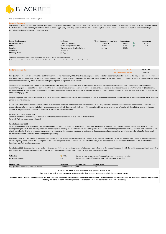

**City Quarter III Bond 2020 - Income Option**

## **Product Overview**

City Quarter III Bond 2020 - Income Option is arranged and managed by BlackBee Investments. The Bond is secured by an unencumbered First Legal Charge on the Property and Leases on 5,985 sq. ft. of office space located on the ground floor of City Quarter, Lapp's Quay, Cork. City Quarter III Bond 2020 - Income Option provides for an annual return of 5% after each Event Date paid annually and full return of capital on Maturity Date.

| <b>Underlying Exposure:</b> | <b>Real Asset</b>               | *Event Dates as per brochure: | <b>Coupon Rate:</b> |    | <b>Coupon Paid:</b> |
|-----------------------------|---------------------------------|-------------------------------|---------------------|----|---------------------|
| <b>Investment Term:</b>     | 1 year & 7 months               | 24-Apr-20                     | 5.00%               | им | 5.00%               |
| Return:                     | 5% coupon paid annually         | 20-Nov-20                     | 1.70%               | ИŃ | 1.70%               |
| Security:                   | Unencumbered first legal charge | 20-Nov-21                     | 3.50%               |    |                     |
| <b>Start Date:</b>          | 26-Apr-19                       |                               |                     |    |                     |
| <b>Maturity Date:</b>       | 20-Nov-21                       |                               |                     |    |                     |
|                             |                                 |                               |                     |    |                     |

\*\*Please note Event dates are subject to change due to the execution of the final legal and associated documentation. Any income payments & the maturity date will be effective from the dates outlined in the contract note issued at close, which may differ to those on the brochure.

| <b>Performance Update</b> | <b>Last Performance Update:</b> | 05-May-22 |
|---------------------------|---------------------------------|-----------|
|                           | Next Performance Update:        | 15-Jul-22 |

City Quarter is a modern city-centre office building which was completed in early 2005. The office development forms part of a broader complex which includes the Clayton Hotel, the redeveloped boardwalk area on Lapp's Quay and an underground car park. Lapp's Quay is situated in between the North and South channels of the River Lee in Cork City centre and is strategically located in the docklands area of Cork City, which is currently undergoing a period of significant urban renewal.

The secured properties include 2 retail units (restaurant and cafe) and ground floor office. Due to government restrictions arising from the spread of Covid 19, both retail units have been intermittently open and closed for the past 12 months. Rent concession requests were received in relation to both of these tenancies. BlackBee consented to a restructuring of Q2 2020 rents. BlackBee continue to view existing tenants as good quality covenants and ensuring the continued occupation is critical to protecting asset value with one tenant now back paying full rent and the other tenant paying 50%.

Coupon for period April 2020 to November 2020 was 1.7% which is reduced from original forecast coupon of 2.9% to accommodate the rent concessions and to position the Bond for an extension period to be implemented.

A 12 month extension was implemented to protect investor capital and allow for the controlled sale / refinance of the property into a more stabilised economic environment. There have been encouraging signs for the hospitality industry since reopening and while it does not look likely that a full reopening will now occur for a number of weeks; it is thought that once premises are allowed to fully reopen that there will be no return to further closures in the future.

#### In March 2021 it was advised that:

Tenant A: The tenant is continuing to pay 50% of rent as they remain closed due to level 5 Covid-19 restrictions. Tenant B: Full rent is now being collected.

#### Update September 2021:

Tenant A continues to pay 50% of rent. This tenant has been in a position to open since the restrictions allowed them to do so however their turnover has been significantly impacted. Due to staffing shortages, which is an industry wide issue in the hospitality industry, the tenant has been unable to operate at the same capacity as prior to the Covid-19 pandemic, with restricted hours also. It is the landlords priority to work with the tenant to ensure that the tenant can continue to trade and further negotiations have taken place with the tenant who is hopeful that once all restrictions have been lifted that trade will improve significantly.

Update Febraury 2022:BlackBee are continuing their engagement with corporate advisors to assess the optimal exit strategy for investors which will ensure the protection of investor capital and create a liquidity event. Due to the ongoing sale of the healthcare portfolio and as Aperee are a tenant in this asset, it has been decided to not proceed with the sale of this asset until the healthcare portfolio sale has concluded.

Update June 2022: Exit strategies remain under review and negotiations are ongoing with tenants to ensure optimal value of the asset which coincide with the healthcare sale, which is now in the final stages. Blackbe expects the healthcare sale to be completed in the coming 4 weeks subject to legal and commercial reviews.

| <b>Valuation:</b>                                                                                                                                                                        | $\Rightarrow$ 100% | This is the expected return of the initial investment amount at maturity. |                                                                                                                |  |  |
|------------------------------------------------------------------------------------------------------------------------------------------------------------------------------------------|--------------------|---------------------------------------------------------------------------|----------------------------------------------------------------------------------------------------------------|--|--|
| <b>Encashment value:</b>                                                                                                                                                                 | n/a                | This product is illiquid and there is no early encashment possible        |                                                                                                                |  |  |
|                                                                                                                                                                                          |                    |                                                                           |                                                                                                                |  |  |
| <b>Product Name</b>                                                                                                                                                                      | Identifier         | <b>Starting Price</b>                                                     | <b>Current Price</b>                                                                                           |  |  |
| City Quarter III Bond 2020 - Income Option                                                                                                                                               | AP0000000022       | 1.00                                                                      | 1.00                                                                                                           |  |  |
|                                                                                                                                                                                          |                    |                                                                           |                                                                                                                |  |  |
|                                                                                                                                                                                          |                    |                                                                           |                                                                                                                |  |  |
|                                                                                                                                                                                          |                    |                                                                           | Warning: The Value of your investment may go down as well as up.                                               |  |  |
|                                                                                                                                                                                          |                    |                                                                           | Warning: If you cash in your investment before maturity date you may lose some or all of the money you invest. |  |  |
|                                                                                                                                                                                          |                    |                                                                           |                                                                                                                |  |  |
| Warning: Any encashment values provided are indicative only and subject to change in line with market conditions. BlackBee Investments Limited does not warrant or provides no guarantee |                    |                                                                           |                                                                                                                |  |  |
|                                                                                                                                                                                          |                    |                                                                           |                                                                                                                |  |  |

**that any indicative encashment value provided on this report are or will be available at the time of trading**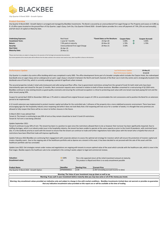

**City Quarter III Bond 2020 - Growth Option**

# **Product Overview**

City Quarter III Bond 2020 - Growth Option is arranged and managed by BlackBee Investments. The Bond is secured by an unencumbered First Legal Charge on The Property and Leases on 5,985 sq. ft. of office space located on the ground floor of City Quarter, Lapp's Quay, Cork City. City Quarter III Bond 2020 - Growth Option provides for a once off payment of 7.9%, (5% accrued annually), and full return of capital on Maturity Date.

| <b>Underlying Exposure:</b><br><b>Investment Term:</b> | Real Asset<br>1 year & 7 months | *Event Dates as Per Brochure:<br>24-Apr-20 | <b>Coupon Rate:</b><br>5.00% | ИN | <b>Coupon Accrued:</b><br>5.00% |
|--------------------------------------------------------|---------------------------------|--------------------------------------------|------------------------------|----|---------------------------------|
| Return:                                                | 7.9% paid at maturity           | 20-Nov-20                                  | 1.70%                        | ИN | 1.70%                           |
| Security:                                              | Unencumbered First Legal Charge | 20-Nov-21                                  | 3.50%                        |    |                                 |
| <b>Start Date:</b>                                     | 26-Apr-19                       |                                            |                              |    |                                 |
| <b>Maturity Date:</b>                                  | 20-Nov-21                       |                                            |                              |    |                                 |

.<br>Place Event dates are subject to change due to the execution of the final legal and associated documentation.

ants & the maturity date will be effective from the dates outlined in the contract note issued at close, which may differ to those on the broch

| <b>Performance Update</b> | <b>Last Performance Update:</b> | 05-May-22 |
|---------------------------|---------------------------------|-----------|
|                           | <b>Next Performance Update:</b> | 15-Jul-22 |

City Quarter is a modern city-centre office building which was completed in early 2005. The office development forms part of a broader complex which includes the Clayton Hotel, the redeveloped boardwalk area on Lapp's Quay and an underground car park. Lapp's Quay is situated in between the North and South channels of the River Lee in Cork City centre and is strategically located in the docklands area of Cork City, which is currently undergoing a period of significant urban renewal.

The secured properties include 2 retail units (restaurant and cafe) and ground floor office. Due to government restrictions arising from the spread of Covid 19, both retail units have been intermittently open and closed for the past 12 months. Rent concession requests were received in relation to both of these tenancies. BlackBee consented to a restructuring of Q2 2020 rents. BlackBee continue to view existing tenants as good quality covenants and ensuring the continued occupation is critical to protecting asset value with one tenant now back paying full rent and the other tenant paying 50%.

Coupon for period April 2020 to November 2020 was 1.7% which is reduced from original forecast coupon of 2.9% to accommodate the rent concessions and to position the Bond for an extension period to be implemented.

A 12 month extension was implemented to protect investor capital and allow for the controlled sale / refinance of the property into a more stabilised economic environment. There have been encouraging signs for the hospitality industry since reopening and while it does not look likely that a full reopening will now occur for a number of weeks; it is thought that once premises are allowed to fully reopen that there will be no return to further closures in the future.

# In March 2021 it was advised that:

Tenant A: The tenant is continuing to pay 50% of rent as they remain closed due to level 5 Covid-19 restrictions. Tenant B: Full rent is now being collected.

#### Update September 2021:

Tenant A continues to pay 50% of rent. This tenant has been in a position to open since the restrictions allowed them to do so however their turnover has been significantly impacted. Due to staffing shortages, which is an industry wide issue in the hospitality industry, the tenant has been unable to operate at the same capacity as prior to the Covid-19 pandemic, with restricted hours also. It is the landlords priority to work with the tenant to ensure that the tenant can continue to trade and further negotiations have taken place with the tenant who is hopeful that once all restrictions have been lifted that trade will improve significantly.

Update Febraury 2022:BlackBee are continuing their engagement with corporate advisors to assess the optimal exit strategy for investors which will ensure the protection of investor capital and create a liquidity event. Due to the ongoing sale of the healthcare portfolio and as Aperee are a tenant in this asset, it has been decided to not proceed with the sale of this asset until the healthcare portfolio sale has concluded.

Update June 2022: Exit strategies remain under review and negotiations are ongoing with tenants to ensure optimal value of the asset which coincide with the healthcare sale, which is now in the final stages. Blackbe expects the healthcare sale to be completed in the coming 4 weeks subject to legal and commercial reviews.

| <b>Valuation:</b>                                                                                                                                                                  | $\Rightarrow$ 100% | This is the expected return of the initial investment amount at maturity. |                                          |  |  |  |
|------------------------------------------------------------------------------------------------------------------------------------------------------------------------------------|--------------------|---------------------------------------------------------------------------|------------------------------------------|--|--|--|
| <b>Encashment value:</b>                                                                                                                                                           | n/a                | This product is illiquid and there is no early encashment possible        |                                          |  |  |  |
| <b>Product Name</b>                                                                                                                                                                | Identifier         | <b>Starting Price</b>                                                     | <b>Current Price</b>                     |  |  |  |
| City Quarter III Bond 2020 - Growth Option                                                                                                                                         | AP0000000021       | 1.00                                                                      | 1.067 (Including accrued income to date) |  |  |  |
| Warning: The Value of your investment may go down as well as up.<br>Warning: If you cash in your investment before maturity date you may lose some or all of the money you invest. |                    |                                                                           |                                          |  |  |  |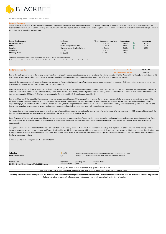

**Ditchley Group (Conna) Secured Note 2022 Income**

#### **Product Overvie**

The Ditchley Group Secured Note 2022 - Income Option is arranged and managed by BlackBee Investments. The Bond is secured by an unencumbered First Legal Charge on the property and business of the Ditchley Group Conna Nursing Home County Cork. The Ditchley Group Secured Note 2022 - Income Option provides for an annual return of 6% after each Event Date paid annually and full return of capital on Maturity Date.

| <b>Underlying Exposure:</b><br><b>Investment Term:</b><br>Return:<br>Security: | Real Asset<br>5 vears<br>6% coupon paid annually<br>Unencumbered first legal charge | *Event Dates as per brochure:<br>21-Dec-18<br>21-Dec-19<br>21-Dec-20 | <b>Coupon Rate:</b><br>6.00%<br>6.00%<br>6.00% | <b>Coupon Paid:</b><br>6.00%<br>6.00%<br>6.00% |
|--------------------------------------------------------------------------------|-------------------------------------------------------------------------------------|----------------------------------------------------------------------|------------------------------------------------|------------------------------------------------|
| <b>Start Date:</b>                                                             | 21-Dec-17                                                                           | 21-Dec-21                                                            | 6.00%                                          |                                                |
| <b>Maturity Date:</b>                                                          | 21-Dec-22                                                                           | 21-Dec-22                                                            | 6.00%                                          |                                                |

\*\*Please note Event dates are subject to change due to the execution of the final legal and associated documentation. Any income payments & the maturity date will be effective from the dates outlined in the contract note issued at close, which may differ to those on the brochure.

| <b>Performance Update</b> | <b>Last Performance Update:</b> | 06-May-22 |
|---------------------------|---------------------------------|-----------|
|                           | <b>Next Performance Update:</b> | 15-Jul-22 |

Due to the underperformance of the nursing home in relation to original forecasts, a strategic review of the asset and the original operator (Ditchley Nursing Home Group) was undertaken in H1 2020. It was agreed with Ditchley that a change of operator would be implemented and represented the best way forward for asset protection and growth.

Aperee Living were subsequently appointed as the new operator in August 2020. Aperee is one of the largest nursing home operators in the country (541 beds under management) and brings greater efficiencies of scale and sector leading care standards for residents.

Covid has impacted on the financial performance of the home since Q4 2020. A Covid outbreak significantly impacts on occupancy as restrictions are implemented on intake of new residents. An outbreak occurs when 2 or more residents / staff test positive and is declared over 28 days after last positive test. The nursing home had an outbreak occurrence in December 2020 and in 2021. Average occupancy for 2021 was 79.6%. Average occupancy for Q1 2022 was 80.5%. Original targets were 98.5%

Due to cashflow shortfalls caused by the pandemic, there was a requirement to protect the cash position to ensure the home can meet essential and operational expenditure. In May 2021, BlackBee provided short term financing of €70,000 to meet these essential expenditures. In these challenging circumstances and with existing trading forecasts, we have not been able to implement a payment plan to currently address the arrears. However, both trading and the arrears balance will continue to be monitored closely. BlackBee and the operator's shared aim is to improve the situation, however, due to weaker trading, interest payments have fallen into arrears which will impact investor coupons.

An independent property inspection conducted in April has identified additional essential expenditure for the home. A total capital expenditure programme of €485k is required to refurbish the building and satisfy regulatory requirements. Additional financing will be required to complete the works.

Reconfiguration of the rooms is also required in the medium term to move towards provision of single ensuite rooms. Upcoming regulatory changes and expected reduced demand post Covid-19 for shared rooms will likely see the need to move entirely to single rooms. Additional financing will be required to complete the works. Bed capacity was reduced by 6% due to regulatory requirements

A corporate advisor has been appointed to lead the process of sale of the nursing home portfolio which has reached its final stage. We expect the sale to be finalised in the coming 4 weeks. Various transaction types are being assessed and further details will be provided once the most credible options are analysed. Despite the heavy impact of COVID on the sector there has been very strong institutional demand globally to deploy capital into Irish nursing home assets. Blackbee targets the redemption of capital and coupons at the end of the sales process which is subject to legal and commercial reviews.

A further update on the sale process will be provided soon.

| <b>Valuation:</b><br>Encashment value:                                                                                                                                             | $\Rightarrow$ 100%<br>n/a |                       | This is the expected return of the initial investment amount at maturity.<br>This product is illiquid and there is no early encashment possible |  |  |  |
|------------------------------------------------------------------------------------------------------------------------------------------------------------------------------------|---------------------------|-----------------------|-------------------------------------------------------------------------------------------------------------------------------------------------|--|--|--|
| <b>Product Name</b>                                                                                                                                                                | Identifier                | <b>Starting Price</b> | <b>Current Price</b>                                                                                                                            |  |  |  |
| Ditchley Group (Conna) Secured Note 2022 Income                                                                                                                                    | XS1732224834              | 1.00                  | 1.00                                                                                                                                            |  |  |  |
| Warning: The Value of your investment may go down as well as up.<br>Warning: If you cash in your investment before maturity date you may lose some or all of the money you invest. |                           |                       |                                                                                                                                                 |  |  |  |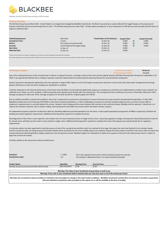

**Ditchley Group (Conna) Secured Note 2022 Growth**

# **Product Overview**

The Ditchley Group Secured Note 2022 - Growth Option is arranged and managed by BlackBee Investments. The Bond is secured by an unencumbered First Legal Charge on the property and business of Ditchley Group Conna Nursing Home Co Cork. The Ditchley Group Secured Note 2022 - Growth Option provides for a once off payment of 30% (6% accrued annually) and full return of capital on Maturity date.

| <b>Underlying Exposure:</b><br><b>Investment Term:</b> | <b>Real Asset</b><br>5 years    | *Event Dates as Per Brochure:<br>21-Dec-18 | <b>Coupon Rate:</b><br>6.00% | <b>Coupon Accrued:</b><br>6.00% |
|--------------------------------------------------------|---------------------------------|--------------------------------------------|------------------------------|---------------------------------|
| Return:                                                | 6% coupon accrued annually      | 21-Dec-19                                  | 6.00%                        | 6.00%                           |
| Security:                                              | Unencumbered first legal charge | 21-Dec-20                                  | 6.00%                        | 6.00%                           |
| <b>Start Date:</b>                                     | 21-Dec-17                       | 21-Dec-21                                  | 6.00%                        |                                 |
| <b>Maturity Date:</b>                                  | 21-Dec-22                       | 21-Dec-22                                  | 6.00%                        |                                 |

.<br>Place Event dates are subject to change due to the execution of the final legal and associated documentation.

ents & the maturity date will be effective from the dates outlined in the contract note issued at close, which may differ to those on the broch

| <b>Performance Update</b> | <b>Last Performance Update:</b> | 06-May-22 |
|---------------------------|---------------------------------|-----------|
|                           | <b>Next Performance Update:</b> | 15-Jul-22 |

Due to the underperformance of the nursing home in relation to original forecasts, a strategic review of the asset and the original operator (Ditchley Nursing Home Group) was undertaken in H1 2020. It was agreed with Ditchley that a change of operator would be implemented and represented the best way forward for asset protection and growth.

Aperee Living were subsequently appointed as the new operator in August 2020. Aperee is one of the largest nursing home operators in the country (541 beds under management) and brings greater efficiencies of scale and sector leading care standards for residents.

Covid has impacted on the financial performance of the home since Q4 2020. A Covid outbreak significantly impacts on occupancy as restrictions are implemented on intake of new residents. An outbreak occurs when 2 or more residents / staff test positive and is declared over 28 days after last positive test. The nursing home had an outbreak occurrence in December 2020 and in 2021. Average occupancy for 2021 was 79.6%. Average occupancy for Q1 2022 was 80.5%. Original targets were 98.5%

Due to cashflow shortfalls caused by the pandemic, there was a requirement to protect the cash position to ensure the home can meet essential and operational expenditure. In May 2021, BlackBee provided short term financing of €70,000 to meet these essential expenditures. In these challenging circumstances and with existing trading forecasts, we have not been able to implement a payment plan to currently address the arrears. However, both trading and the arrears balance will continue to be monitored closely. BlackBee and the operator's shared aim is to improve the situation, however, due to weaker trading, interest payments have fallen into arrears which will impact investor coupons.

An independent property inspection conducted in April has identified additional essential expenditure for the home. A total capital expenditure programme of €485k is required to refurbish the building and satisfy regulatory requirements. Additional financing will be required to complete the works.

Reconfiguration of the rooms is also required in the medium term to move towards provision of single ensuite rooms. Upcoming regulatory changes and expected reduced demand post Covid-19 for shared rooms will likely see the need to move entirely to single rooms. Additional financing will be required to complete the works. Bed capacity was reduced by 6% due to regulatory requirements

A corporate advisor has been appointed to lead the process of sale of the nursing home portfolio which has reached its final stage. We expect the sale to be finalised in the coming 4 weeks. Various transaction types are being assessed and further details will be provided once the most credible options are analysed. Despite the heavy impact of COVID on the sector there has been very strong institutional demand globally to deploy capital into Irish nursing home assets. Blackbee targets the redemption of capital and coupons at the end of the sales process which is subject to legal and commercial reviews.

A further update on the sale process will be provided soon.

| <b>Valuation:</b><br><b>Encashment value:</b>                    | $\Rightarrow$ 100%<br>n/a |                       | This is the expected return of the initial investment amount at maturity.<br>This product is illiquid and there is no early encashment possible |  |  |
|------------------------------------------------------------------|---------------------------|-----------------------|-------------------------------------------------------------------------------------------------------------------------------------------------|--|--|
| <b>Product Name</b>                                              | Identifier                | <b>Starting Price</b> | <b>Current Price</b>                                                                                                                            |  |  |
| Ditchley Group (Conna) Secured Note 2022 Growth                  | XS1732224677              | 1.00                  | 1.00                                                                                                                                            |  |  |
| Warning: The Value of your investment may go down as well as up. |                           |                       |                                                                                                                                                 |  |  |

**Warning: If you cash in your investment before maturity date you may lose some or all of the money you invest.**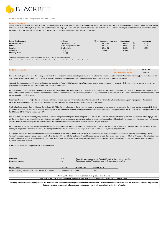

**Ditchley Group (Cramers Court) Series II Note 2021 Income**

**Product Overview**<br>The Ditchley Group Series II Note 2021 Tranche 1 - Income Option is arranged and managed by BlackBee Investments. The Bond is secured by an unencumbered First Legal Charge on the Property and Business of The Ditchley Group Cramers Court Nursing Home Belgooly Co Cork. The Ditchley Group Series II Note 2021 Tranche 1 - Income Option provides for an annual return of 4% after each Event Date paid annually and full return of capital on Maturity Date. There is a further 12% paid at Maturity.

| <b>Underlying Exposure:</b><br><b>Investment Term:</b> | <b>Real Asset</b><br>3 years & 6 months | *Event Dates as per brochure:<br>12-Jul-19 | <b>Coupon Rate:</b><br>4.00% | ИN | <b>Coupon Paid:</b><br>4.00% |
|--------------------------------------------------------|-----------------------------------------|--------------------------------------------|------------------------------|----|------------------------------|
| Return:                                                | 4% coupon paid annually                 | 13-Jul-20                                  | 4.00%                        | ИŃ | 4.00%                        |
| Security:                                              | First legal charge                      | $12$ -Jul-21                               | 4.00%                        | ИŃ | 4.00%                        |
| <b>Start Date:</b>                                     | 13-Aug-18                               | 14-Jan-21                                  | 16.00%                       |    |                              |
| <b>Maturity Date:</b>                                  | 14-Jan-22                               |                                            |                              |    |                              |

\*\*Please note Event dates are subject to change due to the execution of the final legal and associated documentation. Any income payments & the maturity date will be effective from the dates outlined in the contract note issued at close, which may differ to those on the brochure.

| <b>Performance Update</b> | <b>Last Performance Update:</b> | 06-May-22 |
|---------------------------|---------------------------------|-----------|
|                           | <b>Next Performance Update:</b> | 15-Jul-22 |

Due to the underperformance of the nursing home in relation to original forecasts, a strategic review of the asset and the original operator (Ditchley Nursing Home Group) was undertaken in H1 2020. It was agreed with Ditchley that a change of operator would be implemented and represented the best way forward for asset protection and growth.

Aperee Living were subsequently appointed as the new operator in August 2020. Aperee is one of the largest nursing home operators in the country (541 beds under management) and brings greater efficiencies of scale and sector leading care standards for residents.

An initial review of the property and operational performance was undertaken post management handover. It confirmed that the extension has been completed to a modern, high standard with a reasonable level of internal and external resident spaces. There is also capacity for further building extension. A capital expenditure programme of c€300k was identified to refresh the building and satisfy regulatory requirements.

Reconfiguration of the rooms (in the pre-existing older building) is also required in the medium term to move towards provision of single ensuite rooms. Upcoming regulatory changes and expected reduced demand post Covid-19 for shared rooms will likely see the need to move predominately to single rooms.

Trading has been weaker than anticipated due to Covid-19. While the home has stayed Covid free, admission of new residents has been restrained during the current lockdown. Under HSE Covid guidelines, all homes are required to maintain an empty bed in the event of an outbreak and requirement for isolation of a resident. Average occupancy for 2021 was 93.1%. Average occupancy for Q1 2022 was 88.4%. Original targets were 97%

Due to cashflow shortfalls caused by the pandemic, there was a requirement to protect the cash position to ensure the home can meet essential and operational expenditure. Interest payments on the underlying loan are currently in arrears. In these challenging circumstances and with existing trading forecasts, we have not been able to implement a payment plan to currently address the arrears. However, both trading and the arrears balance will continue to be monitored closely. Investor coupons may be impacted.

Reconfiguration of the rooms is also required in the medium term. Upcoming regulatory changes and expected reduced demand post Covid-19 for shared rooms will likely see the need to move entirely to single rooms. Additional financing will be required to complete the works. Bed capacity was reduced by 10% due to regulatory requirements

A corporate advisor has been appointed to lead the process of sale of the nursing home portfolio which has reached its final stage. We expect the sale to be finalised in the coming 4 weeks. Various transaction types are being assessed and further details will be provided once the most credible options are analysed. Despite the heavy impact of COVID on the sector there has been very strong institutional demand globally to deploy capital into Irish nursing home assets. Blackbee targets the redemption of capital and coupons at the end of the sales process which is subject to legal and commercial reviews.

A further update on the sale process will be provided soon.

| <b>Valuation:</b><br>Encashment value:                                                                         | <b>TBD</b><br>n/a | This is the expected return of the initial investment amount at maturity.<br>This product is illiquid and there is no early encashment possible |                                                                  |  |
|----------------------------------------------------------------------------------------------------------------|-------------------|-------------------------------------------------------------------------------------------------------------------------------------------------|------------------------------------------------------------------|--|
| <b>Product Name</b>                                                                                            | Identifier        | <b>Starting Price</b>                                                                                                                           | <b>Current Price</b>                                             |  |
| Ditchley Group (Cramers Court) Series II Note 2021 Income                                                      | AP0000000003      | 1.00                                                                                                                                            | <b>TBD</b>                                                       |  |
|                                                                                                                |                   |                                                                                                                                                 | Warning: The Value of your investment may go down as well as up. |  |
| Warning: If you cash in your investment before maturity date you may lose some or all of the money you invest. |                   |                                                                                                                                                 |                                                                  |  |
|                                                                                                                |                   |                                                                                                                                                 |                                                                  |  |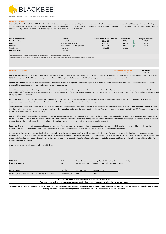

**Ditchley Group (Cramers Court) Series II Note 2021 Growth**

# **Product Overview**

The Ditchley Group Series II Note 2021 Tranche 1- Growth Option is arranged and managed by BlackBee Investments. The Bond is secured by an unencumbered First Legal Charge on the Property and Business of The Ditchley Group Cramers Court Nursing Home Belgooly Co Cork. The Ditchley Group Series II Note 2021 Tranche 1 - Growth Option provides for a once off payment of 20%, (4% accrued annually with an additional 12% at Maturity), and full return of capital on Maturity Date.

| <b>Underlying Exposure:</b><br><b>Investment Term:</b> | <b>Real Asset</b><br>3 years & 6 months | *Event Dates as Per Brochure:<br>12-Jul-19 | <b>Coupon Rate:</b><br>4.00% |    | <b>Coupon Accrued:</b><br>4.00% |
|--------------------------------------------------------|-----------------------------------------|--------------------------------------------|------------------------------|----|---------------------------------|
| Return:                                                | 28 % paid at Maturity                   | 13-Jul-20                                  | 4.00%                        |    | 4.00%                           |
| Security:                                              | Unencumbered first legal charge         | 12-Jul-21                                  | 4.00%                        | ИŃ | 4.00%                           |
| <b>Start Date:</b>                                     | 13-Aug-18                               | 14-Jan-22                                  | 16.00%                       |    |                                 |
| <b>Maturity Date:</b>                                  | 14-Jan-22                               |                                            |                              |    |                                 |

ote Event dates are subject to change due to the execution of the final legal and associated do

ants & the maturity date will be effective from the dates outlined in the contract note issued at close, which may differ to those on the bro

| <b>Performance Update</b> | <b>Last Performance Update:</b> | 06-May-22 |
|---------------------------|---------------------------------|-----------|
|                           | Next Performance Update:        | 15-Jul-22 |

Due to the underperformance of the nursing home in relation to original forecasts, a strategic review of the asset and the original operator (Ditchley Nursing Home Group) was undertaken in H1 2020. It was agreed with Ditchley that a change of operator would be implemented and represented the best way forward for asset protection and growth.

Aperee Living were subsequently appointed as the new operator in August 2020. Aperee is one of the largest nursing home operators in the country (541 beds under management) and brings greater efficiencies of scale and sector leading care standards for residents.

An initial review of the property and operational performance was undertaken post management handover. It confirmed that the extension has been completed to a modern, high standard with a reasonable level of internal and external resident spaces. There is also capacity for further building extension. A capital expenditure programme of c€300k was identified to refresh the building and satisfy regulatory requirements.

Reconfiguration of the rooms (in the pre-existing older building) is also required in the medium term to move towards provision of single ensuite rooms. Upcoming regulatory changes and expected reduced demand post Covid-19 for shared rooms will likely see the need to move predominately to single rooms.

Trading has been weaker than anticipated due to Covid-19. While the home has stayed Covid free, admission of new residents has been restrained during the current lockdown. Under HSE Covid guidelines, all homes are required to maintain an empty bed in the event of an outbreak and requirement for isolation of a resident. Average occupancy for 2021 was 93.1%. Average occupancy for Q1 2022 was 88.4%. Original targets were 97%

Due to cashflow shortfalls caused by the pandemic, there was a requirement to protect the cash position to ensure the home can meet essential and operational expenditure. Interest payments on the underlying loan are currently in arrears. In these challenging circumstances and with existing trading forecasts, we have not been able to implement a payment plan to currently address the arrears. However, both trading and the arrears balance will continue to be monitored closely. Investor coupons may be impacted.

Reconfiguration of the rooms is also required in the medium term. Upcoming regulatory changes and expected reduced demand post Covid-19 for shared rooms will likely see the need to move entirely to single rooms. Additional financing will be required to complete the works. Bed capacity was reduced by 10% due to regulatory requirements

A corporate advisor has been appointed to lead the process of sale of the nursing home portfolio which has reached its final stage. We expect the sale to be finalised in the coming 4 weeks. Various transaction types are being assessed and further details will be provided once the most credible options are analysed. Despite the heavy impact of COVID on the sector there has been very strong institutional demand globally to deploy capital into Irish nursing home assets. Blackbee targets the redemption of capital and coupons at the end of the sales process which is subject to legal and commercial reviews.

A further update on the sale process will be provided soon.

| <b>Valuation:</b><br><b>Encashment value:</b>                                    | <b>TBD</b><br>n/a          |                               | This is the expected return of the initial investment amount at maturity.<br>This product is illiquid and there is no early encashment possible |  |
|----------------------------------------------------------------------------------|----------------------------|-------------------------------|-------------------------------------------------------------------------------------------------------------------------------------------------|--|
| <b>Product Name</b><br>Ditchley Group (Cramers Court) Series II Note 2021 Growth | Identifier<br>AP0000000004 | <b>Starting Price</b><br>1.00 | <b>Current Price</b><br><b>TBD</b>                                                                                                              |  |
|                                                                                  |                            |                               | $\cdots$<br>. .                                                                                                                                 |  |

**Warning: If you cash in your investment before maturity date you may lose some or all of the money you invest. Warning: The Value of your investment may go down as well as up.**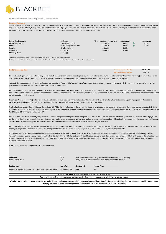

**Ditchley Group Series II Note 2021 (Tranche 2) - Income Option**

**Product Overview**<br>The Ditchley Group Series II Note 2021 Tranche 2 - Income Option is arranged and managed by BlackBee Investments. The Bond is secured by an unencumbered First Legal Charge on the Property and Business of The Ditchley Group Cramers Court Nursing Home Belgooly Co Cork. The Ditchley Group Series II Note 2021 Tranche 2 - Income Option provides for an annual return of 4% after each Event Date paid annually and full return of capital on Maturity Date. There is a further 10% to be paid at Maturity.

| <b>Underlying Exposure:</b><br><b>Investment Term:</b> | Real Asset<br>3 years & 3 months | *Event Dates as per brochure:<br>12-Oct-19 | <b>Coupon Rate:</b><br>4.00% |     | <b>Coupon Paid:</b><br>4.00% |
|--------------------------------------------------------|----------------------------------|--------------------------------------------|------------------------------|-----|------------------------------|
| Return:                                                | 4% coupon paid annually          | 12-Oct-20                                  | 4.00%                        | אומ | 4.00%                        |
| Security:                                              | First legal charge               | 12-Oct-21                                  | 4.00%                        |     |                              |
| <b>Start Date:</b>                                     | 12-Oct-18                        | 14-Jan-22                                  | 14.00%                       |     |                              |
| <b>Maturity Date:</b>                                  | 14-Jan-22                        |                                            |                              |     |                              |

\*\*Please note Event dates are subject to change due to the execution of the final legal and associated documentation. Any income payments & the maturity date will be effective from the dates outlined in the contract note issued at close, which may differ to those on the brochure.

| <b>Performance Update</b> | <b>Last Performance Update:</b> | 06-May-22 |
|---------------------------|---------------------------------|-----------|
|                           | Next Performance Update:        | 15-Jul-22 |

Due to the underperformance of the nursing home in relation to original forecasts, a strategic review of the asset and the original operator (Ditchley Nursing Home Group) was undertaken in H1 2020. It was agreed with Ditchley that a change of operator would be implemented and represented the best way forward for asset protection and growth.

Aperee Living were subsequently appointed as the new operator in August 2020. Aperee is one of the largest nursing home operators in the country (541 beds under management) and brings greater efficiencies of scale and sector leading care standards for residents.

An initial review of the property and operational performance was undertaken post management handover. It confirmed that the extension has been completed to a modern, high standard with a reasonable level of internal and external resident spaces. There is also capacity for further building extension. A capital expenditure programme of c€300k was identified to refresh the building and satisfy regulatory requirements.

Reconfiguration of the rooms (in the pre-existing older building) is also required in the medium term to move towards provision of single ensuite rooms. Upcoming regulatory changes and expected reduced demand post Covid-19 for shared rooms will likely see the need to move predominately to single rooms.

Trading has been weaker than anticipated due to Covid-19. While the home has stayed Covid free, admission of new residents has been restrained during the current lockdown. Under HSE Covid guidelines, all homes are required to maintain an empty bed in the event of an outbreak and requirement for isolation of a resident. Average occupancy for 2021 was 93.1%. Average occupancy for Q1 2022 was 88.4%. Original targets were 97%

Due to cashflow shortfalls caused by the pandemic, there was a requirement to protect the cash position to ensure the home can meet essential and operational expenditure. Interest payments on the underlying loan are currently in arrears. In these challenging circumstances and with existing trading forecasts, we have not been able to implement a payment plan to currently address the arrears. However, both trading and the arrears balance will continue to be monitored closely. Investor coupons may be impacted.

Reconfiguration of the rooms is also required in the medium term. Upcoming regulatory changes and expected reduced demand post Covid-19 for shared rooms will likely see the need to move entirely to single rooms. Additional financing will be required to complete the works. Bed capacity was reduced by 10% due to regulatory requirements

A corporate advisor has been appointed to lead the process of sale of the nursing home portfolio which has reached its final stage. We expect the sale to be finalised in the coming 4 weeks. Various transaction types are being assessed and further details will be provided once the most credible options are analysed. Despite the heavy impact of COVID on the sector there has been very strong institutional demand globally to deploy capital into Irish nursing home assets. Blackbee targets the redemption of capital and coupons at the end of the sales process which is subject to legal and commercial reviews.

A further update on the sale process will be provided soon.

| <b>Valuation:</b><br>Encashment value:                                                                         | <b>TBD</b><br>n/a | This is the expected return of the initial investment amount at maturity.<br>This product is illiquid and there is no early encashment possible |                      |  |  |  |
|----------------------------------------------------------------------------------------------------------------|-------------------|-------------------------------------------------------------------------------------------------------------------------------------------------|----------------------|--|--|--|
| <b>Product Name</b>                                                                                            | Identifier        | <b>Starting Price</b>                                                                                                                           | <b>Current Price</b> |  |  |  |
| Ditchley Group Series II Note 2021 (Tranche 2) - Income Option                                                 | AP0000000012      | 1.00                                                                                                                                            | <b>TBD</b>           |  |  |  |
| Warning: The Value of your investment may go down as well as up.                                               |                   |                                                                                                                                                 |                      |  |  |  |
| Warning: If you cash in your investment before maturity date you may lose some or all of the money you invest. |                   |                                                                                                                                                 |                      |  |  |  |
|                                                                                                                |                   |                                                                                                                                                 |                      |  |  |  |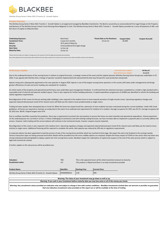

**Ditchley Group Series II Note 2021 (Tranche 2) - Growth Option**

### **Product Overview**

The Ditchley Group Series II Note 2021 Tranche 2 - Growth Option is arranged and managed by BlackBee Investments. The Bond is secured by an unencumbered First Legal Charge on the Property and Business of The Ditchley Group Cramers Court Nursing Home Belgooly Co Cork. The Ditchley Group Series II Note 2021 Tranche 2 - Growth Option provides for a once off payment of 18% and full return of capital on Maturity Date.

| <b>Underlying Exposure:</b>                                                                                          | Real Asset                      | *Event Date as Per Brochure: | <b>Coupon Rate:</b> | <b>Coupon Accrued:</b> |  |  |
|----------------------------------------------------------------------------------------------------------------------|---------------------------------|------------------------------|---------------------|------------------------|--|--|
| <b>Investment Term:</b>                                                                                              | 3 years & 3 months              | 14-Jan-22                    | 26.00%              |                        |  |  |
| Return:                                                                                                              | 18 % paid at Maturity           |                              |                     |                        |  |  |
| Security:                                                                                                            | Unencumbered first legal charge |                              |                     |                        |  |  |
| <b>Start Date:</b>                                                                                                   | 12-Oct-18                       |                              |                     |                        |  |  |
| <b>Maturity Date:</b>                                                                                                | 14-Jan-22                       |                              |                     |                        |  |  |
|                                                                                                                      |                                 |                              |                     |                        |  |  |
| *Please note Event dates are subject to change due to the execution of the final legal and associated documentation. |                                 |                              |                     |                        |  |  |

Any income payments & the maturity date will be effective from the dates outlined in the contract note issued at close, which may differ to those on the brochure.

| <b>Performance Update</b> | <b>Last Performance Update:</b> | 06-May-22 |
|---------------------------|---------------------------------|-----------|
|                           | Next Performance Update:        | 15-Jul-22 |

Due to the underperformance of the nursing home in relation to original forecasts, a strategic review of the asset and the original operator (Ditchley Nursing Home Group) was undertaken in H1 2020. It was agreed with Ditchley that a change of operator would be implemented and represented the best way forward for asset protection and growth.

Aperee Living were subsequently appointed as the new operator in August 2020. Aperee is one of the largest nursing home operators in the country (541 beds under management) and brings greater efficiencies of scale and sector leading care standards for residents.

An initial review of the property and operational performance was undertaken post management handover. It confirmed that the extension has been completed to a modern, high standard with a reasonable level of internal and external resident spaces. There is also capacity for further building extension. A capital expenditure programme of c€300k was identified to refresh the building and satisfy regulatory requirements.

Reconfiguration of the rooms (in the pre-existing older building) is also required in the medium term to move towards provision of single ensuite rooms. Upcoming regulatory changes and expected reduced demand post Covid-19 for shared rooms will likely see the need to move predominately to single rooms.

Trading has been weaker than anticipated due to Covid-19. While the home has stayed Covid free, admission of new residents has been restrained during the current lockdown. Under HSE Covid guidelines, all homes are required to maintain an empty bed in the event of an outbreak and requirement for isolation of a resident. Average occupancy for 2021 was 93.1%. Average occupancy for Q1 2022 was 88.4%. Original targets were 97%

Due to cashflow shortfalls caused by the pandemic, there was a requirement to protect the cash position to ensure the home can meet essential and operational expenditure. Interest payments on the underlying loan are currently in arrears. In these challenging circumstances and with existing trading forecasts, we have not been able to implement a payment plan to currently address the arrears. However, both trading and the arrears balance will continue to be monitored closely. Investor coupons may be impacted.

Reconfiguration of the rooms is also required in the medium term. Upcoming regulatory changes and expected reduced demand post Covid-19 for shared rooms will likely see the need to move entirely to single rooms. Additional financing will be required to complete the works. Bed capacity was reduced by 10% due to regulatory requirements

A corporate advisor has been appointed to lead the process of sale of the nursing home portfolio which has reached its final stage. We expect the sale to be finalised in the coming 4 weeks. Various transaction types are being assessed and further details will be provided once the most credible options are analysed. Despite the heavy impact of COVID on the sector there has been very strong institutional demand globally to deploy capital into Irish nursing home assets. Blackbee targets the redemption of capital and coupons at the end of the sales process which is subject to legal and commercial reviews.

A further update on the sale process will be provided soon.

| <b>Valuation:</b><br><b>Encashment value:</b>                    | <b>TBD</b><br>n/a |                       | This is the expected return of the initial investment amount at maturity.<br>This product is illiquid and there is no early encashment possible |  |  |
|------------------------------------------------------------------|-------------------|-----------------------|-------------------------------------------------------------------------------------------------------------------------------------------------|--|--|
| <b>Product Name</b>                                              | Identifier        | <b>Starting Price</b> | <b>Current Price</b>                                                                                                                            |  |  |
| Ditchley Group Series II Note 2021 (Tranche 2) - Growth Option   | AP0000000013      | 1.00                  | <b>TBD</b>                                                                                                                                      |  |  |
| Warning: The Value of your investment may go down as well as up. |                   |                       |                                                                                                                                                 |  |  |

**Warning: If you cash in your investment before maturity date you may lose some or all of the money you invest.**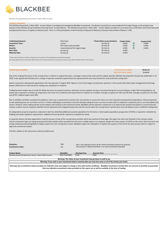

**Ditchley Group (Strathmore) Series 1 Note 2022 Income**

**Product Overview**<br>The Ditchley Group Series 1 Note 2022 - Income Option is arranged and managed by BlackBee Investments. The Bond is secured by an unencumbered First Legal Charge on the property and business of the Ditchley Group Strathmore Nursing Home County Kilkenny. The Ditchley Group Series 1 Note 2022 - Income Option provides for an annual return of 6% after each Event Date paid annually and full return of capital on Maturity Date. There is a 25% participation in Net Proceeds of disposal at Maturity, (Forecast Internal Rate of Return: 7.3%).

| <b>Underlying Exposure:</b><br><b>Investment Term:</b><br>Return:<br>Security: | <b>Real Asset</b><br>5 vears<br>6% coupon paid annually<br>Unencumbered first legal charge | *Event Dates as per brochure:<br>02-Feb-19<br>02-Feb-20<br>02-Feb-21 | <b>Coupon Rate:</b><br>6.00%<br>6.00%<br>6.00% | ИΝ<br>ИN<br>ИŃ | <b>Coupon Paid:</b><br>6.00%<br>6.00%<br>6.00% |
|--------------------------------------------------------------------------------|--------------------------------------------------------------------------------------------|----------------------------------------------------------------------|------------------------------------------------|----------------|------------------------------------------------|
| <b>Start Date:</b>                                                             | 02-Feb-18                                                                                  | 02-Feb-22                                                            | 6.00%                                          |                |                                                |
| <b>Maturity Date:</b>                                                          | 02-Feb-23                                                                                  | 02-Feb-23                                                            | 6.00%                                          |                |                                                |

\*\*Please note Event dates are subject to change due to the execution of the final legal and associated documentation. Any income payments & the maturity date will be effective from the dates outlined in the contract note issued at close, which may differ to those on the brochure.

| <b>Performance Update</b> | <b>Last Performance Update:</b> | 06-May-22 |
|---------------------------|---------------------------------|-----------|
|                           | <b>Next Performance Update:</b> | 15-Jul-22 |

Due to the underperformance of the nursing home in relation to original forecasts, a strategic review of the asset and the original operator (Ditchley Nursing Home Group) was undertaken in H1 2020. It was agreed with Ditchley that a change of operator would be implemented and represented the best way forward for asset protection and growth.

Aperee Living were subsequently appointed as the new operator in August 2020. Aperee is one of the largest nursing home operators in the country (541 beds under management) and brings greater efficiencies of scale and sector leading care standards for residents.

Trading has been weaker due to Covid-19. While the home has stayed Covid free, admission of new residents has been restrained during the current lockdown. Under HSE Covid guidelines, all homes were required to maintain an empty bed in the event of an outbreak and requirement for isolation of a resident. Average occupancy for 2021 was 90.16%. Average occupancy for Q1 2022 was 90.3%. Original targets were 98%

Due to cashflow shortfalls caused by the pandemic, there was a requirement to protect the cash position to ensure the home can meet essential and operational expenditure. Interest payments on the underlying loan are currently in arrears. In these challenging circumstances and with existing trading forecasts, we have not been able to implement a payment plan to currently address the arrears. However, both trading and the arrears balance will continue to be monitored closely. BlackBee and the operator's shared aim is to improve the situation but based on current forecasts investor coupons may be impacted. Monthly interest payments have stopped temporarily and will resume when the nursing home's performance and cash balance reach a sufficient trading level.

An independent property inspection conducted in April has identified additional essential expenditure for the home. A total capital expenditure programme of €575k is required to refurbish the building and satisfy regulatory requirements. Additional financing will be required to complete the works.

A corporate advisor has been appointed to lead the process of sale of the nursing home portfolio which has reached its final stage. We expect the sale to be finalised in the coming 4 weeks. Various transaction types are being assessed and further details will be provided once the most credible options are analysed. Despite the heavy impact of COVID on the sector there has been very strong institutional demand globally to deploy capital into Irish nursing home assets. Blackbee targets the redemption of capital and coupons at the end of the sales process which is subject to legal and commercial reviews.

A further update on the sale process will be provided soon.

| <b>Valuation:</b>                                                                                                                                                                  | <b>TBD</b>   | This is the expected return of the initial investment amount at maturity. |                      |  |  |
|------------------------------------------------------------------------------------------------------------------------------------------------------------------------------------|--------------|---------------------------------------------------------------------------|----------------------|--|--|
| <b>Encashment value:</b>                                                                                                                                                           | n/a          | This product is illiquid and there is no early encashment possible        |                      |  |  |
| <b>Product Name</b>                                                                                                                                                                | Identifier   | <b>Starting Price</b>                                                     | <b>Current Price</b> |  |  |
| Ditchley Group (Strathmore) Series 1 Note 2022 Income                                                                                                                              | XS1732229809 | 1.00                                                                      | <b>TBD</b>           |  |  |
| Warning: The Value of your investment may go down as well as up.<br>Warning: If you cash in your investment before maturity date you may lose some or all of the money you invest. |              |                                                                           |                      |  |  |
|                                                                                                                                                                                    |              |                                                                           |                      |  |  |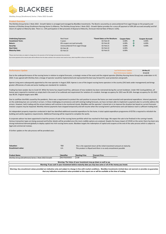

**Ditchley Group (Strathmore) Series 1 Note 2022 Growth**

# **Product Overview**

The Ditchley Group Series 1 Note 2022 - Growth Option is arranged and managed by BlackBee Investments. The Bond is secured by an unencumbered First Legal Charge on the property and business of Ditchley Group Strathmore Nursing Home Co Kilkenny. The Ditchley Group Series 1 Note 2022 - Growth Option provides for a once off payment of 30% (6% accrued annually) and full return of capital on Maturity date. There is a 25% participation in Net proceeds of disposal at Maturity. (Forecast Internal Rate of Return: 6.6%).

| <b>Underlying Exposure:</b><br><b>Investment Term:</b> | <b>Real Asset</b><br>5 years    | *Event Dates as Per Brochure:<br>02-Feb-19 | <b>Coupon Rate:</b><br>6.00% |    | <b>Coupon Accrued:</b><br>6.00% |
|--------------------------------------------------------|---------------------------------|--------------------------------------------|------------------------------|----|---------------------------------|
| Return:                                                | 6% coupon accrued annually      | 02-Feb-20                                  | 6.00%                        | ИŃ | 6.00%                           |
| Security:                                              | Unencumbered First Legal Charge | 02-Feb-21                                  | 6.00%                        |    | 6.00%                           |
| <b>Start Date:</b>                                     | 02-Feb-18                       | 02-Feb-22                                  | 6.00%                        |    |                                 |
| <b>Maturity Date:</b>                                  | 02-Feb-23                       | 02-Feb-23                                  | 6.00%                        |    |                                 |

thease the Event dates are subject to change due to the execution of the final legal and associated documentation.

Ants & the maturity date will be effective from the dates outlined in the contract note issued at close, which may differ to those on the brochure.

| <b>Performance Update</b> | <b>Last Performance Update:</b> | 06-May-22 |
|---------------------------|---------------------------------|-----------|
|                           | <b>Next Performance Update:</b> | 15-Jul-22 |

Due to the underperformance of the nursing home in relation to original forecasts, a strategic review of the asset and the original operator (Ditchley Nursing Home Group) was undertaken in H1 2020. It was agreed with Ditchley that a change of operator would be implemented and represented the best way forward for asset protection and growth.

Aperee Living were subsequently appointed as the new operator in August 2020. Aperee is one of the largest nursing home operators in the country (541 beds under management) and brings greater efficiencies of scale and sector leading care standards for residents.

Trading has been weaker due to Covid-19. While the home has stayed Covid free, admission of new residents has been restrained during the current lockdown. Under HSE Covid guidelines, all homes were required to maintain an empty bed in the event of an outbreak and requirement for isolation of a resident. Average occupancy for 2021 was 90.16%. Average occupancy for Q1 2022 was 90.3%. Original targets were 98%

Due to cashflow shortfalls caused by the pandemic, there was a requirement to protect the cash position to ensure the home can meet essential and operational expenditure. Interest payments on the underlying loan are currently in arrears. In these challenging circumstances and with existing trading forecasts, we have not been able to implement a payment plan to currently address the arrears. However, both trading and the arrears balance will continue to be monitored closely. BlackBee and the operator's shared aim is to improve the situation but based on current forecasts investor coupons may be impacted. Monthly interest payments have stopped temporarily and will resume when the nursing home's performance and cash balance reach a sufficient trading level.

An independent property inspection conducted in April has identified additional essential expenditure for the home. A total capital expenditure programme of €575k is required to refurbish the building and satisfy regulatory requirements. Additional financing will be required to complete the works.

A corporate advisor has been appointed to lead the process of sale of the nursing home portfolio which has reached its final stage. We expect the sale to be finalised in the coming 4 weeks. Various transaction types are being assessed and further details will be provided once the most credible options are analysed. Despite the heavy impact of COVID on the sector there has been very strong institutional demand globally to deploy capital into Irish nursing home assets. Blackbee targets the redemption of capital and coupons at the end of the sales process which is subject to legal and commercial reviews.

A further update on the sale process will be provided soon.

| <b>Valuation:</b><br><b>Encashment value:</b>                                | <b>TBD</b><br>n/a                 |                               | This is the expected return of the initial investment amount at maturity.<br>This product is illiquid and there is no early encashment possible                                    |  |
|------------------------------------------------------------------------------|-----------------------------------|-------------------------------|------------------------------------------------------------------------------------------------------------------------------------------------------------------------------------|--|
| <b>Product Name</b><br>Ditchley Group (Strathmore) Series 1 Note 2022 Growth | <b>Identifier</b><br>XS1732231615 | <b>Starting Price</b><br>1.00 | <b>Current Price</b><br><b>TBD</b>                                                                                                                                                 |  |
|                                                                              |                                   |                               | Warning: The Value of your investment may go down as well as up.<br>Warning: If you cash in your investment before maturity date you may lose some or all of the money you invest. |  |
|                                                                              |                                   |                               |                                                                                                                                                                                    |  |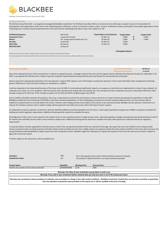

**Ditchley Group Note (Conna Unsecured) 2022**

# **Product Overview**

The Ditchley Group Note 2022 is arranged and managed by BlackBee Investments. The Ditchley Group Note 2022 is an unsecured note which pays a coupon in years 2-4 and provides for participation in the appreciation of the share in the Underlying Asset at Maturity. In years 2-4 investors receive a 5%p.a. coupon. At Maturity investors participate in the capital appreciation of the Underlying Asset. Investors should understand that in the event that the Underlying Asset falls in value, their capital is at risk.

| <b>Underlying Exposure:</b><br><b>Real Asset</b><br>4 years & 9 months<br><b>Investment Term:</b><br>5% coupon paid annually years 2-4<br>Return:<br>Security:<br>Unsecured<br><b>Start Date:</b><br>02-Feb-18<br><b>Maturity Date:</b><br>01-Nov-22 | *Event Dates as Per Brochure:<br>01-Nov-19<br>02-Nov-20<br>01-Nov-21<br>01-Nov-22 | <b>Coupon Rate:</b><br>5.00%<br>5.00%<br>5.00%<br>5.00% | ИN<br>ИN | <b>Coupon Paid:</b><br>5.00%<br>5.00% |
|------------------------------------------------------------------------------------------------------------------------------------------------------------------------------------------------------------------------------------------------------|-----------------------------------------------------------------------------------|---------------------------------------------------------|----------|---------------------------------------|
|------------------------------------------------------------------------------------------------------------------------------------------------------------------------------------------------------------------------------------------------------|-----------------------------------------------------------------------------------|---------------------------------------------------------|----------|---------------------------------------|

**Participation Return:**

\*Please note Event dates are subject to change due to the execution of the final legal and associated documentation.

Any income payments & the maturity date will be effective from the dates outlined in the contract note issued at close, which may differ to those on the brochure.

| <b>Performance Update</b>                                                                                       |  |  |  |  |  |  | <b>Last Performance Update:</b> | 06-May-22 |
|-----------------------------------------------------------------------------------------------------------------|--|--|--|--|--|--|---------------------------------|-----------|
|                                                                                                                 |  |  |  |  |  |  | Next Performance Update:        | 15-Jul-22 |
| the contract of the contract of the contract of the contract of the contract of the contract of the contract of |  |  |  |  |  |  |                                 |           |

Due to the underperformance of the nursing home in relation to original forecasts, a strategic review of the asset and the original operator (Ditchley Nursing Home Group) was undertaken in H1 2020. It was agreed with Ditchley that a change of operator would be implemented and represented the best way forward for asset protection and growth.

Aperee Living were subsequently appointed as the new operator in August 2020. Aperee is one of the largest nursing home operators in the country (541 beds under management) and brings greater efficiencies of scale and sector leading care standards for residents.

Covid has impacted on the financial performance of the home since Q4 2020. A Covid outbreak significantly impacts on occupancy as restrictions are implemented on intake of new residents. An outbreak occurs when 2 or more residents / staff test positive and is declared over 28 days after last positive test. The nursing home had an outbreak occurrence in December 2020 and in 2021. Average occupancy for 2021 was 79.6%. Average occupancy for Q1 2022 was 80.5%. Original targets were 98.5%

Due to cashflow shortfalls caused by the pandemic, there was a requirement to protect the cash position to ensure the home can meet essential and operational expenditure. In May 2021, BlackBee provided short term financing of €70,000 to meet these essential expenditures. In these challenging circumstances and with existing trading forecasts, we have not been able to implement a payment plan to currently address the arrears. However, both trading and the arrears balance will continue to be monitored closely. BlackBee and the operator's shared aim is to improve the situation, however, due to weaker trading, interest payments have fallen into arrears which will impact investor coupons.

An independent property inspection conducted in April has identified additional essential expenditure for the home. A total capital expenditure programme of €485k is required to refurbish the building and satisfy regulatory requirements. Additional financing will be required to complete the works.

Reconfiguration of the rooms is also required in the medium term to move towards provision of single ensuite rooms. Upcoming regulatory changes and expected reduced demand post Covid-19 for shared rooms will likely see the need to move entirely to single rooms. Additional financing will be required to complete the works. Bed capacity was reduced by 6% due to regulatory requirements

A corporate advisor has been appointed to lead the process of sale of the nursing home portfolio which has reached its final stage. We expect the sale to be finalised in the coming 4 weeks. Various transaction types are being assessed and further details will be provided once the most credible options are analysed. Despite the heavy impact of COVID on the sector there has been very strong institutional demand globally to deploy capital into Irish nursing home assets. Blackbee targets the redemption of capital and coupons at the end of the sales process which is subject to legal and commercial reviews.

A further update on the sale process will be provided soon.

| <b>Valuation:</b><br>Encashment value:     | <b>TBD</b><br>n/a |                       | This is the expected return of the initial investment amount at maturity.<br>This product is illiquid and there is no early encashment possible                                                                                                                                                          |
|--------------------------------------------|-------------------|-----------------------|----------------------------------------------------------------------------------------------------------------------------------------------------------------------------------------------------------------------------------------------------------------------------------------------------------|
| <b>Product Name</b>                        | Identifier        | <b>Starting Price</b> | <b>Current Price</b>                                                                                                                                                                                                                                                                                     |
| Ditchley Group Note (Conna Unsecured) 2022 | AP0000000008      | 1.00                  | <b>TBD</b>                                                                                                                                                                                                                                                                                               |
|                                            |                   |                       |                                                                                                                                                                                                                                                                                                          |
|                                            |                   |                       | Warning: The Value of your investment may go down as well as up.                                                                                                                                                                                                                                         |
|                                            |                   |                       | Warning: If you cash in your investment before maturity date you may lose some or all of the money you invest.                                                                                                                                                                                           |
|                                            |                   |                       | Warning: Any encashment values provided are indicative only and subject to change in line with market conditions. BlackBee Investments Limited does not warrant or provides no guarantee<br>that any indicative encashment value provided on this report are or will be available at the time of trading |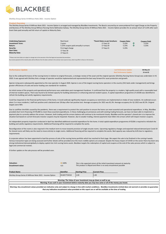

**Ditchley Group Series III Millrace Note 2021 - Income Option**

**Product Overview**<br>The Ditchley Group Series III Millrace Note 2021 - Income Option is arranged and managed by BlackBee Investments. The Bond is secured by an unencumbered First Legal Charge on the Property and Business of The Ditchley Group Millrace Nursing Home Ballinasloe Galway. The Ditchley Group Series III Millrace Note 2021 - Income Option provides for an annual return of 5.25% after each Event Date paid annually and full return of capital on Maturity Date.

| <b>Underlying Exposure:</b><br><b>Investment Term:</b><br>Return:<br>Security:<br><b>Start Date:</b><br><b>Maturity Date:</b> | Real Asset<br>3 years<br>5.25% coupon paid annually in arrears<br>First legal charge<br>17-Sep-18<br>17-Sep-21 | *Event Dates as per brochure:<br>17-Sep-19<br>17-Sep-20<br>17-Sep-21 | <b>Coupon Rate:</b><br>5.25%<br>5.25%<br>5.25% |  | <b>Coupon Paid:</b><br>5.25%<br>5.25% |
|-------------------------------------------------------------------------------------------------------------------------------|----------------------------------------------------------------------------------------------------------------|----------------------------------------------------------------------|------------------------------------------------|--|---------------------------------------|
|-------------------------------------------------------------------------------------------------------------------------------|----------------------------------------------------------------------------------------------------------------|----------------------------------------------------------------------|------------------------------------------------|--|---------------------------------------|

\*\*Please note Event dates are subject to change due to the execution of the final legal and associated documentation. Any income payments & the maturity date will be effective from the dates outlined in the contract note issued at close, which may differ to those on the brochure.

| <b>Performance Update</b> | <b>Last Performance Update:</b> | 06-May-22 |
|---------------------------|---------------------------------|-----------|
|                           | <b>Next Performance Update:</b> | 15-Jul-22 |

Due to the underperformance of the nursing home in relation to original forecasts, a strategic review of the asset and the original operator (Ditchley Nursing Home Group) was undertaken in H1 2020. It was agreed with Ditchley that a change of operator would be implemented and represented the best way forward for asset protection and growth.

Aperee Living were subsequently appointed as the new operator in August 2020. Aperee is one of the largest nursing home operators in the country (541 beds under management) and brings greater efficiencies of scale and sector leading care standards for residents.

An initial review of the property and operational performance was undertaken post management handover. It confirmed that the property is a modern, high-quality asset with a reasonable level of internal resident spaces. There was found to be limited capacity for building extensions or enhancing external resident spaces. A capital expenditure programme of c€350k was identified to refresh the building and satisfy regulatory requirements.

Covid has impacted on the financial performance of the home. A Covid outbreak significantly impacts occupancy as restrictions are implemented on intake of new residents. An outbreak occurs when 2 or more residents / staff test positive and is declared over 28 days after last positive test. Average occupancy for 2021 was 81.3%. Average occupancy for Q1 2022 was 82.5%. Original targets were 96%

Due to cashflow shortfalls caused by the pandemic, there was a requirement to protect the cash position to ensure the home can meet essential and operational expenditure. In May, BlackBee provided short term financing of €70,000 to meet these essential expenditures. In these challenging circumstances and with existing trading forecasts, we have not been able to implement a payment plan to currently address the arrears. However, both trading and the arrears balance will continue to be monitored closely. BlackBee and the operator's shared aim is to improve the situation but based on current forecasts investor coupons may be impacted. However, due to weaker trading, interest payments have fallen into arrears which will impact investor coupons.

An independent property inspection conducted in April has identified additional essential expenditure for the home. A total capital expenditure programme of €520k is required to refurbish the building and satisfy regulatory requirements. Additional financing will be required to complete the works.

Reconfiguration of the rooms is also required in the medium term to move towards provision of single ensuite rooms. Upcoming regulatory changes and expected reduced demand post Covid-19 for shared rooms will likely see the need to move entirely to single rooms. Additional financing will be required to complete the works. Bed capacity was reduced by 6.6% due to regulatory requirements

A corporate advisor has been appointed to lead the process of sale of the nursing home portfolio which has reached its final stage. We expect the sale to be finalised in the coming 4 weeks. Various transaction types are being assessed and further details will be provided once the most credible options are analysed. Despite the heavy impact of COVID on the sector there has been very strong institutional demand globally to deploy capital into Irish nursing home assets. Blackbee targets the redemption of capital and coupons at the end of the sales process which is subject to legal and commercial reviews.

A further update on the sale process will be provided soon.

| <b>Valuation:</b>                                            | $\Rightarrow$ 100% |                       | This is the expected return of the initial investment amount at maturity.                                      |
|--------------------------------------------------------------|--------------------|-----------------------|----------------------------------------------------------------------------------------------------------------|
| <b>Encashment value:</b>                                     | n/a                |                       | This product is illiquid and there is no early encashment possible                                             |
| <b>Product Name</b>                                          | <b>Identifier</b>  | <b>Starting Price</b> | <b>Current Price</b>                                                                                           |
| Ditchley Group Series III Millrace Note 2021 - Income Option | XS1857754532       | 1.00                  | 1.00                                                                                                           |
|                                                              |                    |                       | Warning: The Value of your investment may go down as well as up.                                               |
|                                                              |                    |                       | Warning: If you cash in your investment before maturity date you may lose some or all of the money you invest. |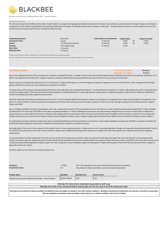

**Ditchley Group Series III Millrace Note 2021 - Growth Option**

# **Product Overview**

The Ditchley Group Series III Millrace Note 2021- Growth Option is arranged and managed by BlackBee Investments. The Bond is secured by an unencumbered First Legal Charge on the Property and Business of The Ditchley Group Millrace Nursing Home Ballinasloe Co Galway. The Ditchley Group Series III Millrace Note 2021 - Growth Option provides for a once off payment of 15.75%, (5.25% accrued annually), and full return of capital on Maturity Date.

| <b>Underlying Exposure:</b><br><b>Investment Term:</b><br>Return: | Real Asset<br>3 years<br>15.75% paid at maturity | *Event Dates as Per Brochure:<br>17-Sep-19<br>17-Sep-20 | <b>Coupon Rate:</b><br>5.25%<br>5.25% | им<br>ИΝ | <b>Coupon Accrued:</b><br>5.25%<br>5.25% |
|-------------------------------------------------------------------|--------------------------------------------------|---------------------------------------------------------|---------------------------------------|----------|------------------------------------------|
| Security:                                                         | First Legal Charge                               | 17-Sep-21                                               | 5.25%                                 |          |                                          |
| <b>Start Date:</b><br><b>Maturity Date:</b>                       | 17-Sep-18<br>17-Sep-21                           |                                                         |                                       |          |                                          |

note Event dates are subject to change due to the execution of the final legal and associated documentation.

ants & the maturity date will be effective from the dates outlined in the contract note issued at close, which may differ to those on the broch

| <b>Performance Update</b> | <b>Last Performance Update:</b> | 06-May-22 |
|---------------------------|---------------------------------|-----------|
|                           | <b>Next Performance Update:</b> | 15-Jul-22 |

Due to the underperformance of the nursing home in relation to original forecasts, a strategic review of the asset and the original operator (Ditchley Nursing Home Group) was undertaken in H1 2020. It was agreed with Ditchley that a change of operator would be implemented and represented the best way forward for asset protection and growth.

Aperee Living were subsequently appointed as the new operator in August 2020. Aperee is one of the largest nursing home operators in the country (541 beds under management) and brings greater efficiencies of scale and sector leading care standards for residents.

An initial review of the property and operational performance was undertaken post management handover. It confirmed that the property is a modern, high-quality asset with a reasonable level of internal resident spaces. There was found to be limited capacity for building extensions or enhancing external resident spaces. A capital expenditure programme of c€350k was identified to refresh the building and satisfy regulatory requirements.

Covid has impacted on the financial performance of the home. A Covid outbreak significantly impacts occupancy as restrictions are implemented on intake of new residents. An outbreak occurs when 2 or more residents / staff test positive and is declared over 28 days after last positive test. Average occupancy for 2021 was 81.3%. Average occupancy for Q1 2022 was 82.5%. Original targets were 96%

Due to cashflow shortfalls caused by the pandemic, there was a requirement to protect the cash position to ensure the home can meet essential and operational expenditure. In May, BlackBee provided short term financing of €70,000 to meet these essential expenditures. In these challenging circumstances and with existing trading forecasts, we have not been able to implement a payment plan to currently address the arrears. However, both trading and the arrears balance will continue to be monitored closely. BlackBee and the operator's shared aim is to improve the situation but based on current forecasts investor coupons may be impacted. However, due to weaker trading, interest payments have fallen into arrears which will impact investor coupons.

An independent property inspection conducted in April has identified additional essential expenditure for the home. A total capital expenditure programme of  $\epsilon$ 520k is required to refurbish the building and satisfy regulatory requirements. Additional financing will be required to complete the works.

Reconfiguration of the rooms is also required in the medium term to move towards provision of single ensuite rooms. Upcoming regulatory changes and expected reduced demand post Covid-19 for shared rooms will likely see the need to move entirely to single rooms. Additional financing will be required to complete the works. Bed capacity was reduced by 6.6% due to regulatory requirements

A corporate advisor has been appointed to lead the process of sale of the nursing home portfolio which has reached its final stage. We expect the sale to be finalised in the coming 4 weeks. Various transaction types are being assessed and further details will be provided once the most credible options are analysed. Despite the heavy impact of COVID on the sector there has been very strong institutional demand globally to deploy capital into Irish nursing home assets. Blackbee targets the redemption of capital and coupons at the end of the sales process which is subject to legal and commercial reviews.

A further update on the sale process will be provided soon.

| Valuation:               | 100% | This is the expected return of the initial investment amount at maturity. |
|--------------------------|------|---------------------------------------------------------------------------|
| <b>Encashment value:</b> | n/a  | This product is illiquid and there is no early encashment possible        |
|                          |      |                                                                           |

| <b>Product Name</b>                                          | Identifier   | <b>Starting Price</b> | <b>Current Price</b> |
|--------------------------------------------------------------|--------------|-----------------------|----------------------|
| Ditchley Group Series III Millrace Note 2021 - Growth Option | XS1857754292 | 1.00                  | 1.00                 |
|                                                              |              |                       |                      |

| Warning: The Value of your investment may go down as well as up.                                                                                                                         |
|------------------------------------------------------------------------------------------------------------------------------------------------------------------------------------------|
| Warning: If you cash in your investment before maturity date you may lose some or all of the money you invest.                                                                           |
| Warning: Any encashment values provided are indicative only and subject to change in line with market conditions. BlackBee Investments Limited does not warrant or provides no guarantee |
| that any indicative encashment value provided on this report are or will be available at the time of trading                                                                             |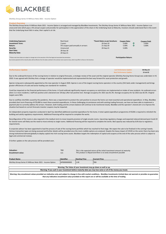

**Ditchley Group Series IV Millrace Note 2021 - Income Option**

**Product Overview**<br>The Ditchley Group Series IV Millrace Note 2021 - Income Option is arranged and managed by BlackBee Investments. The Ditchley Group Series IV Millrace Note 2021 - Income Option is an unsecured note which pays a 5% annual coupon and provides for participation in the appreciation of the share in the Underlying Asset at Maturity. Investors should understand that in the event that the Underlying Asset falls in value, their capital is at risk.

| <b>Underlying Exposure:</b><br>Real Asset<br><b>Investment Term:</b><br>3 years<br>Return:<br>Security:<br>Unsecured<br><b>Start Date:</b><br>28-Sep-18<br><b>Maturity Date:</b><br>20-Sep-21 | *Event Dates as per brochure:<br>20-Sep-19<br>21-Sep-20<br>5% coupon paid annually in arrears<br>20-Sep-21 | <b>Coupon Rate:</b><br>5.00%<br>5.00%<br>5.00% | им<br>им | <b>Coupon Paid:</b><br>5.00%<br>5.00% |
|-----------------------------------------------------------------------------------------------------------------------------------------------------------------------------------------------|------------------------------------------------------------------------------------------------------------|------------------------------------------------|----------|---------------------------------------|
|-----------------------------------------------------------------------------------------------------------------------------------------------------------------------------------------------|------------------------------------------------------------------------------------------------------------|------------------------------------------------|----------|---------------------------------------|

\*\*Please note Event dates are subject to change due to the execution of the final legal and associated documentation. **Participation Return: Participation Return:** Any income payments & the maturity date will be effective from the dates outlined in the contract note issued at close, which may differ to those on the brochure.

**Next Performance Update:** 

**Performance Update Last Performance Update: 06-May-22**

Due to the underperformance of the nursing home in relation to original forecasts, a strategic review of the asset and the original operator (Ditchley Nursing Home Group) was undertaken in H1 2020. It was agreed with Ditchley that a change of operator would be implemented and represented the best way forward for asset protection and growth.

Aperee Living were subsequently appointed as the new operator in August 2020. Aperee is one of the largest nursing home operators in the country (541 beds under management) and brings greater efficiencies of scale and sector leading care standards for residents.

Covid has impacted on the financial performance of the home. A Covid outbreak significantly impacts occupancy as restrictions are implemented on intake of new residents. An outbreak occurs when 2 or more residents / staff test positive and is declared over 28 days after last positive test. Average occupancy for 2021 was 81.3%. Average occupancy for Q1 2022 was 82.5%. Original targets were 96%.

Due to cashflow shortfalls caused by the pandemic, there was a requirement to protect the cash position to ensure the home can meet essential and operational expenditure. In May, BlackBee provided short term financing of €70,000 to meet these essential expenditures. In these challenging circumstances and with existing trading forecasts, we have not been able to implement a payment plan to currently address the arrears. However, both trading and the arrears balance will continue to be monitored closely. BlackBee and the operator's shared aim is to improve the situation but based on current forecasts investor coupons may be impacted.

An independent property inspection conducted in April has identified additional essential expenditure for the home. A total capital expenditure programme of €520k is required to refurbish the building and satisfy regulatory requirements. Additional financing will be required to complete the works.

Reconfiguration of the rooms is also required in the medium term to move towards provision of single ensuite rooms. Upcoming regulatory changes and expected reduced demand post Covid-19 for shared rooms will likely see the need to move entirely to single rooms. Additional financing will be required to complete the works. Bed capacity was reduced by 6.6% due to regulatory requirements.

A corporate advisor has been appointed to lead the process of sale of the nursing home portfolio which has reached its final stage. We expect the sale to be finalised in the coming 4 weeks. Various transaction types are being assessed and further details will be provided once the most credible options are analysed. Despite the heavy impact of COVID on the sector there has been very strong institutional demand globally to deploy capital into Irish nursing home assets. Blackbee targets the redemption of capital and coupons at the end of the sales process which is subject to legal and commercial reviews.

A further update on the sale process will be provided soon.

| <b>Valuation:</b>                                                                                                                                                                  | <b>TBD</b>   | This is the expected return of the initial investment amount at maturity. |                      |  |  |  |  |  |
|------------------------------------------------------------------------------------------------------------------------------------------------------------------------------------|--------------|---------------------------------------------------------------------------|----------------------|--|--|--|--|--|
| <b>Encashment value:</b>                                                                                                                                                           | n/a          | This product is illiquid and there is no early encashment possible        |                      |  |  |  |  |  |
| <b>Product Name</b>                                                                                                                                                                | Identifier   | <b>Starting Price</b>                                                     | <b>Current Price</b> |  |  |  |  |  |
| Ditchley Group Series IV Millrace Note 2021 - Income Option                                                                                                                        | AP0000000005 | 1.00                                                                      | <b>TBD</b>           |  |  |  |  |  |
| Warning: The Value of your investment may go down as well as up.<br>Warning: If you cash in your investment before maturity date you may lose some or all of the money you invest. |              |                                                                           |                      |  |  |  |  |  |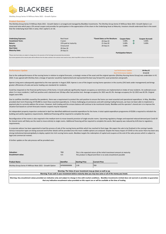

**Ditchley Group Series IV Millrace Note 2021 - Growth Option**

# **Product Overview**

The Ditchley Group Series IV Millrace Note 2021 - Growth Option is arranged and managed by BlackBee Investments. The Ditchley Group Series IV Millrace Note 2021 -Growth Option is an unsecured note which pays a 5% annual coupon and provides for participation in the appreciation of the share in the Underlying Asset at Maturity. Investors should understand that in the event that the Underlying Asset falls in value, their capital is at risk.

| <b>Underlying Exposure:</b><br><b>Investment Term:</b> | <b>Real Asset</b><br>3 years | *Event Dates as Per Brochure:<br>20-Sep-19 | <b>Coupon Rate:</b><br>5.00% | ИΝ | <b>Coupon Accrued:</b><br>5.00% |  |  |
|--------------------------------------------------------|------------------------------|--------------------------------------------|------------------------------|----|---------------------------------|--|--|
| Return:                                                | 15% paid at maturity         | 21-Sep-20                                  | 5.00%                        | ИΝ | 5.00%                           |  |  |
| Security:                                              | Unsecured                    | 20-Sep-21                                  | 5.00%                        |    |                                 |  |  |
| <b>Start Date:</b>                                     | 28-Sep-18                    |                                            |                              |    |                                 |  |  |
| <b>Maturity Date:</b>                                  | 20-Sep-21                    |                                            |                              |    |                                 |  |  |
|                                                        |                              | <b>Particination Return:</b>               |                              |    |                                 |  |  |

.<br>Please the formulates are subject to change due to the execution of the final legal and associated documentati

ants & the maturity date will be effective from the dates outlined in the contract note issued at close, which may differ to those on the broch

| <b>Performance Update</b> | <b>Last Performance Update:</b> | 06-May-22 |
|---------------------------|---------------------------------|-----------|
|                           | <b>Next Performance Update:</b> | 15-Jul-22 |

Due to the underperformance of the nursing home in relation to original forecasts, a strategic review of the asset and the original operator (Ditchley Nursing Home Group) was undertaken in H1 2020. It was agreed with Ditchley that a change of operator would be implemented and represented the best way forward for asset protection and growth.

Aperee Living were subsequently appointed as the new operator in August 2020. Aperee is one of the largest nursing home operators in the country (541 beds under management) and brings greater efficiencies of scale and sector leading care standards for residents.

Covid has impacted on the financial performance of the home. A Covid outbreak significantly impacts occupancy as restrictions are implemented on intake of new residents. An outbreak occurs when 2 or more residents / staff test positive and is declared over 28 days after last positive test. Average occupancy for 2021 was 81.3%. Average occupancy for Q1 2022 was 82.5%. Original targets were 96%.

Due to cashflow shortfalls caused by the pandemic, there was a requirement to protect the cash position to ensure the home can meet essential and operational expenditure. In May, BlackBee provided short term financing of €70,000 to meet these essential expenditures. In these challenging circumstances and with existing trading forecasts, we have not been able to implement a payment plan to currently address the arrears. However, both trading and the arrears balance will continue to be monitored closely. BlackBee and the operator's shared aim is to improve the situation but based on current forecasts investor coupons may be impacted.

An independent property inspection conducted in April has identified additional essential expenditure for the home. A total capital expenditure programme of €520k is required to refurbish the building and satisfy regulatory requirements. Additional financing will be required to complete the works.

Reconfiguration of the rooms is also required in the medium term to move towards provision of single ensuite rooms. Upcoming regulatory changes and expected reduced demand post Covid-19 for shared rooms will likely see the need to move entirely to single rooms. Additional financing will be required to complete the works. Bed capacity was reduced by 6.6% due to regulatory requirements.

A corporate advisor has been appointed to lead the process of sale of the nursing home portfolio which has reached its final stage. We expect the sale to be finalised in the coming 4 weeks. Various transaction types are being assessed and further details will be provided once the most credible options are analysed. Despite the heavy impact of COVID on the sector there has been very strong institutional demand globally to deploy capital into Irish nursing home assets. Blackbee targets the redemption of capital and coupons at the end of the sales process which is subject to legal and commercial reviews.

A further update on the sale process will be provided soon.

| <b>Valuation:</b><br><b>Encashment value:</b>               | <b>TBD</b><br>n/a |                       | This is the expected return of the initial investment amount at maturity.<br>This product is illiquid and there is no early encashment possible |  |
|-------------------------------------------------------------|-------------------|-----------------------|-------------------------------------------------------------------------------------------------------------------------------------------------|--|
| <b>Product Name</b>                                         | Identifier        | <b>Starting Price</b> | <b>Current Price</b>                                                                                                                            |  |
| Ditchley Group Series IV Millrace Note 2021 - Growth Option | AP0000000006      | 1.00                  | <b>TBD</b>                                                                                                                                      |  |
|                                                             |                   |                       |                                                                                                                                                 |  |

| Warning:<br>` well as up.<br>Value<br>ot vour<br>$\sim$ $\mathbf{m}$ .<br>: mav go<br>r investment<br>ιaο<br>rne<br>-93                                                                      |  |
|----------------------------------------------------------------------------------------------------------------------------------------------------------------------------------------------|--|
|                                                                                                                                                                                              |  |
| 181.<br>ı invest.<br>some<br>vou<br>maturity<br>inve<br>. vor<br>ΟΙ<br>aonev vou<br>VOUR<br>' los<br>cash in<br>.rnıne <sup>.</sup><br>aate<br>-TO L<br>estment ber .<br>anav 1<br>аш<br>vva |  |
|                                                                                                                                                                                              |  |
|                                                                                                                                                                                              |  |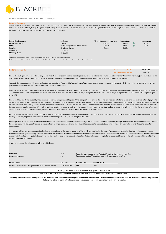

**Ditchley Group Series V Deerpark Note 2021 - Income Option**

**Product Overview**<br>The Ditchley Group Series V Deerpark Note 2021 - Income Option is arranged and managed by BlackBee Investments. The Bond is secured by an unencumbered First Legal Charge on the Property and Business of The Ditchley Group Deerpark House Nursing Home Bantry Co Cork. The Ditchley Group Series V Deerpark Note 2021 - Income Option provides for an annual return of 5% after each Event Date paid annually and full return of capital on Maturity Date.

| <b>Underlying Exposure:</b><br><b>Investment Term:</b><br>Return:<br>Security:<br><b>Start Date:</b><br><b>Maturity Date:</b> | Real Asset<br>3 years<br>5% coupon paid annually in arrears<br>First Legal Charge<br>12-Dec-18<br>12-Dec-21 | *Event Dates as per brochure:<br>12-Dec-19<br>12-Dec-20<br>12-Dec-21 | <b>Coupon Rate:</b><br>5.00%<br>5.00%<br>5.00% |  | <b>Coupon Paid:</b><br>5.00%<br>5.00% |
|-------------------------------------------------------------------------------------------------------------------------------|-------------------------------------------------------------------------------------------------------------|----------------------------------------------------------------------|------------------------------------------------|--|---------------------------------------|
|-------------------------------------------------------------------------------------------------------------------------------|-------------------------------------------------------------------------------------------------------------|----------------------------------------------------------------------|------------------------------------------------|--|---------------------------------------|

\*\*Please note Event dates are subject to change due to the execution of the final legal and associated documentation. Any income payments & the maturity date will be effective from the dates outlined in the contract note issued at close, which may differ to those on the brochure.

| <b>Performance Update</b> | <b>Last Performance Update:</b> | 06-May-22 |
|---------------------------|---------------------------------|-----------|
|                           | Next Performance Update:        | 15-Jul-22 |

Due to the underperformance of the nursing home in relation to original forecasts, a strategic review of the asset and the original operator (Ditchley Nursing Home Group) was undertaken in H1 2020. It was agreed with Ditchley that a change of operator would be implemented and represented the best way forward for asset protection and growth.

Aperee Living were subsequently appointed as the new operator in August 2020. Aperee is one of the largest nursing home operators in the country (541 beds under management) and brings greater efficiencies of scale and sector leading care standards for residents.

Covid has impacted the financial performance of the home. A Covid outbreak significantly impacts occupancy as restrictions are implemented on intake of new residents. An outbreak occurs when 2 or more residents / staff test positive and is declared over 28 days after last positive test. Average occupancy for 2021 was 84.1%. Average occupancy for Q1 2022 was 89.5%. Original targets were 93%.

Due to cashflow shortfalls caused by the pandemic, there was a requirement to protect the cash position to ensure the home can meet essential and operational expenditure. Interest payments on the underlying loan are currently in arrears. In these challenging circumstances and with existing trading forecasts, we have not been able to implement a payment plan to currently address the arrears. However, both trading and the arrears balance will continue to be monitored closely. BlackBee and the operator's shared aim is to improve the situation but based on current forecasts investor coupons may be impacted. We received an initial monthly payment in April with the expectation that, based on existing trading forecasts, this will continue for the remainder of the year and up to maturity. Due to weaker trading, interest payments have fallen into arrears which will impact investor coupons.

An independent property inspection conducted in April has identified additional essential expenditure for the home. A total capital expenditure programme of €410k is required to refurbish the building and satisfy regulatory requirements. Additional financing will be required to complete the works.

Reconfiguration of the rooms is also required in the medium term to move towards provision of single ensuite rooms. Upcoming regulatory changes and expected reduced demand post Covid-19 for shared rooms will likely see the need to move entirely to single rooms. Additional financing will be required to complete the works. Bed capacity was reduced by 6.6% due to regulatory requirements.

A corporate advisor has been appointed to lead the process of sale of the nursing home portfolio which has reached its final stage. We expect the sale to be finalised in the coming 4 weeks. Various transaction types are being assessed and further details will be provided once the most credible options are analysed. Despite the heavy impact of COVID on the sector there has been very strong institutional demand globally to deploy capital into Irish nursing home assets. Blackbee targets the redemption of capital and coupons at the end of the sales process which is subject to legal and commercial reviews.

A further update on the sale process will be provided soon.

| <b>Valuation:</b><br><b>Encashment value:</b>                    | <b>TBD</b><br>n/a | This is the expected return of the initial investment amount at maturity.<br>This product is illiquid and there is no early encashment possible |                      |  |  |  |  |  |
|------------------------------------------------------------------|-------------------|-------------------------------------------------------------------------------------------------------------------------------------------------|----------------------|--|--|--|--|--|
| <b>Product Name</b>                                              | Identifier        | <b>Starting Price</b>                                                                                                                           | <b>Current Price</b> |  |  |  |  |  |
| Ditchley Group Series V Deerpark Note 2021 - Income Option       | XS1914492076      | 1.00                                                                                                                                            | <b>TBD</b>           |  |  |  |  |  |
| Warning: The Value of your investment may go down as well as up. |                   |                                                                                                                                                 |                      |  |  |  |  |  |

**Warning: If you cash in your investment before maturity date you may lose some or all of the money you invest.** Warning: Any encashment values provided are indicative only and subject to change in line with market conditions. BlackBee Investments Limited does not warrant or provides no guarantee

**that any indicative encashment value provided on this report are or will be available at the time of trading**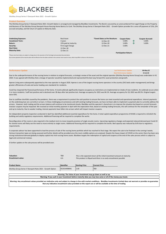

**Ditchley Group Series V Deerpark Note 2021 - Growth Option**

# **Product Overview**

The Ditchley Group Series V Deerpark Note 2021- Growth Option is arranged and managed by BlackBee Investments. The Bond is secured by an unencumbered First Legal Charge on the Property and Business of The Ditchley Group Deerpark House Nursing Home Bantry Co Cork. The Ditchley Group Series V Deerpark Note 2021 - Growth Option provides for a once off payment of 15%, (5% accrued annually), and full return of capital on Maturity Date.

| <b>Underlying Exposure:</b><br><b>Investment Term:</b> | <b>Real Asset</b><br>3 years | *Event Dates as Per Brochure:<br>12-Dec-19 | <b>Coupon Rate:</b><br>5.00% | ИŃ | <b>Coupon Accrued:</b><br>5.00% |  |  |
|--------------------------------------------------------|------------------------------|--------------------------------------------|------------------------------|----|---------------------------------|--|--|
| Return:                                                | 15% paid at maturity         | 12-Dec-20                                  | 5.00%                        | ИŃ | 5.00%                           |  |  |
| Security:                                              | First Legal Charge           | 12-Dec-21                                  | 5.00%                        |    |                                 |  |  |
| <b>Start Date:</b>                                     | 12-Dec-18                    |                                            |                              |    |                                 |  |  |
| <b>Maturity Date:</b>                                  | 12-Dec-21                    |                                            |                              |    |                                 |  |  |
|                                                        |                              | <b>Particination Return:</b>               |                              |    |                                 |  |  |

note Event dates are subject to change due to the execution of the final legal and associated documentation.

ants & the maturity date will be effective from the dates outlined in the contract note issued at close, which may differ to those on the broch

| <b>Performance Update</b> |  |  |  |  |  | <b>Last Performance Update:</b> |  | 06-May-22 |  |
|---------------------------|--|--|--|--|--|---------------------------------|--|-----------|--|
|                           |  |  |  |  |  | <b>Next Performance Update:</b> |  | 15-Jul-22 |  |
|                           |  |  |  |  |  |                                 |  |           |  |

Due to the underperformance of the nursing home in relation to original forecasts, a strategic review of the asset and the original operator (Ditchley Nursing Home Group) was undertaken in H1 2020. It was agreed with Ditchley that a change of operator would be implemented and represented the best way forward for asset protection and growth.

Aperee Living were subsequently appointed as the new operator in August 2020. Aperee is one of the largest nursing home operators in the country (541 beds under management) and brings greater efficiencies of scale and sector leading care standards for residents.

Covid has impacted the financial performance of the home. A Covid outbreak significantly impacts occupancy as restrictions are implemented on intake of new residents. An outbreak occurs when 2 or more residents / staff test positive and is declared over 28 days after last positive test. Average occupancy for 2021 was 84.1%. Average occupancy for Q1 2022 was 89.5%. Original targets were 93%.

Due to cashflow shortfalls caused by the pandemic, there was a requirement to protect the cash position to ensure the home can meet essential and operational expenditure. Interest payments on the underlying loan are currently in arrears. In these challenging circumstances and with existing trading forecasts, we have not been able to implement a payment plan to currently address the arrears. However, both trading and the arrears balance will continue to be monitored closely. BlackBee and the operator's shared aim is to improve the situation but based on current forecasts investor coupons may be impacted. We received an initial monthly payment in April with the expectation that, based on existing trading forecasts, this will continue for the remainder of the year and up to maturity. Due to weaker trading, interest payments have fallen into arrears which will impact investor coupons.

An independent property inspection conducted in April has identified additional essential expenditure for the home. A total capital expenditure programme of €410k is required to refurbish the building and satisfy regulatory requirements. Additional financing will be required to complete the works.

Reconfiguration of the rooms is also required in the medium term to move towards provision of single ensuite rooms. Upcoming regulatory changes and expected reduced demand post Covid-19 for shared rooms will likely see the need to move entirely to single rooms. Additional financing will be required to complete the works. Bed capacity was reduced by 6.6% due to regulatory requirements.

A corporate advisor has been appointed to lead the process of sale of the nursing home portfolio which has reached its final stage. We expect the sale to be finalised in the coming 4 weeks. Various transaction types are being assessed and further details will be provided once the most credible options are analysed. Despite the heavy impact of COVID on the sector there has been very strong institutional demand globally to deploy capital into Irish nursing home assets. Blackbee targets the redemption of capital and coupons at the end of the sales process which is subject to legal and commercial reviews.

A further update on the sale process will be provided soon.

| <b>Valuation:</b><br><b>Encashment value:</b>                    | <b>TBD</b><br>n/a |                       | This is the expected return of the initial investment amount at maturity.<br>This product is illiquid and there is no early encashment possible |  |  |  |  |  |
|------------------------------------------------------------------|-------------------|-----------------------|-------------------------------------------------------------------------------------------------------------------------------------------------|--|--|--|--|--|
| <b>Product Name</b>                                              | Identifier        | <b>Starting Price</b> | <b>Current Price</b>                                                                                                                            |  |  |  |  |  |
| Ditchley Group Series V Deerpark Note 2021 - Growth Option       | XS1914498941      | 1.00                  | <b>TBD</b>                                                                                                                                      |  |  |  |  |  |
| Warning: The Value of your investment may go down as well as up. |                   |                       |                                                                                                                                                 |  |  |  |  |  |

**Warning: If you cash in your investment before maturity date you may lose some or all of the money you invest.**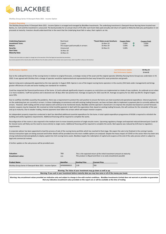

**Ditchley Group Series VI Deerpark Note 2021 - Income Option**

Product Overview<br>The Ditchley Group Series VI Deerpark Note 2021 - Income Option is arranged and managed by BlackBee Investments. The underlying investment is Deerpark House Nursing Home located near Bantry, Co. Cork and the investment is unsecured. The bond provides for an annual return of 5% after each Event Date paid annually and return of capital on Maturity Date plus participation in net proceeds at maturity. Investors should understand that in the event that the Underlying Asset falls in value, their capital is at risk.

| <b>Underlying Exposure:</b><br><b>Investment Term:</b><br>Return:<br>Security:<br><b>Start Date:</b><br><b>Maturity Date:</b> | <b>Real Asset</b><br>3 years<br>5% coupon paid annually in arrears<br>Unsecured<br>16-Nov-18<br>16-Nov-21 | *Event Dates as per brochure:<br>16-Nov-19<br>16-Nov-20<br>16-Nov-21 | <b>Coupon Rate:</b><br>5.00%<br>5.00%<br>5.00% | им<br>им | <b>Coupon Paid:</b><br>5.00%<br>5.00% |
|-------------------------------------------------------------------------------------------------------------------------------|-----------------------------------------------------------------------------------------------------------|----------------------------------------------------------------------|------------------------------------------------|----------|---------------------------------------|
|-------------------------------------------------------------------------------------------------------------------------------|-----------------------------------------------------------------------------------------------------------|----------------------------------------------------------------------|------------------------------------------------|----------|---------------------------------------|

\*\*Please note Event dates are subject to change due to the execution of the final legal and associated documentation. Any income payments & the maturity date will be effective from the dates outlined in the contract note issued at close, which may differ to those on the brochure.

| <b>Performance Update</b> | <b>Last Performance Update:</b> | 06-May-22 |
|---------------------------|---------------------------------|-----------|
|                           | <b>Next Performance Update:</b> | 15-Jul-22 |

Due to the underperformance of the nursing home in relation to original forecasts, a strategic review of the asset and the original operator (Ditchley Nursing Home Group) was undertaken in H1 2020. It was agreed with Ditchley that a change of operator would be implemented and represented the best way forward for asset protection and growth.

Aperee Living were subsequently appointed as the new operator in August 2020. Aperee is one of the largest nursing home operators in the country (541 beds under management) and brings greater efficiencies of scale and sector leading care standards for residents.

Covid has impacted the financial performance of the home. A Covid outbreak significantly impacts occupancy as restrictions are implemented on intake of new residents. An outbreak occurs when 2 or more residents / staff test positive and is declared over 28 days after last positive test. Average occupancy for 2021 was 84.1%. Average occupancy for Q1 2022 was 89.5%. Original targets were 93%.

Due to cashflow shortfalls caused by the pandemic, there was a requirement to protect the cash position to ensure the home can meet essential and operational expenditure. Interest payments on the underlying loan are currently in arrears. In these challenging circumstances and with existing trading forecasts, we have not been able to implement a payment plan to currently address the arrears. However, both trading and the arrears balance will continue to be monitored closely. BlackBee and the operator's shared aim is to improve the situation but based on current forecasts investor coupons may be impacted. We received an initial monthly payment in April with the expectation that, based on existing trading forecasts, this will continue for the remainder of the year and up to maturity. Due to weaker trading, interest payments have fallen into arrears which will impact investor coupons.

An independent property inspection conducted in April has identified additional essential expenditure for the home. A total capital expenditure programme of €410k is required to refurbish the building and satisfy regulatory requirements. Additional financing will be required to complete the works.

Reconfiguration of the rooms is also required in the medium term to move towards provision of single ensuite rooms. Upcoming regulatory changes and expected reduced demand post Covid-19 for shared rooms will likely see the need to move entirely to single rooms. Additional financing will be required to complete the works. Bed capacity was reduced by 6.6% due to regulatory requirements.

A corporate advisor has been appointed to lead the process of sale of the nursing home portfolio which has reached its final stage. We expect the sale to be finalised in the coming 4 weeks. Various transaction types are being assessed and further details will be provided once the most credible options are analysed. Despite the heavy impact of COVID on the sector there has been very strong institutional demand globally to deploy capital into Irish nursing home assets. Blackbee targets the redemption of capital and coupons at the end of the sales process which is subject to legal and commercial reviews.

A further update on the sale process will be provided soon.

| <b>Valuation:</b><br><b>Encashment value:</b>                                                                  | <b>TBD</b><br>n/a | This is the expected return of the initial investment amount at maturity.<br>This product is illiquid and there is no early encashment possible |                      |  |  |  |
|----------------------------------------------------------------------------------------------------------------|-------------------|-------------------------------------------------------------------------------------------------------------------------------------------------|----------------------|--|--|--|
| <b>Product Name</b>                                                                                            | Identifier        | <b>Starting Price</b>                                                                                                                           | <b>Current Price</b> |  |  |  |
| Ditchley Group Series VI Deerpark Note 2021 - Income Option                                                    | AP0000000015      | 1.00                                                                                                                                            | <b>TBD</b>           |  |  |  |
| Warning: The Value of your investment may go down as well as up.                                               |                   |                                                                                                                                                 |                      |  |  |  |
| Warning: If you cash in your investment before maturity date you may lose some or all of the money you invest. |                   |                                                                                                                                                 |                      |  |  |  |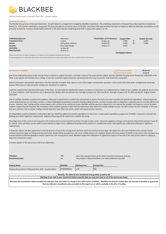

**Ditchley Group Series VI Deerpark Note 2021 - Growth Option**

# **Product Overview**

The Ditchley Group Series VI Deerpark Note 2021 - Growth Option is arranged and managed by BlackBee Investments. The underlying investment is Deerpark House Nursing Home located near Bantry, Co. Cork and the investment is unsecured. The bond provides for an annual return of 5% after each Event Date paid annually and return of capital on Maturity Date plus participation in net proceeds at maturity. Investors should understand that in the event that the Underlying Asset falls in value, their capital is at risk.

| <b>Underlying Exposure:</b><br><b>Investment Term:</b> | Real Asset<br>3 years | *Event Dates as Per Brochure:<br>16-Nov-19 | <b>Coupon Rate:</b><br>5.00% | ив | <b>Coupon Accrued:</b><br>5.00% |  |
|--------------------------------------------------------|-----------------------|--------------------------------------------|------------------------------|----|---------------------------------|--|
| Return:                                                | 15% paid at maturity  | 16-Nov-20                                  | 5.00%                        | ИN | 5.00%                           |  |
| Security:                                              | First Legal Charge    | 16-Nov-21                                  | 5.00%                        |    |                                 |  |
| <b>Start Date:</b>                                     | 16-Nov-18             |                                            |                              |    |                                 |  |
| <b>Maturity Date:</b>                                  | 16-Nov-21             |                                            |                              |    |                                 |  |
|                                                        |                       | <b>Participation Return:</b>               |                              |    |                                 |  |

se note Event dates are subject to change due to the execution of the final legal and associated docu

ants & the maturity date will be effective from the dates outlined in the contract note issued at close, which may differ to those on the broch

| <b>Performance Update</b> |  |  |                                                                                                                 |  |  | <b>Last Performance Update:</b>                                                                                 | 06-May-22                                                                                                       |
|---------------------------|--|--|-----------------------------------------------------------------------------------------------------------------|--|--|-----------------------------------------------------------------------------------------------------------------|-----------------------------------------------------------------------------------------------------------------|
|                           |  |  |                                                                                                                 |  |  | <b>Next Performance Update:</b>                                                                                 | 15-Jul-22                                                                                                       |
|                           |  |  | the contract of the contract of the contract of the contract of the contract of the contract of the contract of |  |  | the contract of the contract of the contract of the contract of the contract of the contract of the contract of | the contract of the contract of the contract of the contract of the contract of the contract of the contract of |

Due to the underperformance of the nursing home in relation to original forecasts, a strategic review of the asset and the original operator (Ditchley Nursing Home Group) was undertaken in H1 2020. It was agreed with Ditchley that a change of operator would be implemented and represented the best way forward for asset protection and growth.

Aperee Living were subsequently appointed as the new operator in August 2020. Aperee is one of the largest nursing home operators in the country (541 beds under management) and brings greater efficiencies of scale and sector leading care standards for residents.

Covid has impacted the financial performance of the home. A Covid outbreak significantly impacts occupancy as restrictions are implemented on intake of new residents. An outbreak occurs when 2 or more residents / staff test positive and is declared over 28 days after last positive test. Average occupancy for 2021 was 84.1%. Average occupancy for Q1 2022 was 89.5%. Original targets were 93%.

Due to cashflow shortfalls caused by the pandemic, there was a requirement to protect the cash position to ensure the home can meet essential and operational expenditure. Interest payments on the underlying loan are currently in arrears. In these challenging circumstances and with existing trading forecasts, we have not been able to implement a payment plan to currently address the arrears. However, both trading and the arrears balance will continue to be monitored closely. BlackBee and the operator's shared aim is to improve the situation but based on current forecasts investor coupons may be impacted. We received an initial monthly payment in April with the expectation that, based on existing trading forecasts, this will continue for the remainder of the year and up to maturity. Due to weaker trading, interest payments have fallen into arrears which will impact investor coupons.

An independent property inspection conducted in April has identified additional essential expenditure for the home. A total capital expenditure programme of €410k is required to refurbish the building and satisfy regulatory requirements. Additional financing will be required to complete the works.

Reconfiguration of the rooms is also required in the medium term to move towards provision of single ensuite rooms. Upcoming regulatory changes and expected reduced demand post Covid-19 for shared rooms will likely see the need to move entirely to single rooms. Additional financing will be required to complete the works. Bed capacity was reduced by 6.6% due to regulatory requirements.

A corporate advisor has been appointed to lead the process of sale of the nursing home portfolio which has reached its final stage. We expect the sale to be finalised in the coming 4 weeks. Various transaction types are being assessed and further details will be provided once the most credible options are analysed. Despite the heavy impact of COVID on the sector there has been very strong institutional demand globally to deploy capital into Irish nursing home assets. Blackbee targets the redemption of capital and coupons at the end of the sales process which is subject to legal and commercial reviews.

A further update on the sale process will be provided soon.

| <b>Valuation:</b><br><b>Encashment value:</b>                                                                                                                                      | <b>TBD</b><br>n/a | This is the expected return of the initial investment amount at maturity.<br>This product is illiquid and there is no early encashment possible |                      |  |  |  |  |  |
|------------------------------------------------------------------------------------------------------------------------------------------------------------------------------------|-------------------|-------------------------------------------------------------------------------------------------------------------------------------------------|----------------------|--|--|--|--|--|
| <b>Product Name</b>                                                                                                                                                                | Identifier        | <b>Starting Price</b>                                                                                                                           | <b>Current Price</b> |  |  |  |  |  |
| Ditchley Group Series VI Deerpark Note 2021 - Growth Option                                                                                                                        | AP0000000014      | 1.00                                                                                                                                            | <b>TBD</b>           |  |  |  |  |  |
| Warning: The Value of your investment may go down as well as up.<br>Warning: If you cash in your investment before maturity date you may lose some or all of the money you invest. |                   |                                                                                                                                                 |                      |  |  |  |  |  |

**s** not warrant or provides no guarant **that any indicative encashment value provided on this report are or will be available at the time of trading**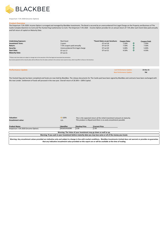

**Emporium 7.5% 2020 (Income Option)**

# **Product Overvi**

The Emporium 7.5% 2020- Income Option is arranged and managed by BlackBee Investments. The Bond is secured by an unencumbered First Legal Charge on the Property and Business of The Castle Complex Glanmire Co Cork and The Hunted Hog Castlemartyr Co Cork. The Emporium 7.5% 2020 - Income Option provides for an annual return of 7.5% after each Event Date paid annually and full return of capital on Maturity Date.

| <b>Underlying Exposure:</b><br><b>Real Asset</b><br><b>Investment Term:</b><br>3 vears<br>7.5% coupon paid annually<br>Return:<br>Unencumbered first legal charge<br>Security:<br><b>Start Date:</b><br>07-Jul-17<br><b>Maturity Date:</b><br>07-Jul-21 | *Event Dates as per brochure:<br>07-Jul-18<br>07-Jul-19<br>07-Jul-20<br>07-Jul-21 | <b>Coupon Rate:</b><br>7.50%<br>7.50%<br>5.00%<br>4.50% | им<br>им<br>иN | <b>Coupon Paid:</b><br>7.50%<br>7.50%<br>5.00%<br>4.50% |
|---------------------------------------------------------------------------------------------------------------------------------------------------------------------------------------------------------------------------------------------------------|-----------------------------------------------------------------------------------|---------------------------------------------------------|----------------|---------------------------------------------------------|
|---------------------------------------------------------------------------------------------------------------------------------------------------------------------------------------------------------------------------------------------------------|-----------------------------------------------------------------------------------|---------------------------------------------------------|----------------|---------------------------------------------------------|

\*\*Please note Event dates are subject to change due to the execution of the final legal and associated documentation. Any income payments & the maturity date will be effective from the dates outlined in the contract note issued at close, which may differ to those on the brochure.

| <b>Performance Update</b> | <b>Last Performance Update:</b> | 22-Dec-21  |
|---------------------------|---------------------------------|------------|
|                           | <b>Next Performance Update:</b> | <b>TBC</b> |

The Hunted Hog sale has been completed and funds are now held by BlackBee. The release documents for The Castle pub have been signed by BlackBee and contracts have been exchanged with the new Lender. Settlement of funds will proceed in the new year. Overall return of 26.56% + 100% Capital.

| <b>Valuation:</b><br>Encashment value:                                                                                                                                                                                                                                                                   | $\Rightarrow$ 100%<br>n/a |                       | This is the expected return of the initial investment amount at maturity.<br>This product is illiquid and there is no early encashment possible |  |  |  |  |
|----------------------------------------------------------------------------------------------------------------------------------------------------------------------------------------------------------------------------------------------------------------------------------------------------------|---------------------------|-----------------------|-------------------------------------------------------------------------------------------------------------------------------------------------|--|--|--|--|
| <b>Product Name</b>                                                                                                                                                                                                                                                                                      | Identifier                | <b>Starting Price</b> | <b>Current Price</b>                                                                                                                            |  |  |  |  |
| Emporium 7.5% 2020 (Income Option)                                                                                                                                                                                                                                                                       | XS1631416390              | 1.00                  | 1.00                                                                                                                                            |  |  |  |  |
|                                                                                                                                                                                                                                                                                                          |                           |                       | Warning: The Value of your investment may go down as well as up.                                                                                |  |  |  |  |
| Warning: If you cash in your investment before maturity date you may lose some or all of the money you invest.                                                                                                                                                                                           |                           |                       |                                                                                                                                                 |  |  |  |  |
| Warning: Any encashment values provided are indicative only and subject to change in line with market conditions. BlackBee Investments Limited does not warrant or provides no guarantee<br>that any indicative encashment value provided on this report are or will be available at the time of trading |                           |                       |                                                                                                                                                 |  |  |  |  |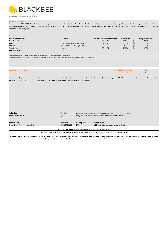

**Emporium 7.5% 2020 (Growth Option)**

# **Product Overview**

The Emporium 7.5% 2020 - Growth Option is arranged and managed by BlackBee Investments. The Bond is secured by an unencumbered First Legal Charge on the Property and Business of The Castle Complex Glanmire Co Cork and The Hunted Hog Castlemartyr Co Cork The Emporium 7.5% - Growth Option provides for a once off payment of 22.5% (7.5% accrued annually) and full return of capital on Maturity date.

| <b>Underlying Exposure:</b><br><b>Investment Term:</b><br>Return:<br>Security:<br><b>Start Date:</b><br><b>Maturity Date:</b>                                                                                                                                                                         | <b>Real Asset</b><br>3 years<br>7.5% coupon accrued annually<br>Unencumbered First Legal Charge<br>07-Jul-17<br>07-Jul-21 |                                                                  | *Event Date as Per Brochure:<br>07-Jul-18<br>07-Jul-19<br>07-Jul-20<br>07-Jul-21                               | <b>Coupon Rate:</b><br>7.50%<br>7.50%<br>5.00%<br>4.50% | <b>Coupon Accrued:</b><br>个<br>7.50%<br>介<br>7.50%<br>个<br>5.00%<br>个<br>4.50% |
|-------------------------------------------------------------------------------------------------------------------------------------------------------------------------------------------------------------------------------------------------------------------------------------------------------|---------------------------------------------------------------------------------------------------------------------------|------------------------------------------------------------------|----------------------------------------------------------------------------------------------------------------|---------------------------------------------------------|--------------------------------------------------------------------------------|
|                                                                                                                                                                                                                                                                                                       |                                                                                                                           |                                                                  |                                                                                                                |                                                         |                                                                                |
| *Please note Event dates are subject to change due to the execution of the final legal and associated documentation.                                                                                                                                                                                  |                                                                                                                           |                                                                  |                                                                                                                |                                                         |                                                                                |
| Any income payments & the maturity date will be effective from the dates outlined in the contract note issued at close, which may differ to those on the brochure.                                                                                                                                    |                                                                                                                           |                                                                  |                                                                                                                |                                                         |                                                                                |
|                                                                                                                                                                                                                                                                                                       |                                                                                                                           |                                                                  |                                                                                                                |                                                         |                                                                                |
|                                                                                                                                                                                                                                                                                                       |                                                                                                                           |                                                                  |                                                                                                                |                                                         |                                                                                |
| <b>Performance Update</b>                                                                                                                                                                                                                                                                             |                                                                                                                           |                                                                  |                                                                                                                | <b>Last Performance Update:</b>                         | 22-Dec-21                                                                      |
|                                                                                                                                                                                                                                                                                                       |                                                                                                                           |                                                                  |                                                                                                                | <b>Next Performance Update:</b>                         | <b>TBC</b>                                                                     |
| The Hunted Hog sale has been completed and funds are now held by BlackBee. The release documents for The Castle pub have been signed by BlackBee and contracts have been exchanged with<br>the new Lender. Settlement of funds will proceed in the new year. Overall return of 26.56% + 100% Capital. |                                                                                                                           |                                                                  |                                                                                                                |                                                         |                                                                                |
| <b>Valuation:</b>                                                                                                                                                                                                                                                                                     | $\Rightarrow$ 100%                                                                                                        |                                                                  | This is the expected return of the initial investment amount at maturity.                                      |                                                         |                                                                                |
| <b>Encashment value:</b>                                                                                                                                                                                                                                                                              | n/a                                                                                                                       |                                                                  | This product is illiquid and there is no early encashment possible                                             |                                                         |                                                                                |
|                                                                                                                                                                                                                                                                                                       |                                                                                                                           |                                                                  |                                                                                                                |                                                         |                                                                                |
| <b>Product Name</b>                                                                                                                                                                                                                                                                                   | Identifier                                                                                                                | <b>Starting Price</b>                                            | <b>Current Price</b>                                                                                           |                                                         |                                                                                |
| Emporium 7.5% 2020 (Growth Option)                                                                                                                                                                                                                                                                    | XS1631416630                                                                                                              | 1.00                                                             | 1.245 (Including accrued income to date)                                                                       |                                                         |                                                                                |
|                                                                                                                                                                                                                                                                                                       |                                                                                                                           | Warning: The Value of your investment may go down as well as up. |                                                                                                                |                                                         |                                                                                |
|                                                                                                                                                                                                                                                                                                       |                                                                                                                           |                                                                  | Warning: If you cash in your investment before maturity date you may lose some or all of the money you invest. |                                                         |                                                                                |
| Warning: Any encashment values provided are indicative only and subject to change in line with market conditions. BlackBee Investments Limited does not warrant or provides no guarantee                                                                                                              |                                                                                                                           |                                                                  |                                                                                                                |                                                         |                                                                                |

**that any indicative encashment value provided on this report are or will be available at the time of trading**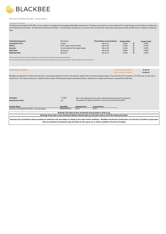

**Mulranny Park Bond 6.5% 2021 - Income Option**

## **Product Overview**

The Mulranny Park Bond 6.5% 2021- Income Option is arranged and managed by BlackBee Investments. The Bond is secured by an unencumbered First Legal Charge on the Property and Business of The Mulranny Park Hotel . The Mulranny Park Bond 6.5% 2021 - Income Option provides for an annual return of 6.5% after each Event Date paid annually and full return of capital on Maturity Date.

| <b>Underlying Exposure:</b> | <b>Real Asset</b>               | *Event Dates as per brochure: | <b>Coupon Rate:</b> |    | <b>Coupon Paid:</b> |
|-----------------------------|---------------------------------|-------------------------------|---------------------|----|---------------------|
| <b>Investment Term:</b>     | 5 years                         | 08-Jul-17                     | 6.50%               |    | 6.50%               |
| Return:                     | 6.5% coupon paid annually       | 08-Jul-18                     | 6.50%               | им | 6.50%               |
| Security:                   | Unencumbered first legal charge | 08-Jul-19                     | 6.50%               |    | 6.50%               |
| <b>Start Date:</b>          | 18-Aug-16                       | 08-Jul-20                     | 4.86%               |    | 4.86%               |
| <b>Maturity Date:</b>       | 08-Jul-21                       | 08-Jul-21                     | 6.50%               |    | 6.50%               |

\*\*Please note Event dates are subject to change due to the execution of the final legal and associated documentation. Any income payments & the maturity date will be effective from the dates outlined in the contract note issued at close, which may differ to those on the brochure.

| <b>Performance Update</b>                                                                                                                                                                                                                                                                                                                                               |                           |                       |                                                                                                                                                 | <b>Last Performance Update:</b> | 22-Apr-22 |
|-------------------------------------------------------------------------------------------------------------------------------------------------------------------------------------------------------------------------------------------------------------------------------------------------------------------------------------------------------------------------|---------------------------|-----------------------|-------------------------------------------------------------------------------------------------------------------------------------------------|---------------------------------|-----------|
|                                                                                                                                                                                                                                                                                                                                                                         |                           |                       |                                                                                                                                                 | <b>Next Performance Update:</b> | 18-May-22 |
| BlackBee are pleased to confirm that the loan is now being redeemed in full to City Quarter Capital II plc by the borrowing company. The total return for investors is 37.47% over a 5 year and 7<br>month term. The interest reduction in 2020 has been repaid. Following final legals and administration, settlement of capital and interest is expected by 18th May. |                           |                       |                                                                                                                                                 |                                 |           |
| Valuation:<br><b>Encashment value:</b>                                                                                                                                                                                                                                                                                                                                  | $\Rightarrow$ 100%<br>n/a |                       | This is the expected return of the initial investment amount at maturity.<br>This product is illiquid and there is no early encashment possible |                                 |           |
| <b>Product Name</b>                                                                                                                                                                                                                                                                                                                                                     | Identifier                | <b>Starting Price</b> | <b>Current Price</b>                                                                                                                            |                                 |           |
| Mulranny Park Bond 6.5% 2021 - Income Option                                                                                                                                                                                                                                                                                                                            | IE00BYYB4372              | 1.00                  | 1.00                                                                                                                                            |                                 |           |
|                                                                                                                                                                                                                                                                                                                                                                         |                           |                       |                                                                                                                                                 |                                 |           |
| Warning: The Value of your investment may go down as well as up.                                                                                                                                                                                                                                                                                                        |                           |                       |                                                                                                                                                 |                                 |           |
|                                                                                                                                                                                                                                                                                                                                                                         |                           |                       | Warning: If you cash in your investment before maturity date you may lose some or all of the money you invest.                                  |                                 |           |
| Warning: Any encashment values provided are indicative only and subject to change in line with market conditions. BlackBee Investments Limited does not warrant or provides no guarantee<br>that any indicative encashment value provided on this report are or will be available at the time of trading                                                                |                           |                       |                                                                                                                                                 |                                 |           |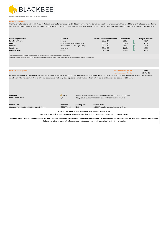

**Mulranny Park Bond 6.5% 2021 - Growth Option**

# **Product Overview**

The Mulranny Park Bond 6.5% 2021- Growth Option is arranged and managed by BlackBee Investments. The Bond is secured by an unencumbered First Legal Charge on the Property and Business of The Mulranny Park Hotel. The Mulranny Park Bond 6.5% 2021 - Growth Option provides for a once off payment of 32.5% (6.5% accrued annually) and full return of capital on Maturity date.

| <b>Underlying Exposure:</b><br><b>Investment Term:</b> | <b>Real Asset</b><br>5 years    | *Event Date as Per Brochure:<br>08-Jul-17 | <b>Coupon Rate:</b><br>6.50% | им | <b>Coupon Accrued:</b><br>6.50% |
|--------------------------------------------------------|---------------------------------|-------------------------------------------|------------------------------|----|---------------------------------|
| Return:                                                | 6.5% coupon accrued annually    | 08-Jul-18                                 | 6.50%                        | Й١ | 6.50%                           |
| Security:                                              | Unencumbered First Legal Charge | 08-Jul-19                                 | 6.50%                        | ИΝ | 6.50%                           |
| <b>Start Date:</b>                                     | 18-Aug-16                       | 08-Jul-20                                 | 4.86%                        | Й١ | 4.86%                           |
| <b>Maturity Date:</b>                                  | 08-Jul-21                       | 08-Jul-21                                 | 6.50%                        | ЙΝ | 6.50%                           |

\*Please note Event dates are subject to change due to the execution of the final legal and associated documentation.

Any income payments & the maturity date will be effective from the dates outlined in the contract note issued at close, which may differ to those on the brochure.

| <b>Performance Update</b>                                                                                                                                          |                           |                       | <b>Last Performance Update:</b>                                                                                                                                                                                                                                                                          | 22-Apr-22 |
|--------------------------------------------------------------------------------------------------------------------------------------------------------------------|---------------------------|-----------------------|----------------------------------------------------------------------------------------------------------------------------------------------------------------------------------------------------------------------------------------------------------------------------------------------------------|-----------|
|                                                                                                                                                                    |                           |                       | <b>Next Performance Update:</b>                                                                                                                                                                                                                                                                          | 18-May-22 |
| month term. The interest reduction in 2020 has been repaid. Following final legals and administration, settlement of capital and interest is expected by 18th May. |                           |                       | BlackBee are pleased to confirm that the loan is now being redeemed in full to City Quarter Capital II plc by the borrowing company. The total return for investors is 37.47% over a 5 year and 7                                                                                                        |           |
| Valuation:<br><b>Encashment value:</b>                                                                                                                             | $\Rightarrow$ 100%<br>n/a |                       | This is the expected return of the initial investment amount at maturity.<br>This product is illiquid and there is no early encashment possible                                                                                                                                                          |           |
| <b>Product Name</b>                                                                                                                                                | Identifier                | <b>Starting Price</b> | <b>Current Price</b>                                                                                                                                                                                                                                                                                     |           |
| Mulranny Park Bond 6.5% 2021 - Growth Option                                                                                                                       | IE00BYYB4489              | 1.00                  | 1.3086 (Including accrued income to date)                                                                                                                                                                                                                                                                |           |
|                                                                                                                                                                    |                           |                       |                                                                                                                                                                                                                                                                                                          |           |
|                                                                                                                                                                    |                           |                       | Warning: The Value of your investment may go down as well as up.                                                                                                                                                                                                                                         |           |
|                                                                                                                                                                    |                           |                       | Warning: If you cash in your investment before maturity date you may lose some or all of the money you invest.                                                                                                                                                                                           |           |
|                                                                                                                                                                    |                           |                       | Warning: Any encashment values provided are indicative only and subject to change in line with market conditions. BlackBee Investments Limited does not warrant or provides no guarantee<br>that any indicative encashment value provided on this report are or will be available at the time of trading |           |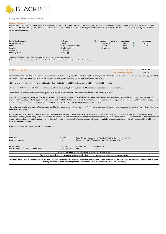

**Nursing Home Bond I 2022 - Income Option**

#### **Product Overvie**

Nursing Home Bond I 2022 - Income Option is arranged and managed by BlackBee Investments. The Bond is secured by an unencumbered First Legal Charge on the Lakes Nursing Home, Killaloe, Co Clare and St. Martha's Nursing Home, Charleville Co Cork. Nursing Home Bond I 2022 - Income Option provides for an annual return of 5% after each Event Date paid annually and full return of capital on Maturity Date.

| <b>Underlying Exposure:</b><br><b>Investment Term:</b><br>Return: | Real Asset<br>3 years<br>5% coupon paid annually | *Event Dates as per brochure:<br>13-May-20<br>$13-May-21$ | <b>Coupon Rate:</b><br>5.00%<br>5.00% | ив | <b>Coupon Paid:</b><br>5.00%<br>5.00% |
|-------------------------------------------------------------------|--------------------------------------------------|-----------------------------------------------------------|---------------------------------------|----|---------------------------------------|
| Security:                                                         | First legal charge                               | 13-May-22                                                 | 5.00%                                 |    |                                       |
| <b>Start Date:</b>                                                | 13-May-19                                        |                                                           |                                       |    |                                       |
| <b>Maturity Date:</b>                                             | 13-May-22                                        |                                                           |                                       |    |                                       |

\*\*Please note Event dates are subject to change due to the execution of the final legal and associated documentation. Any income payments & the maturity date will be effective from the dates outlined in the contract note issued at close, which may differ to those on the brochure.

| <b>Performance Update</b> | <b>Last Performance Update:</b> | 06-May-22 |
|---------------------------|---------------------------------|-----------|
|                           | <b>Next Performance Update:</b> | 15-Jul-22 |

The Lakes Nursing Home, Killaloe, Co Clare is a custom built, 57 bed care facility set in 1.5 acres of mature landscaped grounds. St Martha's Nursing Home, Charleville, Co Cork is a purpose built 36 bed, single story facility set on a 1.5 acre mature site. Both Nursing Homes have been run by Mowlam Healthcare since 2013.

- EBITDA margins in the investment remained broadly in line in 2021. Combined EBITDA / Revenue was c.11% in 2020 and 11% in 2021.

- However EBITDA margins in Q1 2022 have weakened to 2%. This is caused by low occupancy in St. Marthas amid a lack of demand for twin rooms.

- St Martha's occupancy rates have dropped slightly in 2021 to 94% in November YTD. This compares with 98% in 2020 and 99% in 2019.

- The Lakes has performed strongly in 2021 and we are encouraged by the upward trend in occupancy and trading performance. EBITDA Margin in November 2021 YTD is c.10%, a significant improvement from 2020's c. 0.9%. Occupancy rates have risen from 2020's 75% to current levels of c. 97%. The rise in occupancy is due to a pre-arranged contract for 10 beds. Removing these ten contracted beds (c. 17%), the occupancy rate in the home has risen in 2021 to c. 79%, a positive trend compared to 2020.

- Following a comprehensive review of performance with Mowlam, a capital expenditure programme for The Lakes is considered necessary to protect trade and asset value. A review of options to fund this is still ongoing.

A corporate advisor has been appointed to lead the process of sale of the nursing home portfolio which has reached its final stage. We expect the sale to be finalised in the coming 4 weeks. Various transaction types are being assessed and further details will be provided once the most credible options are analysed. Despite the heavy impact of COVID on the sector there has been very strong institutional demand globally to deploy capital into Irish nursing home assets. Blackbee targets the redemption of capital and coupons at the end of the sales process which is subject to legal and commercial reviews.

A further update on the sale process will be provided soon.

| <b>Valuation:</b><br><b>Encashment value:</b>                                                                                                                                            | $\Rightarrow$ 100%<br>n/a  | This is the expected return of the initial investment amount at maturity.<br>This product is illiquid and there is no early encashment possible |                              |  |  |
|------------------------------------------------------------------------------------------------------------------------------------------------------------------------------------------|----------------------------|-------------------------------------------------------------------------------------------------------------------------------------------------|------------------------------|--|--|
| <b>Product Name</b><br>Nursing Home Bond I 2022 - Income Option                                                                                                                          | Identifier<br>XS1972686627 | <b>Starting Price</b><br>1.00                                                                                                                   | <b>Current Price</b><br>1.00 |  |  |
| Warning: The Value of your investment may go down as well as up.                                                                                                                         |                            |                                                                                                                                                 |                              |  |  |
| Warning: If you cash in your investment before maturity date you may lose some or all of the money you invest.                                                                           |                            |                                                                                                                                                 |                              |  |  |
| Warning: Any encashment values provided are indicative only and subject to change in line with market conditions. BlackBee Investments Limited does not warrant or provides no guarantee |                            |                                                                                                                                                 |                              |  |  |

**that any indicative encashment value provided on this report are or will be available at the time of trading**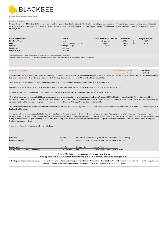

**Nursing Home Bond I 2022 - Growth Option**

# **Product Overview**

Nursing Home Bond I 2022 - Growth Option is arranged and managed by BlackBee Investments. The Bond is secured by an unencumbered First Legal Charge on Lakes Nursing Home, Killaloe, Co Clare and St Martha's Nursing Home, Charleville, Co Cork. Nursing Home Bond I 2022 - Growth Option provides for a once off payment of 15%, (5% accrued annually), and full return of capital on Maturity Date.

| <b>Underlying Exposure:</b> | <b>Real Asset</b>           | *Event Dates as Per Brochure: | <b>Coupon Rate:</b> | <b>Coupon Accrued:</b> |
|-----------------------------|-----------------------------|-------------------------------|---------------------|------------------------|
|                             |                             |                               |                     |                        |
| <b>Investment Term:</b>     | 3 years                     | 13-May-20                     | 5.00%               | 5.00%                  |
| Return:                     | 15% coupon paid at maturity | 13-May-21                     | 5.00%               | 5.00%                  |
| Security:                   | First Legal Charge          | $13-May-22$                   | 5.00%               |                        |
| <b>Start Date:</b>          | 13-May-19                   |                               |                     |                        |
| <b>Maturity Date:</b>       | 13-May-22                   |                               |                     |                        |

\*Please note Event dates are subject to change due to the execution of the final legal and associated documentation.

ents & the maturity date will be effective from the dates outlined in the contract note issued at close, which may differ to those on the broch

| <b>Performance Update</b> | <b>Last Performance Update:</b> | 06-May-22 |
|---------------------------|---------------------------------|-----------|
|                           | <b>Next Performance Update:</b> | 15-Jul-22 |

The Lakes Nursing Home, Killaloe, Co Clare is a custom built, 57 bed care facility set in 1.5 acres of mature landscaped grounds. St Martha's Nursing Home, Charleville, Co Cork is a purpose built 36 bed, single story facility set on a 1.5 acre mature site. Both Nursing Homes have been run by Mowlam Healthcare since 2013.

- EBITDA margins in the investment remained broadly in line in 2021. Combined EBITDA / Revenue was c.11% in 2020 and 11% in 2021.

- However EBITDA margins in Q1 2022 have weakened to 2%. This is caused by low occupancy in St. Marthas amid a lack of demand for twin rooms.

- St Martha's occupancy rates have dropped slightly in 2021 to 94% in November YTD. This compares with 98% in 2020 and 99% in 2019.

- The Lakes has performed strongly in 2021 and we are encouraged by the upward trend in occupancy and trading performance. EBITDA Margin in November 2021 YTD is c.10%, a significant improvement from 2020's c. 0.9%. Occupancy rates have risen from 2020's 75% to current levels of c. 97%. The rise in occupancy is due to a pre-arranged contract for 10 beds. Removing these ten contracted beds (c. 17%), the occupancy rate in the home has risen in 2021 to c. 79%, a positive trend compared to 2020.

- Following a comprehensive review of performance with Mowlam, a capital expenditure programme for The Lakes is considered necessary to protect trade and asset value. A review of options to fund this is still ongoing.

A corporate advisor has been appointed to lead the process of sale of the nursing home portfolio which has reached its final stage. We expect the sale to be finalised in the coming 4 weeks. Various transaction types are being assessed and further details will be provided once the most credible options are analysed. Despite the heavy impact of COVID on the sector there has been very strong institutional demand globally to deploy capital into Irish nursing home assets. Blackbee targets the redemption of capital and coupons at the end of the sales process which is subject to legal and commercial reviews.

A further update on the sale process will be provided soon.

| <b>Valuation:</b><br><b>Encashment value:</b>                                                                  | $\Rightarrow$ 100%<br>n/a | This is the expected return of the initial investment amount at maturity.<br>This product is illiquid and there is no early encashment possible |                                        |  |
|----------------------------------------------------------------------------------------------------------------|---------------------------|-------------------------------------------------------------------------------------------------------------------------------------------------|----------------------------------------|--|
| <b>Product Name</b>                                                                                            | Identifier                | <b>Starting Price</b>                                                                                                                           | <b>Current Price</b>                   |  |
| Nursing Home Bond I 2022 - Growth Option                                                                       | XS1972686890              | 1.00                                                                                                                                            | 1.1 (Including accrued income to date) |  |
|                                                                                                                |                           |                                                                                                                                                 |                                        |  |
| Warning: The Value of your investment may go down as well as up.                                               |                           |                                                                                                                                                 |                                        |  |
| Warning: If you cash in your investment before maturity date you may lose some or all of the money you invest. |                           |                                                                                                                                                 |                                        |  |
|                                                                                                                |                           |                                                                                                                                                 |                                        |  |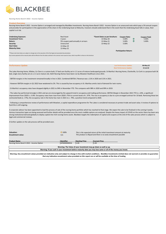

**Nursing Home Bond II 2022 - Income Option**

#### **Product Overvie**

Nursing Home Bond II 2022 - Income Option is arranged and managed by BlackBee Investments. Nursing Home Bond II 2022 - Income Option is an unsecured note which pays a 5% annual coupon and provides for participation in the appreciation of the share in the Underlying Asset at Maturity. Investors should understand that in the event that the Underlying Asset falls in value, their capital is at risk.

| <b>Underlying Exposure:</b><br><b>Investment Term:</b> | <b>Real Asset</b><br>3 years       | *Event Dates as per brochure:<br>13-May-20 | <b>Coupon Rate:</b><br>5.00% | $n_{\rm N}$ | <b>Coupon Paid:</b><br>5.00% |
|--------------------------------------------------------|------------------------------------|--------------------------------------------|------------------------------|-------------|------------------------------|
| Return:                                                | 5% coupon paid annually in arrears | $13-May-21$                                | 5.00%                        | <b>IN</b>   | 5.00%                        |
| Security:                                              | Unsecured                          | 13-May-22                                  | 5.00%                        |             |                              |
| <b>Start Date:</b>                                     | 13-May-19                          |                                            |                              |             |                              |
| <b>Maturity Date:</b>                                  | 13-May-22                          |                                            |                              |             |                              |
|                                                        |                                    |                                            | <b>Participation Return:</b> |             |                              |

\*Please note Event dates are subject to change due to the execution of the final legal and associated documentatio

Any income payments & the maturity date will be effective from the dates outlined in the contract note issued at close, which may differ to those on the brochure.

| <b>Performance Update</b> | <b>Last Performance Update:</b> | 06-May-22 |
|---------------------------|---------------------------------|-----------|
|                           | <b>Next Performance Update:</b> | 15-Jul-22 |

The Lakes Nursing Home, Killaloe, Co Clare is a custom built, 57 bed care facility set in 1.5 acres of mature landscaped grounds. St Martha's Nursing Home, Charleville, Co Cork is a purpose built 36 bed, single story facility set on a 1.5 acre mature site. Both Nursing Homes have been run by Mowlam Healthcare since 2013.

- EBITDA margins in the investment remained broadly in line in 2021. Combined EBITDA / Revenue was c.11% in 2020 and 11% in 2021.

- However EBITDA margins in Q1 2022 have weakened to 2%. This is caused by low occupancy in St. Marthas amid a lack of demand for twin rooms.

- St Martha's occupancy rates have dropped slightly in 2021 to 94% in November YTD. This compares with 98% in 2020 and 99% in 2019.

- The Lakes has performed strongly in 2021 and we are encouraged by the upward trend in occupancy and trading performance. EBITDA Margin in November 2021 YTD is c.10%, a significant improvement from 2020's c. 0.9%. Occupancy rates have risen from 2020's 75% to current levels of c. 97%. The rise in occupancy is due to a pre-arranged contract for 10 beds. Removing these ten contracted beds (c. 17%), the occupancy rate in the home has risen in 2021 to c. 79%, a positive trend compared to 2020.

- Following a comprehensive review of performance with Mowlam, a capital expenditure programme for The Lakes is considered necessary to protect trade and asset value. A review of options to fund this is still ongoing.

A corporate advisor has been appointed to lead the process of sale of the nursing home portfolio which has reached its final stage. We expect the sale to be finalised in the coming 4 weeks. Various transaction types are being assessed and further details will be provided once the most credible options are analysed. Despite the heavy impact of COVID on the sector there has been very strong institutional demand globally to deploy capital into Irish nursing home assets. Blackbee targets the redemption of capital and coupons at the end of the sales process which is subject to legal and commercial reviews.

A further update on the sale process will be provided soon.

| <b>Valuation:</b><br>Encashment value:                                                                                                                                                                                                                                                                   | $\Rightarrow$ 100%<br>n/a | This is the expected return of the initial investment amount at maturity.<br>This product is illiquid and there is no early encashment possible |                                                                                                                |  |
|----------------------------------------------------------------------------------------------------------------------------------------------------------------------------------------------------------------------------------------------------------------------------------------------------------|---------------------------|-------------------------------------------------------------------------------------------------------------------------------------------------|----------------------------------------------------------------------------------------------------------------|--|
| <b>Product Name</b>                                                                                                                                                                                                                                                                                      | Identifier                | <b>Starting Price</b>                                                                                                                           | <b>Current Price</b>                                                                                           |  |
| Nursing Home Bond II 2022 - Income Option                                                                                                                                                                                                                                                                | AP0000000016              | 1.00                                                                                                                                            | 1.00                                                                                                           |  |
|                                                                                                                                                                                                                                                                                                          |                           |                                                                                                                                                 |                                                                                                                |  |
|                                                                                                                                                                                                                                                                                                          |                           | Warning: The Value of your investment may go down as well as up.                                                                                |                                                                                                                |  |
|                                                                                                                                                                                                                                                                                                          |                           |                                                                                                                                                 | Warning: If you cash in your investment before maturity date you may lose some or all of the money you invest. |  |
| Warning: Any encashment values provided are indicative only and subject to change in line with market conditions. BlackBee Investments Limited does not warrant or provides no guarantee<br>that any indicative encashment value provided on this report are or will be available at the time of trading |                           |                                                                                                                                                 |                                                                                                                |  |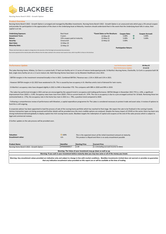

**Nursing Home Bond II 2022 - Growth Option**

# **Product Overview**

Nursing Home Bond II 2022 - Growth Option is arranged and managed by BlackBee Investments. Nursing Home Bond II 2022 - Growth Option is an unsecured note which pays a 5% annual coupon and provides for participation in the appreciation of the share in the Underlying Asset at Maturity. Investors should understand that in the event that the Underlying Asset falls in value, their capital is at risk.

| <b>Underlying Exposure:</b><br><b>Investment Term:</b> | <b>Real Asset</b><br>3 years | *Event Dates as Per Brochure:<br>13-May-20 | <b>Coupon Rate:</b><br>5.00% | им | <b>Coupon Accrued:</b><br>5.00% |
|--------------------------------------------------------|------------------------------|--------------------------------------------|------------------------------|----|---------------------------------|
| Return:                                                | 15% coupon paid at maturity  | $13-May-21$                                | 5.00%                        | ИΝ | 5.00%                           |
| Security:                                              | Unsecured                    | 13-May-22                                  | 5.00%                        |    |                                 |
| <b>Start Date:</b>                                     | 13-May-19                    |                                            |                              |    |                                 |
| <b>Maturity Date:</b>                                  | 13-May-22                    |                                            |                              |    |                                 |
|                                                        |                              |                                            | <b>Participation Return:</b> |    |                                 |

\*Please note Event dates are subject to change due to the execution of the final legal and associated documentation.

Any income payments & the maturity date will be effective from the dates outlined in the contract note issued at close, which may differ to those on the brochure.

| <b>Performance Update</b> | <b>Last Performance Update:</b> | 06-May-22 |
|---------------------------|---------------------------------|-----------|
|                           | Next Performance Update:        | 15-Jul-22 |

The Lakes Nursing Home, Killaloe, Co Clare is a custom built, 57 bed care facility set in 1.5 acres of mature landscaped grounds. St Martha's Nursing Home, Charleville, Co Cork is a purpose built 36 bed, single story facility set on a 1.5 acre mature site. Both Nursing Homes have been run by Mowlam Healthcare since 2013.

- EBITDA margins in the investment remained broadly in line in 2021. Combined EBITDA / Revenue was c.11% in 2020 and 11% in 2021.

- However EBITDA margins in Q1 2022 have weakened to 2%. This is caused by low occupancy in St. Marthas amid a lack of demand for twin rooms.

- St Martha's occupancy rates have dropped slightly in 2021 to 94% in November YTD. This compares with 98% in 2020 and 99% in 2019.

- The Lakes has performed strongly in 2021 and we are encouraged by the upward trend in occupancy and trading performance. EBITDA Margin in November 2021 YTD is c.10%, a significant improvement from 2020's c. 0.9%. Occupancy rates have risen from 2020's 75% to current levels of c. 97%. The rise in occupancy is due to a pre-arranged contract for 10 beds. Removing these ten contracted beds (c. 17%), the occupancy rate in the home has risen in 2021 to c. 79%, a positive trend compared to 2020.

- Following a comprehensive review of performance with Mowlam, a capital expenditure programme for The Lakes is considered necessary to protect trade and asset value. A review of options to fund this is still ongoing.

A corporate advisor has been appointed to lead the process of sale of the nursing home portfolio which has reached its final stage. We expect the sale to be finalised in the coming 4 weeks. Various transaction types are being assessed and further details will be provided once the most credible options are analysed. Despite the heavy impact of COVID on the sector there has been very strong institutional demand globally to deploy capital into Irish nursing home assets. Blackbee targets the redemption of capital and coupons at the end of the sales process which is subject to legal and commercial reviews.

A further update on the sale process will be provided soon.

| Valuation:               | $\blacktriangleright$ 100% | This is the expected return of the initial investment amount at maturity. |
|--------------------------|----------------------------|---------------------------------------------------------------------------|
| <b>Encashment value:</b> | n/a                        | This product is illiquid and there is no early encashment possible        |
|                          |                            |                                                                           |

| <b>Product Name</b>                                                                                            | Identifier   | <b>Starting Price</b> | Current Price                          |  |
|----------------------------------------------------------------------------------------------------------------|--------------|-----------------------|----------------------------------------|--|
| Nursing Home Bond II 2022 - Growth Option                                                                      | AP0000000017 | 1.00                  | 1.1 (Including accrued income to date) |  |
|                                                                                                                |              |                       |                                        |  |
| Warning: The Value of your investment may go down as well as up.                                               |              |                       |                                        |  |
| Warning: If you cash in your investment before maturity date you may lose some or all of the money you invest. |              |                       |                                        |  |
|                                                                                                                |              |                       |                                        |  |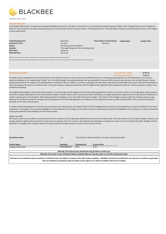

**Parkgate Office Bond**

#### **Product Overview**

The Parkgate Office Bond is arranged and managed by BlackBee Investments. The Bond is secured by an unencumbered first legal charge over Blocks C & D, Parkgate Business Park, Parkgate St, Dublin 6. These properties are fully occupied by government tenants (HSE and TII) on long term leases. The Bond provides for a Growth Option only with a projected overall return of 15% subject to asset performance.

| <b>Underlying Exposure:</b> | Real Asset                                   | *Event Dates as Per Brochure: | <b>Coupon Rate:</b> | <b>Coupon Paid:</b> |
|-----------------------------|----------------------------------------------|-------------------------------|---------------------|---------------------|
| <b>Investment Term:</b>     | 2.5 years                                    | 18-Jun-22                     |                     |                     |
| Return:                     | 15% Projected Overall Return                 |                               |                     |                     |
| Security:                   | First Legal Charge over the Underlying Asset |                               |                     |                     |
| <b>Start Date:</b>          | 18-Dec-19                                    |                               |                     |                     |
| <b>Maturity Date:</b>       | 18-Jun-22                                    |                               |                     |                     |
|                             |                                              |                               |                     |                     |

\*Please note Event dates are subject to change due to the execution of the final legal and associated documentation. ncome payments & the maturity date will be effective from the dates outlined in the contract note issued at close, which may differ to those on the bro

| <b>Performance Update</b> |  | <b>Last Performance Update:</b>                                                                                        | 31-Mar-22 |
|---------------------------|--|------------------------------------------------------------------------------------------------------------------------|-----------|
|                           |  | <b>Next Performance Update:</b>                                                                                        | 15-Jul-22 |
|                           |  | المستحدث والمنافر والمتحاول والمتحاولة والمتحاول والمتحاول والمتحاول والمتحاول والمتحاول والمتحاول والمتحاول والمتحاول |           |

A notable positive development since commencement of the Bond has been the recent submission by Chartered Land of a revised planning application for the development of a 30-storey apartment building on the neighbouring "Hickeys" site. The initial Strategic Housing Development that was submitted in February 2020 returned a split decision from An Bord Pleanala. Having granted permission for the majority of the development, including 321 homes, 3,698 sq m of offices, hospitality and retail space, both the board and Dublin City Council called on the developer to revisit the design of the scheme's landmark tower. The board's inspector expressed satisfaction with the height of the original 93 metre building but called for a further proposal in relation to its architectural detailing.

The neighbouring Parkgate C & D property (this property) is 4 storeys high, and the height and scale of the planning application reflects the intention of DCC to encourage higher density schemes within the strategic redevelopment zone around Heuston station. Heuston Station and its environs have been described as a strategic development regeneration area and has been identified as a western counterpoint to the docklands, offering the potential for buildings of more than 50m (16 storeys) in height. The location of the Parkgate property within this strategic zone was a key influencer for the Bond's investment strategy, and the progression of this planning application is an indication of the expected increase in profile and desirability of the area which will impact positively on the value of the property.

In further positive developments for the area and as reported in the national press, the adjacent Blocks A & B of Parkgate Business Centre were purchased by a European Investment Fund "Union Investment" in late August. This acquisition highlights the attractiveness of the buildings, tenant profile and area to institutional investment and BlackBee and the operators are both committed to realising the potential of the buildings over the coming months.

#### Update June'2022

The tenants continue to pay 100% of contracted rent and rent reviews are due to take place with both tenants over the coming months. We have reached out to the asset manager to discuss rent reviews aiming to significnantly increase the rental income to optimize return for investors. We anticipate the redemption of capital and coupon at the end of September 2022. BlackBee and the developers are engaged with corporate advisors to assess potential exit opportunities to ensure timely maturity of bond.

**Encashment value:** n/a

*This product is illiquid and there is no early encashment possible*

| <b>Product Name</b>                                                                                                                                                                      | <b>Identifier</b> | <b>Starting Price</b> | <b>Current Price</b> |  |  |  |
|------------------------------------------------------------------------------------------------------------------------------------------------------------------------------------------|-------------------|-----------------------|----------------------|--|--|--|
| Parkgate Office Bond                                                                                                                                                                     | AP0000000024      | 1.00                  | 1.00                 |  |  |  |
|                                                                                                                                                                                          |                   |                       |                      |  |  |  |
| Warning: The Value of your investment may go down as well as up.                                                                                                                         |                   |                       |                      |  |  |  |
| Warning: If you cash in your investment before maturity date you may lose some or all of the money you invest.                                                                           |                   |                       |                      |  |  |  |
| Warning: Any encashment values provided are indicative only and subject to change in line with market conditions. BlackBee Investments Limited does not warrant or provides no guarantee |                   |                       |                      |  |  |  |

**that any indicative encashment value provided on this report are or will be available at the time of trading**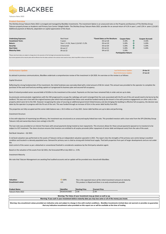

**Talacare Note 2022**

# **Product Overview**

The Ditchley Group Talacare Note 2022 is arranged and managed by BlackBee Investments. The investment Option is an unsecured note on the Property and Business of The Ditchley Group Talacare property knows as Academic and Primary Care Centre Tallaght Dublin. The Ditchley Group Talacare Note 2022 provides for an annual return of 4.1% in year 1, and 5.2% in years 2,3,4,& 5. Additional payment at Maturity ,dependent on capital appreciation of the Asset.

| <b>Underlying Exposure:</b> | <b>Real Asset</b>                    | *Event Dates as Per Brochure: | <b>Coupon Rate:</b>          |    | <b>Coupon Accrued:</b> |
|-----------------------------|--------------------------------------|-------------------------------|------------------------------|----|------------------------|
| <b>Investment Term:</b>     | 5 years                              | $03$ -Jul-18                  | 4.10%                        | ИΝ | 4.10%                  |
| Return:                     | Year 1: 4.1%, Years 2,3,4 & 5: 5.2%. | 03-Jul-19                     | 5.20%                        | ИΝ | 5.20%                  |
| Security:                   | Unsecured                            | 03-Jul-20                     | 5.20%                        | ИΝ | 5.20%                  |
| <b>Start Date:</b>          | 03-Jul-17                            | 05-Jul-21                     | 5.20%                        | ИΝ | 5.20%                  |
| <b>Maturity Date:</b>       | 04-Jul-22                            | 04-Jul-22                     | 5.20%                        |    |                        |
|                             |                                      |                               | <b>Participation Return:</b> |    |                        |

ase note Event dates are subject to change due to the execution of the final legal and associated documentatio

ants & the maturity date will be effective from the dates outlined in the contract note issued at close, which may differ to those on the broch

| <b>Performance Update</b>                                                                                                                               | <b>Last Performance Update:</b> | 29-Apr-22 |
|---------------------------------------------------------------------------------------------------------------------------------------------------------|---------------------------------|-----------|
|                                                                                                                                                         | <b>Next Performance Update:</b> | 27-Jun-22 |
| As advised in previous communications, BlackBee undertook a comprehensive review of the investment in Q4 2020. An overview on the review is as follows: |                                 |           |

## Capital Structure

Reflecting the strong fundamentals of the investment, the initial fundraise was oversubscribed with a total amount of €6.5m raised. This amount was provided to the operator to complete the purchase of the asset and fund any working capital as it progressed its business plan and secured full occupancy.

Bank of Ireland provided senior secured debt of €3.85m to the investment at the outset. Payments on this loan have remained fully in order and are up to date.

As previously communicated, negotiations with the HSE progressed to occupy the radiology unit and it emerged that the costs associated with the fit out of the unit would need to be borne by the landlord. This was not in line with the original business plan which had anticipated that these costs would be funded mainly by the tenant in line with previous engagements on other units in the property which were let to the HSE. However recognising the value of securing an additional government linked tenancy and also bringing the building to effective full occupancy, the decision was taken by the operator to progress with the fit-out of the unit. This was funded through an increase of €1m in the senior debt facility from BOI.

The properties are fully occupied and the senior debt balance was c. €4.3 million as of July 2021. Senior debt facilities are up to date and performing.

# Investment Structure

In line with objective of maximizing tax efficiency, the investment was structured as an unsecured equity linked loan note. This provided investors with a loan note from the SPV (Ditchley Group Talacare Ltd) and ownership shares (non-voting) in the SPV.

The loan note was provided on an interest free basis with annual payments being treated as loan repayments. This structure allows for these annual payments (passed on to investors) to be subject to CGT treatment. The share structure ensures that investors are entitled to all surplus proceeds (after repayment of senior debt and disposal costs) from the sale of the asset.

#### Red Book Valuation – Q2 2021

A red book valuation was performed on the assets of Talacare Ltd by an independent valuation specialist in 2021. The report cites the strengths of the primary care centre being in excellent condition and located in a densely populated area. Demand for primary care is cited as strong with limited local supply. That both properties from part of larger developments and are not under the

total control of the owner as per a detached or conventional freehold is considered a weakness by the third-party valuation agent.

Based on the valuation of the assets from Q2 2021, the forecasted IRR at July 2022 is c. 3.5%.

Investment Maturity

We note that Talacare Management are awaiting final audited accounts and an update will be provided once shared with BlackBee.

| <b>Valuation:</b>        | $\rightarrow$ 100% | This is the expected return of the initial investment amount at maturity. |                                                                                                                |  |  |
|--------------------------|--------------------|---------------------------------------------------------------------------|----------------------------------------------------------------------------------------------------------------|--|--|
| <b>Encashment value:</b> | n/a                | This product is illiquid and there is no early encashment possible        |                                                                                                                |  |  |
|                          |                    |                                                                           |                                                                                                                |  |  |
| <b>Product Name</b>      | Identifier         | <b>Starting Price</b>                                                     | <b>Current Price</b>                                                                                           |  |  |
| Talacare Note 2022       | XS1631415665       | 1.00                                                                      | 1.00                                                                                                           |  |  |
|                          |                    |                                                                           |                                                                                                                |  |  |
|                          |                    |                                                                           | Warning: The Value of your investment may go down as well as up.                                               |  |  |
|                          |                    |                                                                           | Warning: If you cash in your investment before maturity date you may lose some or all of the money you invest. |  |  |
|                          |                    |                                                                           |                                                                                                                |  |  |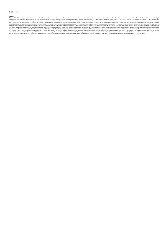#### **Disclosures**

Distainmergial is: (i) for your private information, and we are not soliciting any action based upon it nor are weffering any investment atoric whatsoever, (ii) not to be construed as an offer to sell or a solicitation of